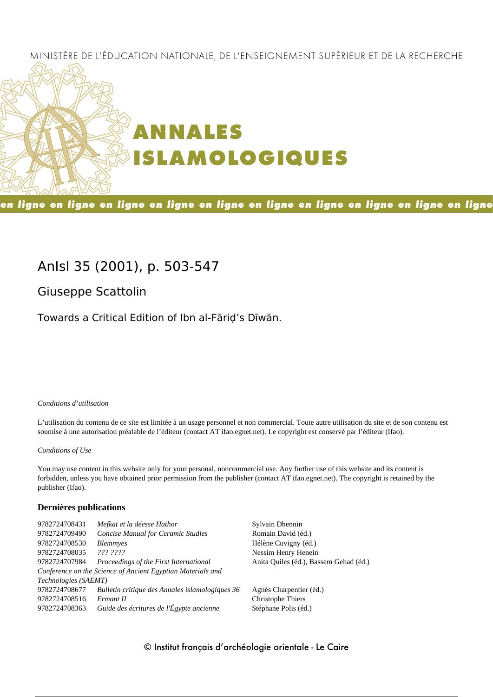# MINISTÈRE DE L'ÉDUCATION NATIONALE, DE L'ENSEIGNEMENT SUPÉRIEUR ET DE LA RECHERCHE



en ligne en ligne en ligne en ligne en ligne en ligne en ligne en ligne en ligne en ligne

# **AnIsl 35 (2001), p. 503-547**

**Giuseppe Scattolin**

Towards a Critical Edition of Ibn al-Fāriḍ's Dīwān.

#### *Conditions d'utilisation*

L'utilisation du contenu de ce site est limitée à un usage personnel et non commercial. Toute autre utilisation du site et de son contenu est soumise à une autorisation préalable de l'éditeur (contact AT ifao.egnet.net). Le copyright est conservé par l'éditeur (Ifao).

#### *Conditions of Use*

You may use content in this website only for your personal, noncommercial use. Any further use of this website and its content is forbidden, unless you have obtained prior permission from the publisher (contact AT ifao.egnet.net). The copyright is retained by the publisher (Ifao).

#### **Dernières publications**

| 9782724708431        | Mefkat et la déesse Hathor                                  | Sylvain Dhennin                        |
|----------------------|-------------------------------------------------------------|----------------------------------------|
| 9782724709490        | <b>Concise Manual for Ceramic Studies</b>                   | Romain David (éd.)                     |
| 9782724708530        | <i>Blemmyes</i>                                             | Hélène Cuvigny (éd.)                   |
| 9782724708035        | 222.2222                                                    | Nessim Henry Henein                    |
| 9782724707984        | Proceedings of the First International                      | Anita Quiles (éd.), Bassem Gehad (éd.) |
|                      | Conference on the Science of Ancient Egyptian Materials and |                                        |
| Technologies (SAEMT) |                                                             |                                        |
| 9782724708677        | Bulletin critique des Annales islamologiques 36             | Agnès Charpentier (éd.)                |
| 9782724708516        | Ermant II                                                   | Christophe Thiers                      |
| 9782724708363        | Guide des écritures de l'Égypte ancienne                    | Stéphane Polis (éd.)                   |
|                      |                                                             |                                        |

# © Institut français d'archéologie orientale - Le Caire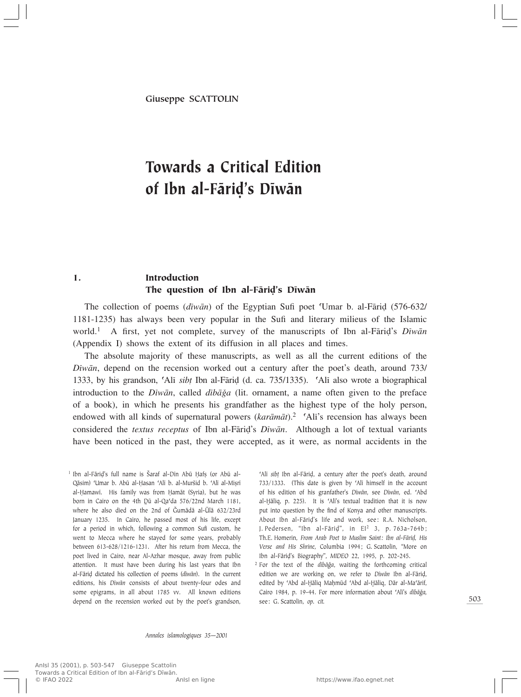# Towards a Critical Edition of Ibn al-Færi∂'s Dîwæn

# 1. Introduction The question of Ibn al-Fāriḍ's Dīwān

The collection of poems (*diwān*) of the Egyptian Sufi poet 'Umar b. al-Fārid (576-632/ 1181-1235) has always been very popular in the Sufi and literary milieus of the Islamic world.<sup>1</sup> A first, yet not complete, survey of the manuscripts of Ibn al-Fārid's *Dīwān* (Appendix I) shows the extent of its diffusion in all places and times.

The absolute majority of these manuscripts, as well as all the current editions of the *Dîwæn*, depend on the recension worked out a century after the poet's death, around 733/ 1333, by his grandson, 'Alī *sibț* Ibn al-Fāriḍ (d. ca. 735/1335). 'Alī also wrote a biographical introduction to the *Dîwān*, called *dîbāğa* (lit. ornament, a name often given to the preface of a book), in which he presents his grandfather as the highest type of the holy person, endowed with all kinds of supernatural powers (karāmāt).<sup>2</sup> 'Alī's recension has always been considered the *textus receptus* of Ibn al-Færi∂'s *Dîwæn*. Although a lot of textual variants have been noticed in the past, they were accepted, as it were, as normal accidents in the

<sup>1</sup> Ibn al-Fāriḍ's full name is Šaraf al-Dīn Abū Ḥafṣ (or Abū al-Qāsim) 'Umar b. Abū al-Ḥasan 'Alī b. al-Muršid b. 'Alī al-Miṣrī al-Hamawī. His family was from Hamāt (Syria), but he was born in Cairo on the 4th Dū al-Qa'da 576/22nd March 1181, where he also died on the 2nd of Gumādā al-Ūlā 632/23rd January 1235. In Cairo, he passed most of his life, except for a period in which, following a common Sufi custom, he went to Mecca where he stayed for some years, probably between 613-628/1216-1231. After his return from Mecca, the poet lived in Cairo, near Al-Azhar mosque, away from public attention. It must have been during his last years that Ibn al-Færi∂ dictated his collection of poems (*dîwæn*). In the current editions, his *Dîwæn* consists of about twenty-four odes and some epigrams, in all about 1785 vv. All known editions depend on the recension worked out by the poet's grandson,

©Alî *sib†* Ibn al-Færi∂, a century after the poet's death, around 733/1333. (This date is given by 'Alī himself in the account of his edition of his granfather's *Dîwæn*, see *Dîwæn*, ed. ©Abd al-Hāliq, p. 225). It is 'Alī's textual tradition that it is now put into question by the find of Konya and other manuscripts. About Ibn al-Færi∂'s life and work, see: R.A. Nicholson, J. Pedersen, "Ibn al-Færi∂", in EI<sup>2</sup> 3, p. 763a-764b; Th.E. Homerin, *From Arab Poet to Muslim Saint: Ibn al-Færi∂, His Verse and His Shrine*, Columbia 1994; G. Scattolin, "More on Ibn al-Fâri∂'s Biography", *MIDEO* 22, 1995, p. 202-245.

<sup>2</sup> For the text of the *dibāğa*, waiting the forthcoming critical edition we are working on, we refer to *Dîwæn* Ibn al-Færi∂, edited by 'Abd al-Hāliq Maḥmūd 'Abd al-Ḥāliq, Dār al-Ma'ārif, Cairo 1984, p. 19-44. For more information about 'Alī's dibāğa, see: G. Scattolin, *op. cit.*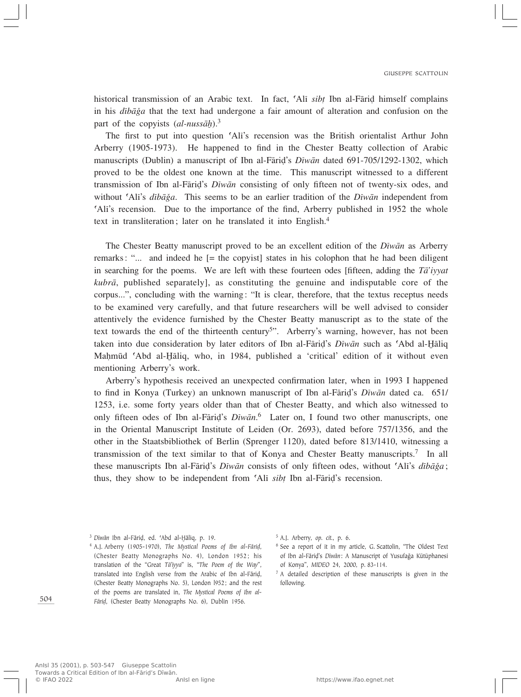historical transmission of an Arabic text. In fact, 'Ali *sibt* Ibn al-Fārid himself complains in his *dîbæÏa* that the text had undergone a fair amount of alteration and confusion on the part of the copyists (*al-nussah*).<sup>3</sup>

The first to put into question 'Ali's recension was the British orientalist Arthur John Arberry (1905-1973). He happened to find in the Chester Beatty collection of Arabic manuscripts (Dublin) a manuscript of Ibn al-Færi∂'s *Dîwæn* dated 691-705/1292-1302, which proved to be the oldest one known at the time. This manuscript witnessed to a different transmission of Ibn al-Færi∂'s *Dîwæn* consisting of only fifteen not of twenty-six odes, and without 'Ali's *dibāğa*. This seems to be an earlier tradition of the *Diwān* independent from Ali's recension. Due to the importance of the find, Arberry published in 1952 the whole text in transliteration; later on he translated it into English.4

The Chester Beatty manuscript proved to be an excellent edition of the *Dîwæn* as Arberry remarks: "... and indeed he [= the copyist] states in his colophon that he had been diligent in searching for the poems. We are left with these fourteen odes [fifteen, adding the *Tæ'iyyat kubræ*, published separately], as constituting the genuine and indisputable core of the corpus...", concluding with the warning: "It is clear, therefore, that the textus receptus needs to be examined very carefully, and that future researchers will be well advised to consider attentively the evidence furnished by the Chester Beatty manuscript as to the state of the text towards the end of the thirteenth century<sup>5</sup>". Arberry's warning, however, has not been taken into due consideration by later editors of Ibn al-Fārid's *Dīwān* such as 'Abd al-*H*āliq Mahmūd 'Abd al-Hāliq, who, in 1984, published a 'critical' edition of it without even mentioning Arberry's work.

Arberry's hypothesis received an unexpected confirmation later, when in 1993 I happened to find in Konya (Turkey) an unknown manuscript of Ibn al-Færi∂'s *Dîwæn* dated ca. 651/ 1253, i.e. some forty years older than that of Chester Beatty, and which also witnessed to only fifteen odes of Ibn al-Færi∂'s *Dîwæn*. <sup>6</sup> Later on, I found two other manuscripts, one in the Oriental Manuscript Institute of Leiden (Or. 2693), dated before 757/1356, and the other in the Staatsbibliothek of Berlin (Sprenger 1120), dated before 813/1410, witnessing a transmission of the text similar to that of Konya and Chester Beatty manuscripts.<sup>7</sup> In all these manuscripts Ibn al-Fāriḍ's *Dīwān* consists of only fifteen odes, without 'Alī's *dībā*ğa; thus, they show to be independent from 'Ali *sibt* Ibn al-Fārid's recension.

<sup>&</sup>lt;sup>3</sup> Dīwān Ibn al-Fāriḍ, ed. 'Abd al-Ḫāliq, p. 19.

<sup>4</sup> A.J. Arberry (1905-1970), *The Mystical Poems of Ibn al-Færi∂*, (Chester Beatty Monographs No. 4), London 1952; his translation of the "Great *Tæ'iyya*" is, "*The Poem of the Way*", translated into English verse from the Arabic of Ibn al-Fāriḍ, (Chester Beatty Monographs No. 5), London l952; and the rest of the poems are translated in, *The Mystical Poems of Ibn al-Færi∂*, (Chester Beatty Monographs No. 6), Dublin 1956.

<sup>5</sup> A.J. Arberry, *op. cit.*, p. 6.

<sup>6</sup> See a report of it in my article, G. Scattolin, "The Oldest Text of Ibn al-Fāriḍ's *Dīwān*: A Manuscript of Yusufağa Kütüphanesi of Konya", *MIDEO* 24, 2000, p. 83-114.

 $<sup>7</sup>$  A detailed description of these manuscripts is given in the</sup> following.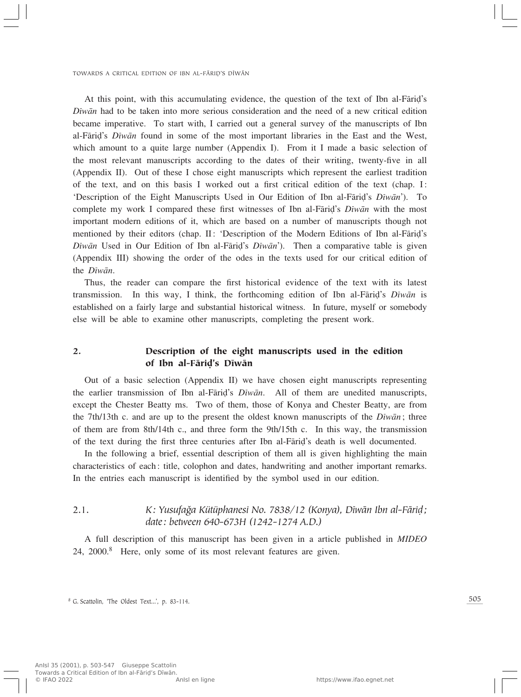At this point, with this accumulating evidence, the question of the text of Ibn al-Færi∂'s *Dîwæn* had to be taken into more serious consideration and the need of a new critical edition became imperative. To start with, I carried out a general survey of the manuscripts of Ibn al-Færi∂'s *Dîwæn* found in some of the most important libraries in the East and the West, which amount to a quite large number (Appendix I). From it I made a basic selection of the most relevant manuscripts according to the dates of their writing, twenty-five in all (Appendix II). Out of these I chose eight manuscripts which represent the earliest tradition of the text, and on this basis I worked out a first critical edition of the text (chap. I: 'Description of the Eight Manuscripts Used in Our Edition of Ibn al-Færi∂'s *Dîwæn*'). To complete my work I compared these first witnesses of Ibn al-Færi∂'s *Dîwæn* with the most important modern editions of it, which are based on a number of manuscripts though not mentioned by their editors (chap. II: 'Description of the Modern Editions of Ibn al-Fāriḍ's *Dîwān* Used in Our Edition of Ibn al-Fāriḍ's *Dīwān*'). Then a comparative table is given (Appendix III) showing the order of the odes in the texts used for our critical edition of the *Dîwæn*.

Thus, the reader can compare the first historical evidence of the text with its latest transmission. In this way, I think, the forthcoming edition of Ibn al-Færi∂'s *Dîwæn* is established on a fairly large and substantial historical witness. In future, myself or somebody else will be able to examine other manuscripts, completing the present work.

### 2. Description of the eight manuscripts used in the edition of Ibn al-Færi∂'s Dîwæn

Out of a basic selection (Appendix II) we have chosen eight manuscripts representing the earlier transmission of Ibn al-Færi∂'s *Dîwæn*. All of them are unedited manuscripts, except the Chester Beatty ms. Two of them, those of Konya and Chester Beatty, are from the 7th/13th c. and are up to the present the oldest known manuscripts of the *Dîwæn*; three of them are from 8th/14th c., and three form the 9th/15th c. In this way, the transmission of the text during the first three centuries after Ibn al-Færi∂'s death is well documented.

In the following a brief, essential description of them all is given highlighting the main characteristics of each: title, colophon and dates, handwriting and another important remarks. In the entries each manuscript is identified by the symbol used in our edition.

# 2.1. *K: YusufaÏa Kütüphanesi No. 7838/12 (Konya), Dîwæn Ibn al-Færi∂; date: between 640-673H (1242-1274 A.D.)*

A full description of this manuscript has been given in a article published in *MIDEO* 24, 2000.<sup>8</sup> Here, only some of its most relevant features are given.

<sup>8</sup> G. Scattolin, 'The Oldest Text...', p. 83-114.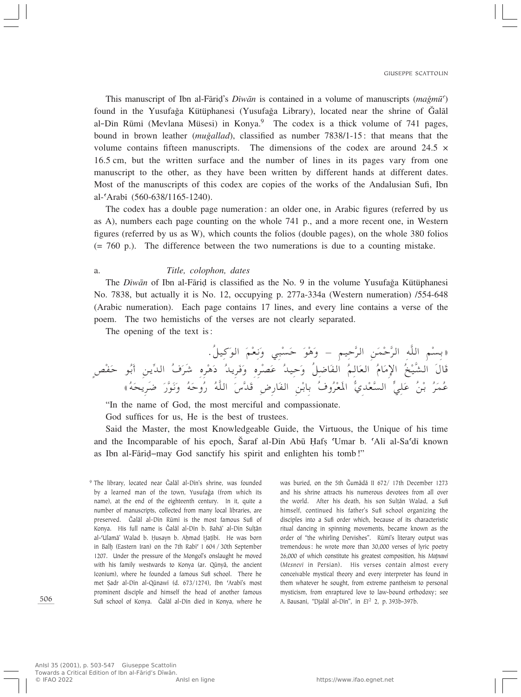This manuscript of Ibn al-Fārid's *Dīwān* is contained in a volume of manuscripts (*mağmū*<sup> $\hat{\ }$ </sup>) found in the Yusufağa Kütüphanesi (Yusufağa Library), located near the shrine of Galal al-Din Rūmī (Mevlana Müsesi) in Konya.<sup>9</sup> The codex is a thick volume of 741 pages, bound in brown leather *(muğallad)*, classified as number 7838/1-15: that means that the volume contains fifteen manuscripts. The dimensions of the codex are around 24.5  $\times$ 16.5 cm, but the written surface and the number of lines in its pages vary from one manuscript to the other, as they have been written by different hands at different dates. Most of the manuscripts of this codex are copies of the works of the Andalusian Sufi, Ibn al-©Arabî (560-638/1165-1240).

The codex has a double page numeration: an older one, in Arabic figures (referred by us as A), numbers each page counting on the whole 741 p., and a more recent one, in Western figures (referred by us as W), which counts the folios (double pages), on the whole 380 folios (= 760 p.). The difference between the two numerations is due to a counting mistake.

#### a. *Title, colophon, dates*

The *Dīwān* of Ibn al-Fārid is classified as the No. 9 in the volume Yusufağa Kütüphanesi No. 7838, but actually it is No. 12, occupying p. 277a-334a (Western numeration) /554-648 (Arabic numeration). Each page contains 17 lines, and every line contains a verse of the poem. The two hemistichs of the verses are not clearly separated.

The opening of the text is:

ÆÔqO Ó u« Ó rÚ F ½Ó Ë w³Ú -Ó Š Ó uÚ ¼Ó Ë ≠ rO Š] d« sÓ LÚ Š] d« t]K« rÚ -Ðò O]A« Ó‰UÓ Ô aÚ ù« Ó ÂU Ô F« Ó r U Ô Ë Ôq {UÓ H« ŠÓ bO dÚ BÓ Ž Ô Ë Á Ó b¹dÓ dÚ ¼Ó œ Ô dÓý Á Ô ·Ó b« = ÐÓ√ s¹ hÚ HÓ Š uÔ Ì åÔ tÓ ×¹dÓ{ Ó —] uÓ ½Ó Ë Ô tÓ ŠËÔ — Ô t]K« Ó "] bÓ ÷—UÓ H« sÚ ÐUÐ Ô ·ËÔ dÚ FÓ\*« ^ ÍbÚ F] -« > w KÓ Ž Ô sÚ Ð Ô dÓ LÔ Ž

"In the name of God, the most merciful and compassionate.

God suffices for us, He is the best of trustees.

Said the Master, the most Knowledgeable Guide, the Virtuous, the Unique of his time and the Incomparable of his epoch, Šaraf al-Din Abū Hafş Umar b. 'Alī al-Sa'dī known as Ibn al-Færi∂–may God sanctify his spirit and enlighten his tomb!"

was buried, on the 5th Gumādā II 672/ 17th December 1273 and his shrine attracts his numerous devotees from all over the world. After his death, his son Sulțān Walad, a Sufi himself, continued his father's Sufi school organizing the disciples into a Sufi order which, because of its characteristic ritual dancing in spinning movements, became known as the order of "the whirling Dervishes". Rūmī's literary output was tremendous: he wrote more than 30,000 verses of lyric poetry 26,000 of which constitute his greatest composition, his Matnawi (*Mesnevi* in Persian). His verses contain almost every conceivable mystical theory and every interpreter has found in them whatever he sought, from extreme pantheism to personal mysticism, from enraptured love to law-bound orthodoxy; see A. Bausani, "Djalāl al-Dīn", in *El*<sup>2</sup> 2, p. 393b-397b.

<sup>&</sup>lt;sup>9</sup> The library, located near Galal al-Din's shrine, was founded by a learned man of the town, Yusufağa (from which its name), at the end of the eighteenth century. In it, quite a number of manuscripts, collected from many local libraries, are preserved. Čalāl al-Dīn Rūmī is the most famous Sufi of Konya. His full name is Ğalāl al-Dīn b. Bahā' al-Dīn Sultān al-'Ulamā' Walad b. Ḥusayn b. Aḥmad Ḥaṭībī. He was born in Balḫ (Eastern Iran) on the 7th Rabī<sup>c</sup> I 604 / 30th September 1207. Under the pressure of the Mongol's onslaught he moved with his family westwards to Konya (ar. Qūnyā, the ancient Iconium), where he founded a famous Sufi school. There he met Şadr al-Dīn al-Qūnawī (d. 673/1274), Ibn 'Arabī's most prominent disciple and himself the head of another famous Sufi school of Konya. Ğalāl al-Dīn died in Konya, where he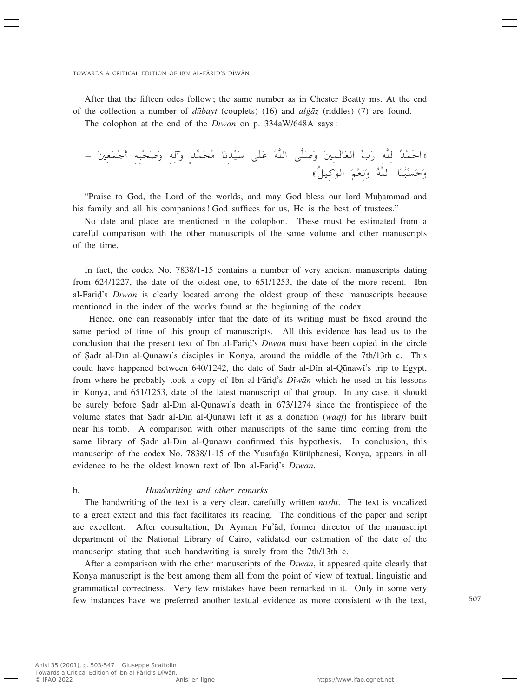After that the fifteen odes follow; the same number as in Chester Beatty ms. At the end of the collection a number of *dūbayt* (couplets) (16) and *algaz* (riddles) (7) are found.

The colophon at the end of the *Dîwæn* on p. 334aW/648A says:

≠ Ó 5 FÓ LÚ łÓ√ t³Ú ×Ó Ó Ë t ¬Ó Ë Ìb] LÓ ×Ô UÓ ½b= OÓ Ý vÓKÓ Ž Ô t]K« v]KÓ Ó Ë Ó 5 LÓUÓ F« = »Ó — t]K Ô bÚ LÓ(«ò åÔqO Ó u« Ó rÚ F ½Ó Ë Ô t]K« UÓ MÔ ³Ú -Ó ŠÓ Ë

"Praise to God, the Lord of the worlds, and may God bless our lord Muhammad and his family and all his companions! God suffices for us, He is the best of trustees."

No date and place are mentioned in the colophon. These must be estimated from a careful comparison with the other manuscripts of the same volume and other manuscripts of the time.

In fact, the codex No. 7838/1-15 contains a number of very ancient manuscripts dating from 624/1227, the date of the oldest one, to 651/1253, the date of the more recent. Ibn al-Færi∂'s *Dîwæn* is clearly located among the oldest group of these manuscripts because mentioned in the index of the works found at the beginning of the codex.

Hence, one can reasonably infer that the date of its writing must be fixed around the same period of time of this group of manuscripts. All this evidence has lead us to the conclusion that the present text of Ibn al-Færi∂'s *Dîwæn* must have been copied in the circle of Sadr al-Din al-Qūnawī's disciples in Konya, around the middle of the 7th/13th c. This could have happened between  $640/1242$ , the date of Sadr al-Din al-Qūnawi's trip to Egypt, from where he probably took a copy of Ibn al-Færi∂'s *Dîwæn* which he used in his lessons in Konya, and 651/1253, date of the latest manuscript of that group. In any case, it should be surely before Şadr al-Din al-Qūnawi's death in 673/1274 since the frontispiece of the volume states that Sadr al-Dīn al-Qūnawī left it as a donation (*waqf*) for his library built near his tomb. A comparison with other manuscripts of the same time coming from the same library of Şadr al-Din al-Qūnawī confirmed this hypothesis. In conclusion, this manuscript of the codex No. 7838/1-15 of the Yusufağa Kütüphanesi, Konya, appears in all evidence to be the oldest known text of Ibn al-Færi∂'s *Dîwæn*.

#### b. *Handwriting and other remarks*

The handwriting of the text is a very clear, carefully written *nashi*. The text is vocalized to a great extent and this fact facilitates its reading. The conditions of the paper and script are excellent. After consultation, Dr Ayman Fu'æd, former director of the manuscript department of the National Library of Cairo, validated our estimation of the date of the manuscript stating that such handwriting is surely from the 7th/13th c.

After a comparison with the other manuscripts of the *Dîwæn*, it appeared quite clearly that Konya manuscript is the best among them all from the point of view of textual, linguistic and grammatical correctness. Very few mistakes have been remarked in it. Only in some very few instances have we preferred another textual evidence as more consistent with the text,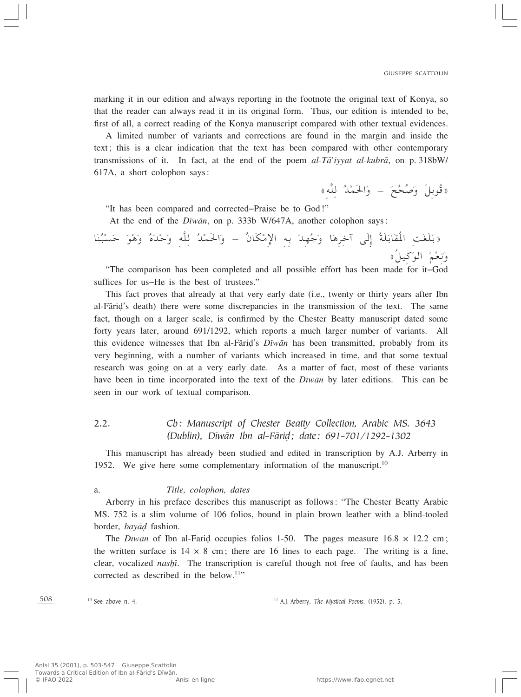marking it in our edition and always reporting in the footnote the original text of Konya, so that the reader can always read it in its original form. Thus, our edition is intended to be, first of all, a correct reading of the Konya manuscript compared with other textual evidences.

A limited number of variants and corrections are found in the margin and inside the text; this is a clear indication that the text has been compared with other contemporary transmissions of it. In fact, at the end of the poem *al-Tæ'iyyat al-kubræ*, on p. 318bW/ 617A, a short colophon says:

((فوبِل وصحح – والحمد لِلَّهِ)

"It has been compared and corrected–Praise be to God!"

At the end of the *Dîwæn*, on p. 333b W/647A, another colophon says:

((بلغت المقابلة إِلَى اخْرِهَا وَجَهِلَا بِهِ الإِمْكَالَ – وَالْحَمَلَ لِلّهِ وَحَدَهُ وَهُوَ حَسَبْنَا<br>وَيَسْتَدَبَّنَ لَهُمْ الْمَسْتَدَبِّينَ الْجَرِهَا وَجَهَلَا بِهِ الْإِمْكَالَ – وَالْحَمَلَا لِلّهِ وَحَدَهُ وَهُو Í. ونعم الوكيل»<br>Famit Cad وبعثم "الوكيل»<br>The comparison has been completed and all possible effort has been made for it–God" ں<br>ح

suffices for us–He is the best of trustees."

This fact proves that already at that very early date (i.e., twenty or thirty years after Ibn al-Færi∂'s death) there were some discrepancies in the transmission of the text. The same fact, though on a larger scale, is confirmed by the Chester Beatty manuscript dated some forty years later, around 691/1292, which reports a much larger number of variants. All this evidence witnesses that Ibn al-Færi∂'s *Dîwæn* has been transmitted, probably from its very beginning, with a number of variants which increased in time, and that some textual research was going on at a very early date. As a matter of fact, most of these variants have been in time incorporated into the text of the *Dîwæn* by later editions. This can be seen in our work of textual comparison.

# 2.2. *Cb: Manuscript of Chester Beatty Collection, Arabic MS. 3643 (Dublin), Dîwæn Ibn al-Færi∂; date: 691-701/1292-1302*

This manuscript has already been studied and edited in transcription by A.J. Arberry in 1952. We give here some complementary information of the manuscript.<sup>10</sup>

#### a. *Title, colophon, dates*

Arberry in his preface describes this manuscript as follows: "The Chester Beatty Arabic MS. 752 is a slim volume of 106 folios, bound in plain brown leather with a blind-tooled border, *bayæ∂* fashion.

The *Diwān* of Ibn al-Fārid occupies folios 1-50. The pages measure 16.8 × 12.2 cm; the written surface is  $14 \times 8$  cm; there are 16 lines to each page. The writing is a fine, clear, vocalized *nashi*. The transcription is careful though not free of faults, and has been corrected as described in the below.<sup>11</sup>"

508

<sup>10</sup> See above n. 4. <sup>11</sup> A.J. Arberry, *The Mystical Poems*, (1952), p. 5.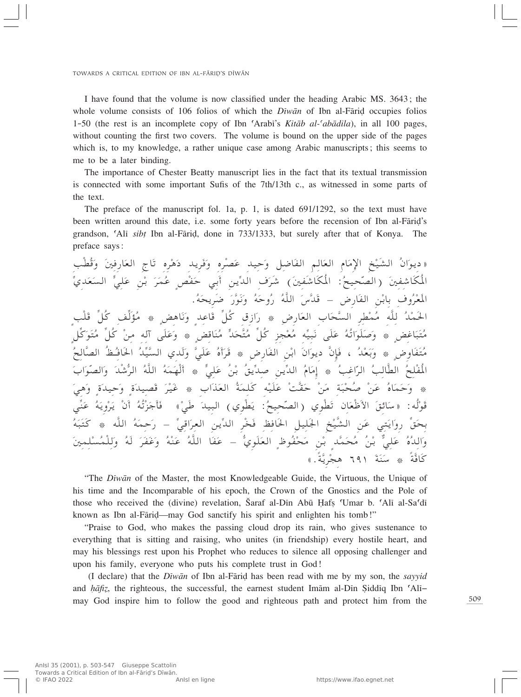I have found that the volume is now classified under the heading Arabic MS. 3643; the whole volume consists of 106 folios of which the *Diwan* of Ibn al-Farid occupies folios 1-50 (the rest is an incomplete copy of Ibn ©Arabî's *Kitæb al-©abædila*), in all 100 pages, without counting the first two covers. The volume is bound on the upper side of the pages which is, to my knowledge, a rather unique case among Arabic manuscripts; this seems to me to be a later binding.

The importance of Chester Beatty manuscript lies in the fact that its textual transmission is connected with some important Sufis of the 7th/13th c., as witnessed in some parts of the text.

The preface of the manuscript fol. 1a, p. 1, is dated 691/1292, so the text must have been written around this date, i.e. some forty years before the recension of Ibn al-Fārid's grandson, 'Alī *sibț* Ibn al-Fāriḍ, done in 733/1333, but surely after that of Konya. The preface says:

« ديوال الشيخ الإمام العالم الفاضل وحيد عصره وفريد دهره تاج العارفين وقطب<br>ويُرَمُّ المُسْتَدَمُّ الْإِمَامُ العَالَمُ الْمُحْمَّدُ بِنَ أَنْ يَدْفَعُ الْإِبْرَانَ الْمُحْمَّدُ وَقَطَبَ المكاشفين (الصحيح: المكاشفين) شرف الدين أبي حقص عمر بن علي السعد<br>وَدَوْرَ وَمَرَّزَ فَلَمْ يَرْسَى اللَّهُ وَمَرَّةٌ وَمَرَّةٌ وَمَرَّةٌ وَمَرَّةٌ وَمَرَّةٌ وَمَرَّةٌ وَمَرَّة مدي المعروف بابن الفارِض – فلاس الله روحه ونور ضرِيحه.<br>مُكونُ أَوَّلُونَ مَنْ أَوْرَضَ مَنْ الله الحمد لله ممطر السحاب العارض \* رازق كل فاعد وناهض \* ه<br>وي ىاھىص \* مۇلف كل قلب<br>مەنبەت مەنبەت ئىلمان ئىلمان ىل ق<br>سى ىل<sub>،</sub><br>ق و<br>∘ ²Ô حل م<br>مو متباعض \* وصلواته على نبيه معجزٍ كلّ متحد مناقض \* وعلى اله من<br>وي ∫<br>Ú Ô, ح<br>C U<br><<br>< متعاوض \* وبعد ، فإن ديوان ابن الفارض \* قراه علي ولدي السيد الحافظ الصر<br>وُهند سنة بن السنة وسنة من الصحيح الصحيح والصحيح ولدي السيد الحافظ الصر Ì. ‡ ب<br>. ` KÚ HÔ\*« Ô V U]D« Ô d« ÓÒ V ž« ¿ Ô ≈ Ó ÂU Ô b« = b s¹ = Ð Ô o¹ KÓ Ž Ô sÚ w ¿ NÚÓ√ Ô tÓ LÓ t]K« Ô d« ý^ بد و<br>. والصو الصواب<br>مستق هي<br>پ ِ و …Ó يد<br>- $\tilde{\zeta}$ ِ و …Ó يىد<br>م ح صحبه من حقت عليه كلمه العداب \* عير قصر<br>عرف عليه من الله عليه عليه عليه من الله عليه عليه الله عليه الله عليه الله عليه الله عليه الله عليه الله عليه \* وحماه عن<br>په و فوله: «سائق الأطعال تطوي (الصحيح: يطوي) البِيد طي» فاج<br>\* قاجزيه ٥١ ير*و*<br>ف رويه عني<br>مر .<br>. ع<br>ح لم<br>ا بِحَقَّ رِوَايَتِي عَنِ الشَّيْخِ الْجُلِيلِ الْحَافِظِ فَخْرِ الدِّينِ الْعِرَاقِيِّ – رَحِمَهُ<br>يَسْمَعُونَ مَسَمَّدِهِ مِنْ أَحْسَنَ مَنْ الْمُسْتَمَرِّينَ مِنْ الْمُسْتَمَرِّينَ مِنْ الْمُسْتَمَرِّينَ مِن ﻪ ﺍﻟﻠﻪ ۞ ﺩ<del>ﺘ</del>ﺒ<br>∠∘ ◦ ◦ <u>◦</u> الله \* كتبه<br>مستقله لم<br>ر ين<br>- $\sim$ KÚ ...<br>i<br>Î لم<br>ا ر<br>أ والده علي بن محمد بن محفوظ العلوي – عقا الله عنه وعقر له و<br>حَقَّةٌ Ð حافه \* سنه ٦٦١ هجرِيه.»

"The *Dîwæn* of the Master, the most Knowledgeable Guide, the Virtuous, the Unique of his time and the Incomparable of his epoch, the Crown of the Gnostics and the Pole of those who received the (divine) revelation, Šaraf al-Dīn Abū Hafs 'Umar b. 'Alī al-Sa'dī known as Ibn al-Fāriḍ—may God sanctify his spirit and enlighten his tomb!"

"Praise to God, who makes the passing cloud drop its rain, who gives sustenance to everything that is sitting and raising, who unites (in friendship) every hostile heart, and may his blessings rest upon his Prophet who reduces to silence all opposing challenger and upon his family, everyone who puts his complete trust in God!

(I declare) that the *Dîwæn* of Ibn al-Færi∂ has been read with me by my son, the *sayyid* and *ÌæfiÂ*, the righteous, the successful, the earnest student Imæm al-Dîn ∑iddîq Ibn ©Alî– may God inspire him to follow the good and righteous path and protect him from the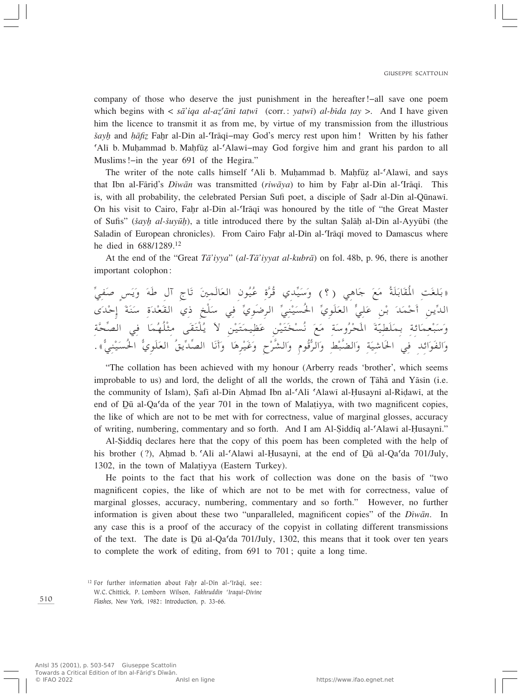company of those who deserve the just punishment in the hereafter!–all save one poem which begins with  $\langle \bar{s}a' \rangle$ *iqa al-az'anī tatwī* (corr.: *yatwī*) *al-bīda tay* >. And I have given him the licence to transmit it as from me, by virtue of my transmission from the illustrious  $\frac{1}{2}$  *and <i>hafiz* Fahr al-Din al-Traqi−may God's mercy rest upon him! Written by his father 'Ali b. Muhammad b. Mahfūz al-'Alawi–may God forgive him and grant his pardon to all Muslims!–in the year 691 of the Hegira."

The writer of the note calls himself 'Ali b. Muhammad b. Mahfūz al-'Alawi, and says that Ibn al-Fāriḍ's *Dīwān* was transmitted (*riwāya*) to him by Faḫr al-Dīn al-Trāqī. This is, with all probability, the celebrated Persian Sufi poet, a disciple of Şadr al-Dīn al-Qūnawī. On his visit to Cairo, Fahr al-Din al-Trāqī was honoured by the title of "the Great Master" of Sufis" (*šayh al-šuyūh*), a title introduced there by the sultan Şalāh al-Dīn al-Ayyūbī (the Saladin of European chronicles). From Cairo Fahr al-Din al-Trāqī moved to Damascus where he died in 688/1289.12

At the end of the "Great *Tæ'iyya*" (*al-Tæ'iyyat al-kubræ*) on fol. 48b, p. 96, there is another important colophon:

(بلغت المقابلة مع جاهي (٢) وسيلي قره عيول العالمين تاج آل طه ويس صفي<br>رحمت المقابلة مع جاهي (٢) وسيلي قرء رحمت الدين احمد بن علي العلوي الحسيني الرضوي في سلخ دي الفعدة سنه إحدى<br>مدين أحمد بن أوراني في العلوي الحسيني الرضوي في الله المُركز  $\overline{a}$ حک<br>و وسبعمائه بملطيه المحروسه مع نسحتين عطيمتين لا يلتقى متلهما في الصر<br>وسبعمائه بملطيه المحروسة Ì. والفوائد في الحاشية والضبط والرفوم والشرح وعيرها وأنا الصديق العلوي الحسيني».

"The collation has been achieved with my honour (Arberry reads 'brother', which seems improbable to us) and lord, the delight of all the worlds, the crown of Tāhā and Yāsīn (i.e. the community of Islam), Şafî al-Dîn Aḥmad Ibn al-ʿAlī ʿAlawī al-Ḥusaynī al-Riḍawī, at the end of  $D\bar{u}$  al-Qa'da of the year 701 in the town of Malatiyya, with two magnificent copies, the like of which are not to be met with for correctness, value of marginal glosses, accuracy of writing, numbering, commentary and so forth. And I am Al-Şiddīq al-'Alawī al-Husaynī."

Al-∑iddîq declares here that the copy of this poem has been completed with the help of his brother (?), Ahmad b. Alī al-Alawī al-Husaynī, at the end of  $\overline{D}\bar{u}$  al-Qa $\overline{a}$  701/July, 1302, in the town of Malatiyya (Eastern Turkey).

He points to the fact that his work of collection was done on the basis of "two magnificent copies, the like of which are not to be met with for correctness, value of marginal glosses, accuracy, numbering, commentary and so forth." However, no further information is given about these two "unparalleled, magnificent copies" of the *Dîwæn*. In any case this is a proof of the accuracy of the copyist in collating different transmissions of the text. The date is  $D\bar{u}$  al-Qa<sup>c</sup>da 701/July, 1302, this means that it took over ten years to complete the work of editing, from 691 to 701; quite a long time.

<sup>&</sup>lt;sup>12</sup> For further information about Fahr al-Dīn al-'Irāqī, see: W.C. Chittick, P. Lomborn Wilson, *Fakhruddin 'Iraqui-Divine Flashes*, New York, 1982: Introduction, p. 33-66.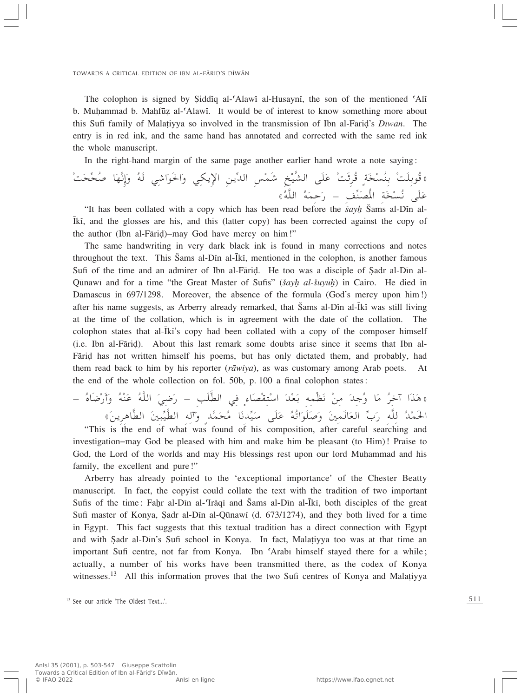The colophon is signed by Siddiq al- $\Delta$ Alawī al-Husaynī, the son of the mentioned  $\Delta$ Ii b. Muhammad b. Mahfūz al-'Alawi. It would be of interest to know something more about this Sufi family of Mala†iyya so involved in the transmission of Ibn al-Færi∂'s *Dîwæn*. The entry is in red ink, and the same hand has annotated and corrected with the same red ink the whole manuscript.

In the right-hand margin of the same page another earlier hand wrote a note saying:

XÓ ×= ×Ô UÓ N] ½≈Ó Ë Ô tÓ w ý«Ó uÓ(«Ó Ë w J¹ù« s¹= b« fÚ LÓý aÚ O]A« vÓKÓ Ž Ú XÓzdÔ Ì WÓ Ú -Ô MÐ Ú XÓKÐuÔ ò Ô

على نسخه المصنف – رحمه الله»<br>\*It has been collated with a copy which has been read before the *žayŀ* Šams al-Dīn alïkî, and the glosses are his, and this (latter copy) has been corrected against the copy of the author (Ibn al-Fāriḍ)–may God have mercy on him!"

The same handwriting in very dark black ink is found in many corrections and notes throughout the text. This Sams al-Din al-Īkī, mentioned in the colophon, is another famous Sufi of the time and an admirer of Ibn al-Fārid. He too was a disciple of Sadr al-Dīn al-Qūnawī and for a time "the Great Master of Sufis" (*šayh al-šuyūh*) in Cairo. He died in Damascus in 697/1298. Moreover, the absence of the formula (God's mercy upon him!) after his name suggests, as Arberry already remarked, that Šams al-Din al-Īkī was still living at the time of the collation, which is in agreement with the date of the collation. The colophon states that al- $\overline{k}i$ 's copy had been collated with a copy of the composer himself (i.e. Ibn al-Færi∂). About this last remark some doubts arise since it seems that Ibn al-Fārid has not written himself his poems, but has only dictated them, and probably, had them read back to him by his reporter (*ræwiya*), as was customary among Arab poets. At the end of the whole collection on fol. 50b, p. 100 a final colophon states:

≠ Ô ÁUÓ{Ú —Ó√Ó Ë Ô tÚ MÓ Ž Ô t]K« Ó w {Ó — ≠ VÓKÓ ÒD« w Ì ¡UÓ BÚ I ²Ú Ý« Ó bÚ FÓ Ð t LÚEÓ ½ Ú s Ó b łÔ Ë UÓ Ô d š¬ «Ó cÓ ¼ò الحمد لله رب العالمين وصلواته على سيدنا محمد واله الطيبين الطاهرين»<br>Lo the end of what was found of his composition after caraful searching and

"This is the end of what was found of his composition, after careful searching and investigation–may God be pleased with him and make him be pleasant (to Him)! Praise to God, the Lord of the worlds and may His blessings rest upon our lord Muhammad and his family, the excellent and pure!"

Arberry has already pointed to the 'exceptional importance' of the Chester Beatty manuscript. In fact, the copyist could collate the text with the tradition of two important Sufis of the time: Fahr al-Dīn al-Trāqī and Šams al-Dīn al-Īkī, both disciples of the great Sufi master of Konya, Şadr al-Dīn al-Qūnawī (d. 673/1274), and they both lived for a time in Egypt. This fact suggests that this textual tradition has a direct connection with Egypt and with ∑adr al-Dîn's Sufi school in Konya. In fact, Mala†iyya too was at that time an important Sufi centre, not far from Konya. Ibn ©Arabî himself stayed there for a while; actually, a number of his works have been transmitted there, as the codex of Konya witnesses.<sup>13</sup> All this information proves that the two Sufi centres of Konya and Malatiyya

<sup>&</sup>lt;sup>13</sup> See our article 'The Oldest Text...'.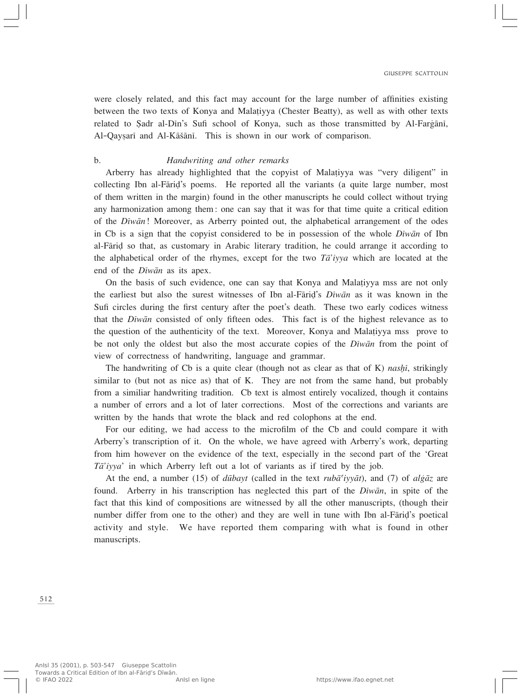were closely related, and this fact may account for the large number of affinities existing between the two texts of Konya and Mala†iyya (Chester Beatty), as well as with other texts related to Sadr al-Dīn's Sufi school of Konya, such as those transmitted by Al-Fargāni, Al-Qayṣarī and Al-Kāšānī. This is shown in our work of comparison.

#### b. *Handwriting and other remarks*

Arberry has already highlighted that the copyist of Mala†iyya was "very diligent" in collecting Ibn al-Færi∂'s poems. He reported all the variants (a quite large number, most of them written in the margin) found in the other manuscripts he could collect without trying any harmonization among them: one can say that it was for that time quite a critical edition of the *Dîwæn*! Moreover, as Arberry pointed out, the alphabetical arrangement of the odes in Cb is a sign that the copyist considered to be in possession of the whole *Dîwæn* of Ibn al-Færi∂ so that, as customary in Arabic literary tradition, he could arrange it according to the alphabetical order of the rhymes, except for the two *Tæ'iyya* which are located at the end of the *Dîwæn* as its apex.

On the basis of such evidence, one can say that Konya and Mala†iyya mss are not only the earliest but also the surest witnesses of Ibn al-Færi∂'s *Dîwæn* as it was known in the Sufi circles during the first century after the poet's death. These two early codices witness that the *Dîwæn* consisted of only fifteen odes. This fact is of the highest relevance as to the question of the authenticity of the text. Moreover, Konya and Mala†iyya mss prove to be not only the oldest but also the most accurate copies of the *Dîwæn* from the point of view of correctness of handwriting, language and grammar.

The handwriting of Cb is a quite clear (though not as clear as that of K) *nashi*, strikingly similar to (but not as nice as) that of K. They are not from the same hand, but probably from a similiar handwriting tradition. Cb text is almost entirely vocalized, though it contains a number of errors and a lot of later corrections. Most of the corrections and variants are written by the hands that wrote the black and red colophons at the end.

For our editing, we had access to the microfilm of the Cb and could compare it with Arberry's transcription of it. On the whole, we have agreed with Arberry's work, departing from him however on the evidence of the text, especially in the second part of the 'Great *Tæ'iyya*' in which Arberry left out a lot of variants as if tired by the job.

At the end, a number (15) of  $d\bar{u}bavt$  (called in the text *ruba<sup>c</sup>ivyat*), and (7) of  $d\bar{g}z$  are found. Arberry in his transcription has neglected this part of the *Dîwæn*, in spite of the fact that this kind of compositions are witnessed by all the other manuscripts, (though their number differ from one to the other) and they are well in tune with Ibn al-Fāriḍ's poetical activity and style. We have reported them comparing with what is found in other manuscripts.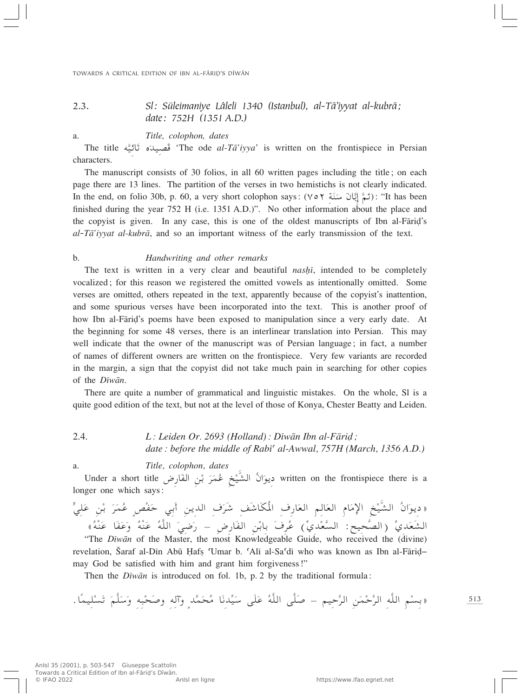# 2.3. *Sl: Süleimaniye Lâleli 1340 (Istanbul), al-Tæ'iyyat al-kubræ; date: 752H (1351 A.D.)*

a. *Title, colophon, dates*

The title قُصِيدَه تَأْثِيَّه "The ode *al-Tā'iyya*' is written on the frontispiece in Persian<br>racters. characters.

The manuscript consists of 30 folios, in all 60 written pages including the title; on each page there are 13 lines. The partition of the verses in two hemistichs is not clearly indicated. In the end, on folio 30b, p. 60, a very short colophon says: (∀ سَمَّ إِبَّانَ سَنَةِ ؟): "It has been<br>finished during the year 752 H (i.e. 1351 A.D.)". No other information about the place and finished during the year 752 H (i.e. 1351 A.D.)". No other information about the place and the copyist is given. In any case, this is one of the oldest manuscripts of Ibn al-Fāriḍ's *al*-*Tæ'iyyat al-kubræ*, and so an important witness of the early transmission of the text.

#### b. *Handwriting and other remarks*

The text is written in a very clear and beautiful *nashi*, intended to be completely vocalized; for this reason we registered the omitted vowels as intentionally omitted. Some verses are omitted, others repeated in the text, apparently because of the copyist's inattention, and some spurious verses have been incorporated into the text. This is another proof of how Ibn al-Fāriḍ's poems have been exposed to manipulation since a very early date. At the beginning for some 48 verses, there is an interlinear translation into Persian. This may well indicate that the owner of the manuscript was of Persian language; in fact, a number of names of different owners are written on the frontispiece. Very few variants are recorded in the margin, a sign that the copyist did not take much pain in searching for other copies of the *Dîwæn*.

There are quite a number of grammatical and linguistic mistakes. On the whole, Sl is a quite good edition of the text, but not at the level of those of Konya, Chester Beatty and Leiden.

2.4. *L: Leiden Or. 2693 (Holland): Dîwæn Ibn al-Færi∂; date: before the middle of Rabî© al-Awwal, 757H (March, 1356 A.D.)*

a. *Title, colophon, dates*

Under a short title دِيوَانُ الشَّيْخِ عُمَرَ بْنِ الفَارِض Under a short title<br>ger one which says: دِيوَانُ الشَّيْخِ عُمَرَ بْنِ الفَارِض longer one which says:

« ديوان الشيخ الإمام العالم العارف المكاشف شرف الدين أبي حَفص عَمَرَ بْنِ عَلِيَ<br>حَمَّدَتَ الْمُسَمَّدَةِ الْمَسَمَّدِينَ مَثَّلِ الْمَسَمَّدَةِ مَثَّلِ الْمَسْمَدِينَ الْمَسْمَدِينَ عَلَيْهِ الشعلاي (الصحيح: السعلاي) عرف بابنِ الفارِضِ – رضي الله عنه وعفا عنه»<br>The *Dīwān* of the Master, the most Knowledgeable Guide, who received the (divine)<sup>.</sup>

revelation, Šaraf al-Dīn Abū Hafs 'Umar b. 'Alī al-Sa'dī who was known as Ibn al-Fārid– may God be satisfied with him and grant him forgiveness!"

Then the *Dîwæn* is introduced on fol. 1b, p. 2 by the traditional formula:

513 ÆUÎ LO KÚ -Ó ð Ó r]KÓ ÝÓ Ë t ³Ú ×Ó Ë t ¬Ó Ë Ìb] LÓ ×Ô UÓ ½b= OÓ Ý vÓKÓ Ž Ô t]K« v]KÓ ≠ rO Š] d« sÓ LÚ Š] d« t]K« rÚ -Ðò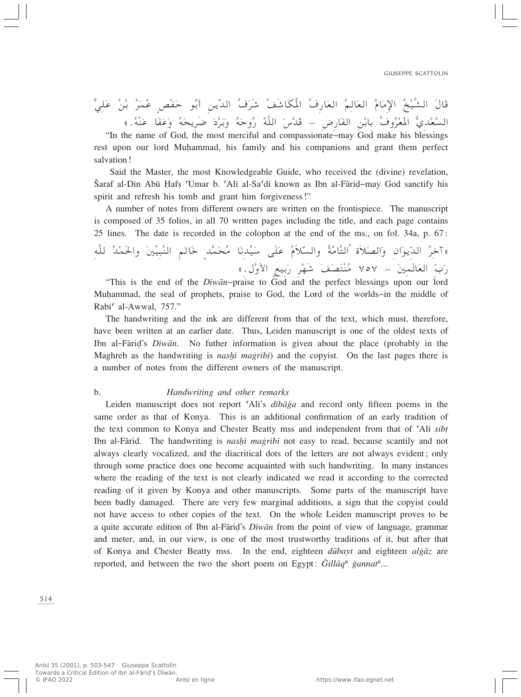قال الشيخ الإمام العالم العارف المكاشف شرف الدين ابو حقص عمر بن علي<br>مرشود و كون و فرود بن من المكان المكاشف شرف الدين كريدا من و الله و الله و الله و الله و الله و الله و الله و السعدي المعروف بابن الفارض – فلاس الله روحه وبرد ضريحه وعفا عنه.))<br>he name of God the most merciful and compassionate may God make his blessings

"In the name of God, the most merciful and compassionate–may God make his blessings rest upon our lord Muhammad, his family and his companions and grant them perfect salvation!

Said the Master, the most Knowledgeable Guide, who received the (divine) revelation, Šaraf al-Dīn Abū Hafs 'Umar b. 'Alī al-Sa'dī known as Ibn al-Fārid–may God sanctify his spirit and refresh his tomb and grant him forgiveness!"

A number of notes from different owners are written on the frontispiece. The manuscript is composed of 35 folios, in all 70 written pages including the title, and each page contains 25 lines. The date is recorded in the colophon at the end of the ms., on fol. 34a, p. 67:

«آخِرِ اللَّاوِالُ والصّلاةُ التّامَةُ والسّلامُ عَلَى سَيْدَنَا مَحْمَدٍ خَاتَمٍ النّبِيّينَ والحمد للّهِ<br>يَدْ سَيَدِيَ بِيَ الْمُؤْمِنَ فَيَ الْمُؤْمِنَ الْمُؤْمِنَ الْمُؤْمَنَ الْمُؤْمِنَةِ الْمُؤْمِنَةِ الْمُؤْمِن Ò رب العالمين – ٧٥٧ منتصف شهر ربيع الاول.)<br>raise to God and the perfect blessings upon our lord Ò

"This is the end of the *Dîwæn*–praise to God and the perfect blessings upon our lord Muhammad, the seal of prophets, praise to God, the Lord of the worlds–in the middle of Rabi<sup>c</sup> al-Awwal, 757."

The handwriting and the ink are different from that of the text, which must, therefore, have been written at an earlier date. Thus, Leiden manuscript is one of the oldest texts of Ibn al-Færi∂'s *Dîwæn*. No futher information is given about the place (probably in the Maghreb as the handwriting is *nashi magribi*) and the copyist. On the last pages there is a number of notes from the different owners of the manuscript.

#### b. *Handwriting and other remarks*

Leiden manuscript does not report 'Ali's *dibāğa* and record only fifteen poems in the same order as that of Konya. This is an additional confirmation of an early tradition of the text common to Konya and Chester Beatty mss and independent from that of 'Ali *sibt* Ibn al-Fāriḍ. The handwriting is *nashī magribī* not easy to read, because scantily and not always clearly vocalized, and the diacritical dots of the letters are not always evident; only through some practice does one become acquainted with such handwriting. In many instances where the reading of the text is not clearly indicated we read it according to the corrected reading of it given by Konya and other manuscripts. Some parts of the manuscript have been badly damaged. There are very few marginal additions, a sign that the copyist could not have access to other copies of the text. On the whole Leiden manuscript proves to be a quite accurate edition of Ibn al-Færi∂'s *Dîwæn* from the point of view of language, grammar and meter, and, in our view, is one of the most trustworthy traditions of it, but after that of Konya and Chester Beatty mss. In the end, eighteen *dūbayt* and eighteen *algaz* are reported, and between the two the short poem on Egypt:  $\tilde{G}$ *illaq<sup>u</sup> ǧannat<sup>u</sup>*...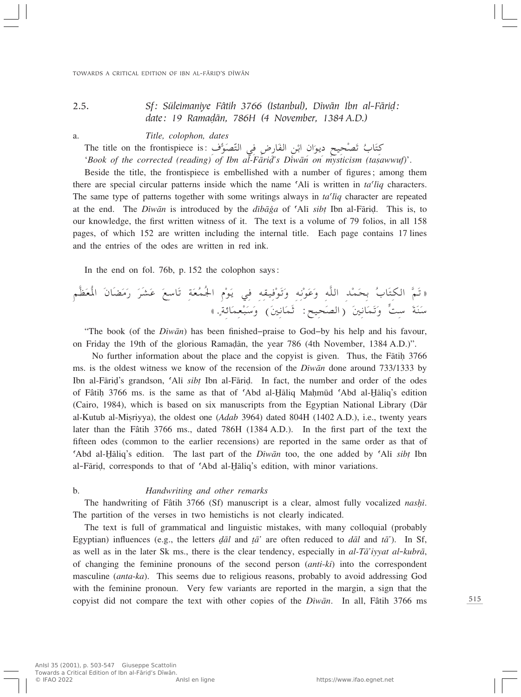# 2.5. *Sf: Süleimaniye Fâtih 3766 (Istanbul), Dîwæn Ibn al-Færi∂: date: 19 Rama∂æn, 786H (4 November, 1384 A.D.)*

a. *Title, colophon, dates*

كِتَابُ تَصْحِيح ديوَان ابْنِ الفَارِضِ فِي التَّصَوُّفِ :The title on the frontispiece is

'*Book of the corrected (reading) of Ibn al-Fārid's Diwan on mysticism (tasawwuf)'*.

Beside the title, the frontispiece is embellished with a number of figures; among them there are special circular patterns inside which the name  $\Delta$ li is written in *ta* $\Omega$ *iq* characters. The same type of patterns together with some writings always in *ta©lîq* character are repeated at the end. The *Dîwæn* is introduced by the *dîbæÏa* of ©Alî *sib†* Ibn al-Færi∂. This is, to our knowledge, the first written witness of it. The text is a volume of 79 folios, in all 158 pages, of which 152 are written including the internal title. Each page contains 17 lines and the entries of the odes are written in red ink.

In the end on fol. 76b, p. 152 the colophon says:

r]EÓ FÔ\*« Ó ÊUÓCÓ Ó — Ó dÓAÓ Ž Ó l ÝUÓ ð WÓ FÔ LÔ'« ÂÚ uÓ ¹ w t IO Ú uÓ ðÓ Ë t ½Ú uÓ ŽÓ Ë t]K« bÚ LÓ ×Ð Ô »UÓ ² J« ] rÓ ðò WzUÓ L FÚ ³Ó ÝÓ Ë ©Ó 5 ½UÓ LÓŁ ∫`O ×Ó B«® Ó 5 ½UÓ LÓ ðÓ Ë X Ý Ó WÓ MÓ Ý Ì åÆ

"The book (of the *Dîwæn*) has been finished–praise to God–by his help and his favour, on Friday the 19th of the glorious Rama∂æn, the year 786 (4th November, 1384 A.D.)".

No further information about the place and the copyist is given. Thus, the Fatih 3766 ms. is the oldest witness we know of the recension of the *Dîwæn* done around 733/1333 by Ibn al-Færi∂'s grandson, ©Alî *sib†* Ibn al-Færi∂. In fact, the number and order of the odes of Fâtih 3766 ms. is the same as that of 'Abd al-*H*aliq Mahmud 'Abd al-*Haliq's edition* (Cairo, 1984), which is based on six manuscripts from the Egyptian National Library (Dær al-Kutub al-Misriyya), the oldest one (*Adab* 3964) dated 804H (1402 A.D.), i.e., twenty years later than the Fâtih 3766 ms., dated 786H (1384 A.D.). In the first part of the text the fifteen odes (common to the earlier recensions) are reported in the same order as that of ©Abd al-⁄æliq's edition. The last part of the *Dîwæn* too, the one added by ©Alî *sib†* Ibn al-Fāriḍ, corresponds to that of 'Abd al-Ḫāliq's edition, with minor variations.

#### b. *Handwriting and other remarks*

The handwriting of Fâtih 3766 (Sf) manuscript is a clear, almost fully vocalized *nashi*. The partition of the verses in two hemistichs is not clearly indicated.

The text is full of grammatical and linguistic mistakes, with many colloquial (probably Egyptian) influences (e.g., the letters  $d\bar{a}l$  and  $t\bar{a}$ <sup>'</sup> are often reduced to  $d\bar{a}l$  and  $t\bar{a}$ <sup>'</sup>). In Sf, as well as in the later Sk ms., there is the clear tendency, especially in *al-Tæ'iyyat al*-*kubræ*, of changing the feminine pronouns of the second person (*anti*-*ki*) into the correspondent masculine (*anta*-*ka*). This seems due to religious reasons, probably to avoid addressing God with the feminine pronoun. Very few variants are reported in the margin, a sign that the copyist did not compare the text with other copies of the *Dîwæn*. In all, Fâtih 3766 ms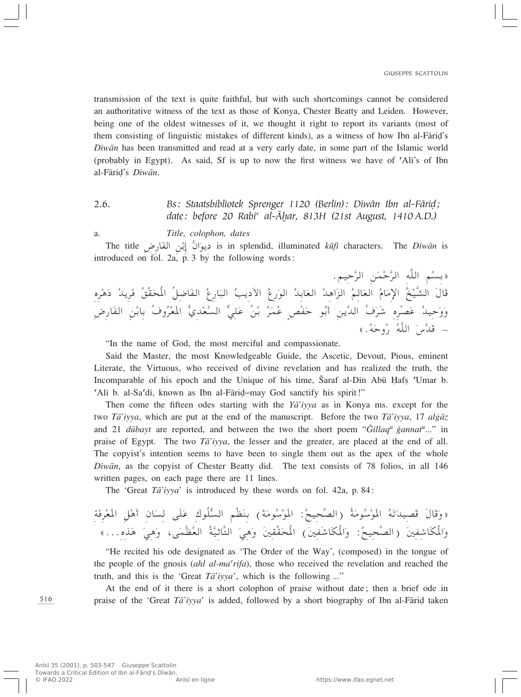transmission of the text is quite faithful, but with such shortcomings cannot be considered an authoritative witness of the text as those of Konya, Chester Beatty and Leiden. However, being one of the oldest witnesses of it, we thought it right to report its variants (most of them consisting of linguistic mistakes of different kinds), as a witness of how Ibn al-Fāriḍ's *Dîwæn* has been transmitted and read at a very early date, in some part of the Islamic world (probably in Egypt). As said, Sf is up to now the first witness we have of 'Ali's of Ibn al-Færi∂'s *Dîwæn*.

# 2.6. *Bs: Staatsbibliotek Sprenger 1120 (Berlin): Dîwæn Ibn al-Færi∂; date: before 20 Rabī<sup>c</sup> al-Āḥar, 813H (21st August, 1410 A.D.)*

a. *Title, colophon, dates*

The title u¹œ <sup>Ó</sup> Ê« <sup>Ô</sup> Ð≈ sÚ H« <sup>Ó</sup> ÷— <sup>U</sup> is in splendid, illuminated *kºfî* characters. The *Dîwæn* is introduced on fol. 2a,  $p = 3$  by the following words:

«بسم الله الرحمن الرحيم.<br>مُذَكِّدُ النَّامُ الله الله الله الله O]A« Ó‰UÓ Ô aÚ ù« Ó ÂU Ô F« Ó r U Ô b¼«Ó e« Ô F« Ó bÐU Ô u« —Ó Ÿ Ô V¹œÓ\_« Ô ³« Ó Ÿ—U Ô ×Ô\*« Ôq {UÓ H« Ô o= IÓ b¹dÓ dÚ ¼Ó œ Ô Á  $\overline{\phantom{a}}$ ووحيد عصره شرف الدينِ أبو حفضٍ عمر بن علي السعدي المعروف بِأبنِ الفارِضِ<br>رَبِّهِ – قدس الله روحه.»

"In the name of God, the most merciful and compassionate.

Said the Master, the most Knowledgeable Guide, the Ascetic, Devout, Pious, eminent Literate, the Virtuous, who received of divine revelation and has realized the truth, the Incomparable of his epoch and the Unique of his time, Saraf al-Din Abū Hafs Umar b. ©Alî b. al-Sa©dî, known as Ibn al-Færi∂–may God sanctify his spirit!"

Then come the fifteen odes starting with the *Yæ'iyya* as in Konya ms. except for the two *Tā'iyya*, which are put at the end of the manuscript. Before the two *Ta'iyya*, 17 *algaz* and 21 *dūbayt* are reported, and between the two the short poem "*Gillaq<sup>u</sup> ğannat<sup>u</sup>*..." in praise of Egypt. The two *Tæ'iyya*, the lesser and the greater, are placed at the end of all. The copyist's intention seems to have been to single them out as the apex of the whole *Dîwæn*, as the copyist of Chester Beatty did. The text consists of 78 folios, in all 146 written pages, on each page there are 11 lines.

The 'Great *Tæ'iyya*' is introduced by these words on fol. 42a, p. 84:

 WÓ dÚ FÓ\*« qÚ ¼Ó√ ÊUÓ - vÓKÓ Ž "uÔK^ -« rÚEÓ MÐ ©Ó WÓ uÔ ÝÚ uÓ\*« ∫Ô `O ×] B«® Ô WÓ uÔ ÝÚ uÓ\*« Ô tÓ ðÓ bO BÓ Ó‰UÓ Ó Ëò 寯ÆÁ cÓ ¼ Ó w¼Ó Ë ¨vÓ LÚEÔ F« Ô W] OzU] ²« Ó w¼Ó Ë Ó 5 I= IÓ ×Ô\*« ©Ó 5 HÓýUÓJÔ\*«Ó Ë ∫Ô `O ×] B«® Ó 5 H ýUÓJÔ\*«Ó Ë

"He recited his ode designated as 'The Order of the Way', (composed) in the tongue of the people of the gnosis *(ahl al-ma<sup>c</sup>rifa*), those who received the revelation and reached the truth, and this is the 'Great *Tæ'iyya*', which is the following ...''

At the end of it there is a short colophon of praise without date; then a brief ode in praise of the 'Great *Tā'iyya'* is added, followed by a short biography of Ibn al-Fāriḍ taken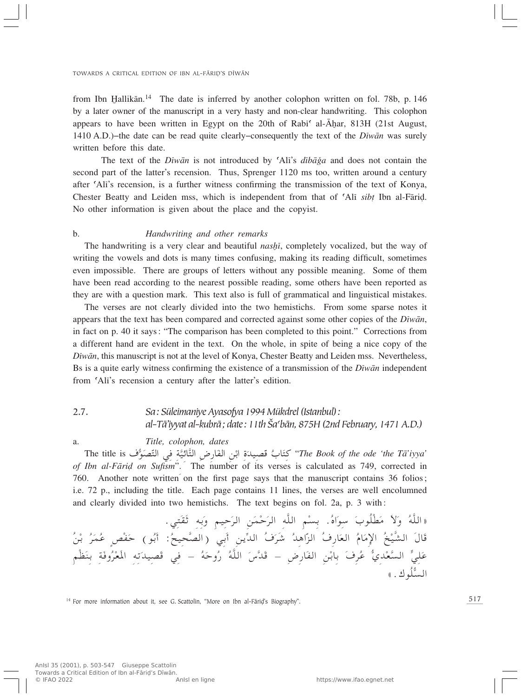from Ibn Hallikān.<sup>14</sup> The date is inferred by another colophon written on fol. 78b, p. 146 by a later owner of the manuscript in a very hasty and non-clear handwriting. This colophon appears to have been written in Egypt on the 20th of Rabi<sup> $\epsilon$ </sup> al- $\bar{A}$ har, 813H (21st August, 1410 A.D.)–the date can be read quite clearly–consequently the text of the *Dîwæn* was surely written before this date.

The text of the *Diwān* is not introduced by 'Ali's *dibāğa* and does not contain the second part of the latter's recension. Thus, Sprenger 1120 ms too, written around a century after ©Alî's recension, is a further witness confirming the transmission of the text of Konya, Chester Beatty and Leiden mss, which is independent from that of ©Alî *sib†* Ibn al-Færi∂. No other information is given about the place and the copyist.

#### b. *Handwriting and other remarks*

The handwriting is a very clear and beautiful *nashi*, completely vocalized, but the way of writing the vowels and dots is many times confusing, making its reading difficult, sometimes even impossible. There are groups of letters without any possible meaning. Some of them have been read according to the nearest possible reading, some others have been reported as they are with a question mark. This text also is full of grammatical and linguistical mistakes.

The verses are not clearly divided into the two hemistichs. From some sparse notes it appears that the text has been compared and corrected against some other copies of the *Dîwæn*, in fact on p. 40 it says: "The comparison has been completed to this point." Corrections from a different hand are evident in the text. On the whole, in spite of being a nice copy of the *Dîwæn*, this manuscript is not at the level of Konya, Chester Beatty and Leiden mss. Nevertheless, Bs is a quite early witness confirming the existence of a transmission of the *Dîwæn* independent from ©Alî's recension a century after the latter's edition.

# 2.7. *Sa: Süleimaniye Ayasofya 1994 Mükdrel (Istanbul): al-Tæ'iyyat al-kubræ; date: 11th Ωa©bæn, 875H (2nd February, 1471 A.D.)*

#### a. *Title, colophon, dates*

The title is كتَابٌ قَصِيدَةِ ابْنِ الْفَارِضِ التَّائِيَّةِ فِي التَّصَوُّفِ The Book of the ode 'the Tā'iyya'<br>Ibn al-Fārid on Sufism?. ´ The number of its verses is calculated as 749. corrected in *of Ibn al-Færi∂ on Sufism*". The number of its verses is calculated as 749, corrected in 760. Another note written on the first page says that the manuscript contains 36 folios; i.e. 72 p., including the title. Each page contains 11 lines, the verses are well encolumned and clearly divided into two hemistichs. The text begins on fol. 2a, p. 3 with:

Æw ²Ó IÓŁ tÐÓ Ë rO ŠÓ d« sÓ LÚ ŠÓ d« t]K« rÚ -Ð ÆÔ Á«Ó u Ý Ó »uÔKÚDÓ ÓôÓ Ë Ô t]K«ò O]A« Ó‰UÓ Ô aÚ ù« Ó ÂU Ô F« Ó b¼«ÓÒ e« Ô ·—U ý Ô dÓ Ô ·Ó b« = `O ×] B«® wÐÓ√ s¹ ∫Ô ÐÓ√ hÚ HÓ Š ©uÔ Ž Ì Ô dÓ LÔ Ð Ô sÚ rÚEÓ MÐ WÓ ËÔ dÚ FÓ\*« t ðÓ bO BÓ w ≠ Ô tÓ ŠËÔ — Ô t]K« Ó "] bÓ ≠ ÷—UÓ H« sÚ ÐUÐ Ó ·dÔ Ž ÍbÚ F] -« > w KÓ Ž -« K^ 寄uÔ

<sup>14</sup> For more information about it, see G. Scattolin, "More on Ibn al-Fāriḍ's Biography".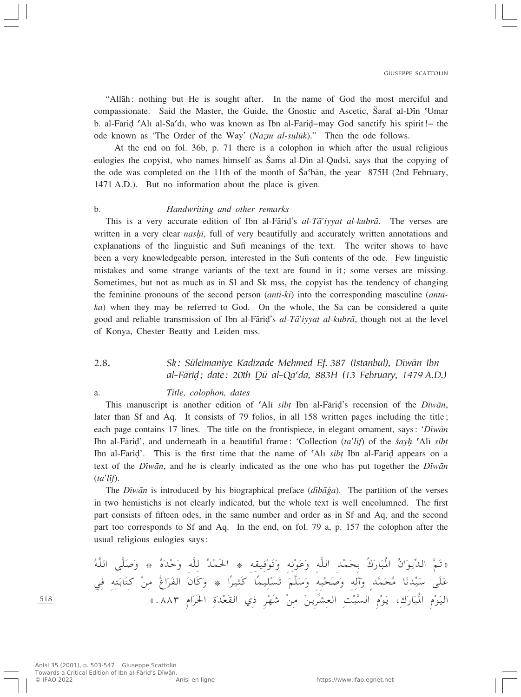"Allæh: nothing but He is sought after. In the name of God the most merciful and compassionate. Said the Master, the Guide, the Gnostic and Ascetic, Šaraf al-Din 'Umar b. al-Færi∂ ©Alî al-Sa©dî, who was known as Ibn al-Færi∂–may God sanctify his spirit!– the ode known as 'The Order of the Way' (*Nazm al-sulūk*)." Then the ode follows.

At the end on fol. 36b, p. 71 there is a colophon in which after the usual religious eulogies the copyist, who names himself as Ωams al-Dîn al-Qudsî, says that the copying of the ode was completed on the 11th of the month of  $\tilde{S}a^{\dagger}$  oan, the year 875H (2nd February, 1471 A.D.). But no information about the place is given.

#### b. *Handwriting and other remarks*

This is a very accurate edition of Ibn al-Færi∂'s *al-Tæ'iyyat al-kubræ*. The verses are written in a very clear *nashi*, full of very beautifully and accurately written annotations and explanations of the linguistic and Sufi meanings of the text. The writer shows to have been a very knowledgeable person, interested in the Sufi contents of the ode. Few linguistic mistakes and some strange variants of the text are found in it; some verses are missing. Sometimes, but not as much as in Sl and Sk mss, the copyist has the tendency of changing the feminine pronouns of the second person (*anti*-*ki*) into the corresponding masculine (*antaka*) when they may be referred to God. On the whole, the Sa can be considered a quite good and reliable transmission of Ibn al-Færi∂'s *al-Tæ'iyyat al-kubræ*, though not at the level of Konya, Chester Beatty and Leiden mss.

# 2.8. *Sk: Süleimaniye Kadizade Mehmed Ef. 387 (Istanbul), Dîwæn Ibn al-Færi∂; date: 20th ·º al-Qa©da, 883H (13 February, 1479 A.D.)*

#### a. *Title, colophon, dates*

This manuscript is another edition of ©Alî *sib†* Ibn al-Færi∂'s recension of the *Dîwæn*, later than Sf and Aq. It consists of 79 folios, in all 158 written pages including the title; each page contains 17 lines. The title on the frontispiece, in elegant ornament, says: '*Dîwæn* Ibn al-Fāriḍ', and underneath in a beautiful frame: 'Collection (*ta'lif*) of the *šayh* 'Alī *sibt* Ibn al-Færi∂'. This is the first time that the name of ©Alî *sib†* Ibn al-Færi∂ appears on a text of the *Dîwæn*, and he is clearly indicated as the one who has put together the *Dîwæn* (*ta'lîf*).

The *Diwān* is introduced by his biographical preface (*dibā*ga). The partition of the verses in two hemistichs is not clearly indicated, but the whole text is well encolumned. The first part consists of fifteen odes, in the same number and order as in Sf and Aq, and the second part too corresponds to Sf and Aq. In the end, on fol. 79 a, p. 157 the colophon after the usual religious eulogies says:

t]K« v]KÓ Ó Ë ¿ Ô ÁÓ bÚ ŠÓ Ë t]K Ô bÚ LÓ(« ¿ t IO Ú uÓ ðÓ Ë t ½Ú uÓ ŽÓ Ë t]K« bÚ LÓ ×Ð Ô"Ó —UÓ ³Ô\*« Ô Ê«Ó u¹= b« ] rÓ ðò w t ²Ó ÐUÓ ² Ú s Ô ⁄«Ó dÓ H« Ó ÊUÓÓ Ë ¿ «Î dO ¦Ó UÎ LO KÚ -Ó ð Ó r]KÓ ÝÓ Ë t³Ú ×Ó Ó Ë t ¬Ó Ë Ìb] LÓ ×Ô UÓ ½b= OÓ Ý vÓKÓ Ž O« ÂÚ uÓ ³Ô\*« Ó —U "Ó ¹ ¨ ÂÚ uÓ -« XÚ ³] s¹dÚA F« Ó s – dÚ NÓý Ú I« Í …Ó bÚ FÓ dÓ(« Ó åÆ∏∏≥ «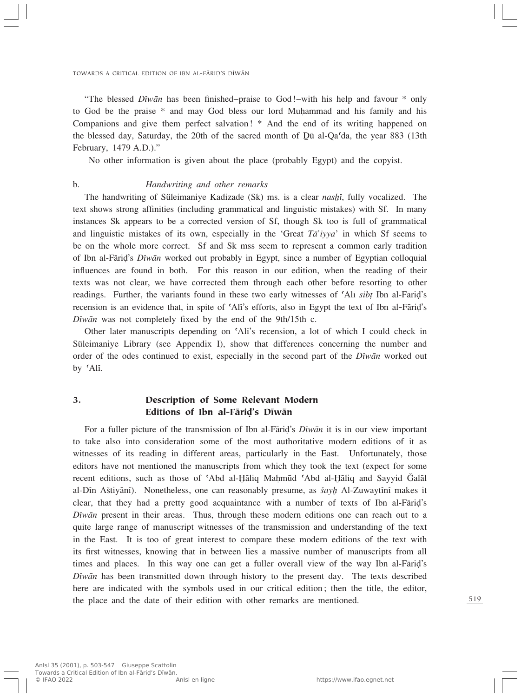"The blessed *Dîwæn* has been finished–praise to God!–with his help and favour \* only to God be the praise \* and may God bless our lord Muhammad and his family and his Companions and give them perfect salvation! \* And the end of its writing happened on the blessed day, Saturday, the 20th of the sacred month of  $D\bar{u}$  al-Qa<sup> $\dot{d}$ </sup>da, the year 883 (13th February, 1479 A.D.)."

No other information is given about the place (probably Egypt) and the copyist.

#### b. *Handwriting and other remarks*

The handwriting of Süleimaniye Kadizade (Sk) ms. is a clear *nashi*, fully vocalized. The text shows strong affinities (including grammatical and linguistic mistakes) with Sf. In many instances Sk appears to be a corrected version of Sf, though Sk too is full of grammatical and linguistic mistakes of its own, especially in the 'Great  $T\bar{a}$ 'iyya' in which Sf seems to be on the whole more correct. Sf and Sk mss seem to represent a common early tradition of Ibn al-Færi∂'s *Dîwæn* worked out probably in Egypt, since a number of Egyptian colloquial influences are found in both. For this reason in our edition, when the reading of their texts was not clear, we have corrected them through each other before resorting to other readings. Further, the variants found in these two early witnesses of ©Alî *sib†* Ibn al-Færi∂'s recension is an evidence that, in spite of 'Alī's efforts, also in Egypt the text of Ibn al-Fāriḍ's *Dîwæn* was not completely fixed by the end of the 9th/15th c.

Other later manuscripts depending on ©Alî's recension, a lot of which I could check in Süleimaniye Library (see Appendix I), show that differences concerning the number and order of the odes continued to exist, especially in the second part of the *Dîwæn* worked out by 'Alī.

## 3. Description of Some Relevant Modern Editions of Ibn al-Fārid's Dīwān

For a fuller picture of the transmission of Ibn al-Færi∂'s *Dîwæn* it is in our view important to take also into consideration some of the most authoritative modern editions of it as witnesses of its reading in different areas, particularly in the East. Unfortunately, those editors have not mentioned the manuscripts from which they took the text (expect for some recent editions, such as those of 'Abd al-Hāliq Mahmūd 'Abd al-Hāliq and Sayyid Ğalāl al-Dîn A‡tiyænî). Nonetheless, one can reasonably presume, as *‡ay≈* Al-Zuwaytînî makes it clear, that they had a pretty good acquaintance with a number of texts of Ibn al-Færi∂'s *Dîwæn* present in their areas. Thus, through these modern editions one can reach out to a quite large range of manuscript witnesses of the transmission and understanding of the text in the East. It is too of great interest to compare these modern editions of the text with its first witnesses, knowing that in between lies a massive number of manuscripts from all times and places. In this way one can get a fuller overall view of the way Ibn al-Fārid's *Dîwæn* has been transmitted down through history to the present day. The texts described here are indicated with the symbols used in our critical edition; then the title, the editor, the place and the date of their edition with other remarks are mentioned.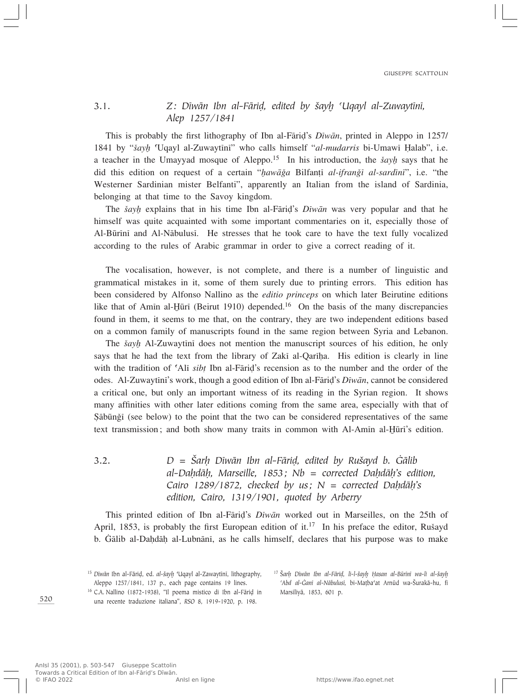# 3.1. *Z: Dîwæn Ibn al-Færi∂, edited by ‡ay≈ ©Uqayl al-Zuwaytînî, Alep 1257/1841*

This is probably the first lithography of Ibn al-Færi∂'s *Dîwæn*, printed in Aleppo in 1257/ 1841 by "*‡ay≈* ©Uqayl al-Zuwaytînî" who calls himself "*al-mudarris* bi-Umawî Îalab", i.e. a teacher in the Umayyad mosque of Aleppo.<sup>15</sup> In his introduction, the *šayh* says that he did this edition on request of a certain "*hawāğa* Bilfanți *al-ifranği al-sardini*", i.e. "the Westerner Sardinian mister Belfanti", apparently an Italian from the island of Sardinia, belonging at that time to the Savoy kingdom.

The *šayh* explains that in his time Ibn al-Fārid's *Dīwān* was very popular and that he himself was quite acquainted with some important commentaries on it, especially those of Al-Būrīnī and Al-Nābulusī. He stresses that he took care to have the text fully vocalized according to the rules of Arabic grammar in order to give a correct reading of it.

The vocalisation, however, is not complete, and there is a number of linguistic and grammatical mistakes in it, some of them surely due to printing errors. This edition has been considered by Alfonso Nallino as the *editio princeps* on which later Beirutine editions like that of Amin al-Hūrī (Beirut 1910) depended.<sup>16</sup> On the basis of the many discrepancies found in them, it seems to me that, on the contrary, they are two independent editions based on a common family of manuscripts found in the same region between Syria and Lebanon.

The *šayh* Al-Zuwaytini does not mention the manuscript sources of his edition, he only says that he had the text from the library of Zaki al-Qariha. His edition is clearly in line with the tradition of 'Ali *sibt* Ibn al-Fāriḍ's recension as to the number and the order of the odes. Al-Zuwaytînî's work, though a good edition of Ibn al-Færi∂'s *Dîwæn*, cannot be considered a critical one, but only an important witness of its reading in the Syrian region. It shows many affinities with other later editions coming from the same area, especially with that of Şābūnǧī (see below) to the point that the two can be considered representatives of the same text transmission; and both show many traits in common with Al-Amin al-Hūrī's edition.

3.2. *D = ΩarÌ Dîwæn Ibn al-Færi∂, edited by Ru‡ayd b. flælib al-DaÌdæÌ, Marseille, 1853; Nb = corrected DaÌdæÌ's edition, Cairo 1289/1872, checked by us;*  $N =$  *corrected Dahdāh's edition, Cairo, 1319/1901, quoted by Arberry*

This printed edition of Ibn al-Færi∂'s *Dîwæn* worked out in Marseilles, on the 25th of April, 1853, is probably the first European edition of it.<sup>17</sup> In his preface the editor, Rušayd b. Galib al-Daḥdāḥ al-Lubnānī, as he calls himself, declares that his purpose was to make

<sup>16</sup> C.A. Nallino (1872-1938), "Il poema mistico di Ibn al-Fāriḍ in una recente traduzione italiana", *RSO* 8, 1919-1920, p. 198.

<sup>&</sup>lt;sup>15</sup> Dīwān Ibn al-Fārid, ed. al-šayh 'Uqayl al-Zawaytīnī, lithography, Aleppo 1257/1841, 137 p., each page contains 19 lines.

<sup>&</sup>lt;sup>17</sup> Šarh Dīwān Ibn al-Fārid, li-l-šayh Hasan al-Būrīnī wa-li al-šayh *©Abd al-flanî al-Næbulusî,* bi-Ma†ba©at Arnºd wa-Ωurakæ-hu, fî Marsîliyæ, 1853, 601 p.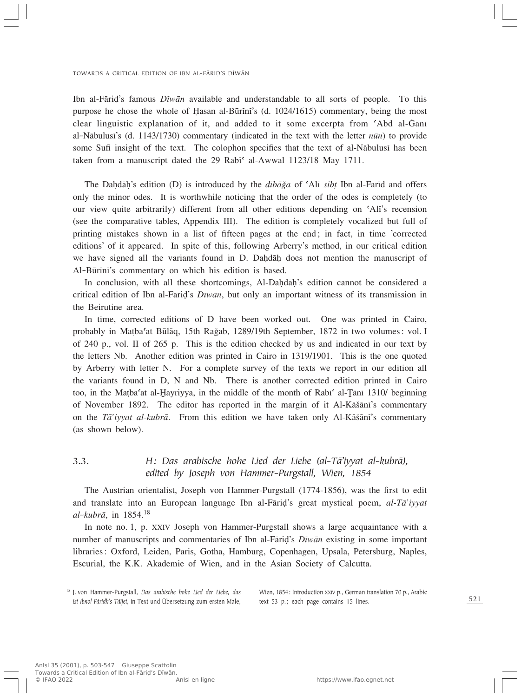Ibn al-Færi∂'s famous *Dîwæn* available and understandable to all sorts of people. To this purpose he chose the whole of Hasan al-Būrīnī's (d. 1024/1615) commentary, being the most clear linguistic explanation of it, and added to it some excerpta from 'Abd al-Gani al-Nābulusī's (d. 1143/1730) commentary (indicated in the text with the letter *nūn*) to provide some Sufi insight of the text. The colophon specifies that the text of al-Næbulusî has been taken from a manuscript dated the 29 Rabi<sup>c</sup> al-Awwal 1123/18 May 1711.

The Daḥdāḥ's edition (D) is introduced by the *dībāǧa* of 'Alī *sib*<sub>†</sub> Ibn al-Farīd and offers only the minor odes. It is worthwhile noticing that the order of the odes is completely (to our view quite arbitrarily) different from all other editions depending on ©Alî's recension (see the comparative tables, Appendix III). The edition is completely vocalized but full of printing mistakes shown in a list of fifteen pages at the end; in fact, in time 'corrected editions' of it appeared. In spite of this, following Arberry's method, in our critical edition we have signed all the variants found in D. Dahdāh does not mention the manuscript of Al-Būrīnī's commentary on which his edition is based.

In conclusion, with all these shortcomings, Al-Dahdāh's edition cannot be considered a critical edition of Ibn al-Færi∂'s *Dîwæn*, but only an important witness of its transmission in the Beirutine area.

In time, corrected editions of D have been worked out. One was printed in Cairo, probably in Mațba'at Būlāq, 15th Rağab, 1289/19th September, 1872 in two volumes: vol. I of 240 p., vol. II of 265 p. This is the edition checked by us and indicated in our text by the letters Nb. Another edition was printed in Cairo in 1319/1901. This is the one quoted by Arberry with letter N. For a complete survey of the texts we report in our edition all the variants found in D, N and Nb. There is another corrected edition printed in Cairo too, in the Matba<sup>c</sup>at al-Hayriyya, in the middle of the month of Rabi<sup>c</sup> al-Tani 1310/ beginning of November 1892. The editor has reported in the margin of it Al-Kāšāni's commentary on the *Tā'iyyat al-kubrā*. From this edition we have taken only Al-Kāšānī's commentary (as shown below).

3.3. *H: Das arabische hohe Lied der Liebe (al-Tæ'iyyat al-kubræ), edited by Joseph von Hammer-Purgstall, Wien, 1854*

The Austrian orientalist, Joseph von Hammer-Purgstall (1774-1856), was the first to edit and translate into an European language Ibn al-Færi∂'s great mystical poem, *al-Tæ'iyyat al-kubræ*, in 1854.<sup>18</sup>

In note no. 1, p. XXIV Joseph von Hammer-Purgstall shows a large acquaintance with a number of manuscripts and commentaries of Ibn al-Færi∂'s *Dîwæn* existing in some important libraries: Oxford, Leiden, Paris, Gotha, Hamburg, Copenhagen, Upsala, Petersburg, Naples, Escurial, the K.K. Akademie of Wien, and in the Asian Society of Calcutta.

<sup>18</sup> J. von Hammer-Purgstall, *Das arabische hohe Lied der Liebe, das ist Ibnol Fáridh's Táîjet*, in Text und Übersetzung zum ersten Male, Wien, 1854: Introduction XXIV p., German translation 70 p., Arabic text 53 p.; each page contains 15 lines.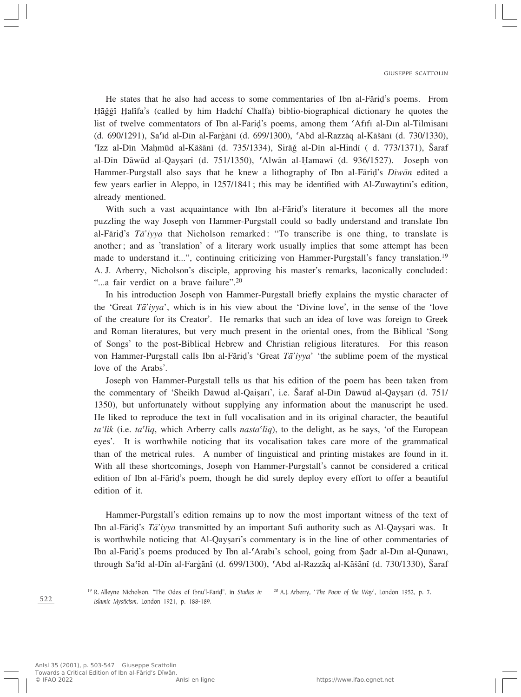He states that he also had access to some commentaries of Ibn al-Fārid's poems. From Hāǧǧī Halīfa's (called by him Hadchí Chalfa) biblio-biographical dictionary he quotes the list of twelve commentators of Ibn al-Færi∂'s poems, among them ©Afîfî al-Dîn al-Tilmisænî (d. 690/1291), Sa<sup>r</sup>id al-Din al-Fargānī (d. 699/1300), 'Abd al-Razzāq al-Kāšānī (d. 730/1330), ©Izz al-Dîn MaÌmºd al-Kæ‡ænî (d. 735/1334), SiræÏ al-Dîn al-Hindî ( d. 773/1371), Ωaraf al-Dîn Dāwūd al-Qaysarī (d. 751/1350), 'Alwān al-Hamawī (d. 936/1527). Joseph von Hammer-Purgstall also says that he knew a lithography of Ibn al-Fārid's *Dīwān* edited a few years earlier in Aleppo, in 1257/1841; this may be identified with Al-Zuwaytînî's edition, already mentioned.

With such a vast acquaintance with Ibn al-Fāriḍ's literature it becomes all the more puzzling the way Joseph von Hammer-Purgstall could so badly understand and translate Ibn al-Færi∂'s *Tæ'iyya* that Nicholson remarked: "To transcribe is one thing, to translate is another; and as 'translation' of a literary work usually implies that some attempt has been made to understand it...", continuing criticizing von Hammer-Purgstall's fancy translation.19 A. J. Arberry, Nicholson's disciple, approving his master's remarks, laconically concluded: "...a fair verdict on a brave failure".<sup>20</sup>

In his introduction Joseph von Hammer-Purgstall briefly explains the mystic character of the 'Great *Tæ'iyya*', which is in his view about the 'Divine love', in the sense of the 'love of the creature for its Creator'. He remarks that such an idea of love was foreign to Greek and Roman literatures, but very much present in the oriental ones, from the Biblical 'Song of Songs' to the post-Biblical Hebrew and Christian religious literatures. For this reason von Hammer-Purgstall calls Ibn al-Færi∂'s 'Great *Tæ'iyya*' 'the sublime poem of the mystical love of the Arabs'.

Joseph von Hammer-Purgstall tells us that his edition of the poem has been taken from the commentary of 'Sheikh Dāwūd al-Qaisarī', i.e. Šaraf al-Dīn Dāwūd al-Qaysarī (d. 751/ 1350), but unfortunately without supplying any information about the manuscript he used. He liked to reproduce the text in full vocalisation and in its original character, the beautiful *ta*<sup>'</sup>*lik* (i.e. *ta*<sup>*'liq*</sup>, which Arberry calls *nasta<sup>'</sup>liq*</sub>), to the delight, as he says, 'of the European eyes'. It is worthwhile noticing that its vocalisation takes care more of the grammatical than of the metrical rules. A number of linguistical and printing mistakes are found in it. With all these shortcomings, Joseph von Hammer-Purgstall's cannot be considered a critical edition of Ibn al-Fārid's poem, though he did surely deploy every effort to offer a beautiful edition of it.

Hammer-Purgstall's edition remains up to now the most important witness of the text of Ibn al-Færi∂'s *Tæ'iyya* transmitted by an important Sufi authority such as Al-QayÒarî was. It is worthwhile noticing that Al-Qaysari's commentary is in the line of other commentaries of Ibn al-Fāriḍ's poems produced by Ibn al-ʿArabī's school, going from Şadr al-Dīn al-Qūnawī, through Sa<sup>c</sup>id al-Dīn al-Fargānī (d. 699/1300), "Abd al-Razzāq al-Kāšānī (d. 730/1330), Šaraf

<sup>19</sup> R. Alleyne Nicholson, "The Odes of Ibnu'l-Fari∂", in *Studies in* <sup>20</sup> A.J. Arberry, ' *The Poem of the Way*', London 1952, p. 7. *Islamic Mysticism*, London 1921, p. 188-189.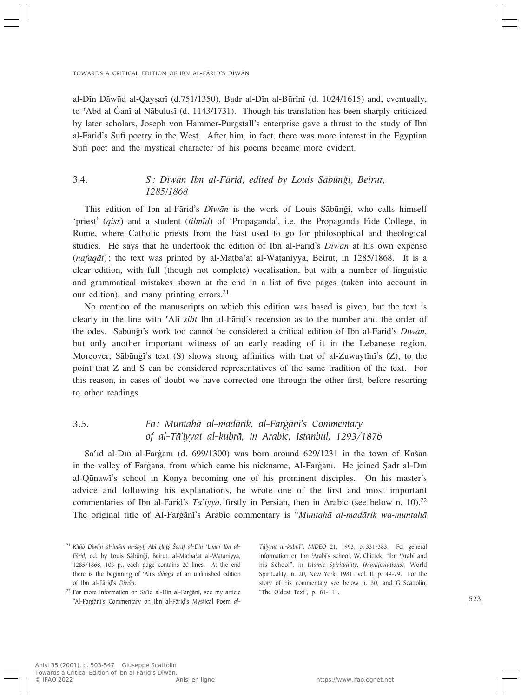al-Dîn Dāwūd al-Qaysarī (d.751/1350), Badr al-Dîn al-Būrīnī (d. 1024/1615) and, eventually, to 'Abd al-Ganī al-Nābulusī (d. 1143/1731). Though his translation has been sharply criticized by later scholars, Joseph von Hammer-Purgstall's enterprise gave a thrust to the study of Ibn al-Færi∂'s Sufi poetry in the West. After him, in fact, there was more interest in the Egyptian Sufi poet and the mystical character of his poems became more evident.

# 3.4. *S: Dīwān Ibn al-Fārid, edited by Louis Şābūnğī, Beirut, 1285/1868*

This edition of Ibn al-Fāriḍ's *Dīwān* is the work of Louis Şābūnǧī, who calls himself 'priest' (*qiss*) and a student (*tilmîƒ*) of 'Propaganda', i.e. the Propaganda Fide College, in Rome, where Catholic priests from the East used to go for philosophical and theological studies. He says that he undertook the edition of Ibn al-Færi∂'s *Dîwæn* at his own expense (*nafaqæt*); the text was printed by al-Ma†ba©at al-Wa†aniyya, Beirut, in 1285/1868. It is a clear edition, with full (though not complete) vocalisation, but with a number of linguistic and grammatical mistakes shown at the end in a list of five pages (taken into account in our edition), and many printing errors. $21$ 

No mention of the manuscripts on which this edition was based is given, but the text is clearly in the line with ©Alî *sib†* Ibn al-Færi∂'s recension as to the number and the order of the odes. Sābūnǧī's work too cannot be considered a critical edition of Ibn al-Fārid's *Dīwān*, but only another important witness of an early reading of it in the Lebanese region. Moreover, Şābūnǧī's text  $(S)$  shows strong affinities with that of al-Zuwaytīnī's  $(Z)$ , to the point that Z and S can be considered representatives of the same tradition of the text. For this reason, in cases of doubt we have corrected one through the other first, before resorting to other readings.

# 3.5. *Fa: Muntahæ al-madærik, al-Farfiænî's Commentary of al-Tæ'iyyat al-kubræ, in Arabic, Istanbul, 1293/1876*

Sa'îd al-Dîn al-Fargānī (d. 699/1300) was born around 629/1231 in the town of Kāšān in the valley of Fargāna, from which came his nickname, Al-Fargānī. He joined Şadr al-Dīn al-Qūnawī's school in Konya becoming one of his prominent disciples. On his master's advice and following his explanations, he wrote one of the first and most important commentaries of Ibn al-Færi∂'s *Tæ'iyya*, firstly in Persian, then in Arabic (see below n. 10).22 The original title of Al-Fargani's Arabic commentary is "*Muntaha al-madarik wa-muntaha* 

*Tæiyyat al-kubræ*", *MIDEO* 21, 1993, p. 331-383. For general information on Ibn 'Arabī's school, W. Chittick, "Ibn 'Arabī and his School", in *Islamic Spirituality, (Manifestations)*, World Spirituality, n. 20, New York, 1981: vol. II, p. 49-79. For the story of his commentaty see below n. 30, and G. Scattolin, "The Oldest Text", p. 81-111.

<sup>&</sup>lt;sup>21</sup> Kitāb Dīwān al-imām al-šayh Abī Ḥafṣ Šaraf al-Dīn 'Umar Ibn al-Fārid, ed. by Louis Şābūnğī, Beirut, al-Mațba'at al-Wațaniyya, 1285/1868, 103 p., each page contains 20 lines. At the end there is the beginning of 'Alī's *dībāğa* of an unfinished edition of Ibn al-Færi∂'s *Dîwæn*.

<sup>&</sup>lt;sup>22</sup> For more information on Sa'id al-Din al-Fargani, see my article "Al-Farġānī's Commentary on Ibn al-Fāriḍ's Mystical Poem al-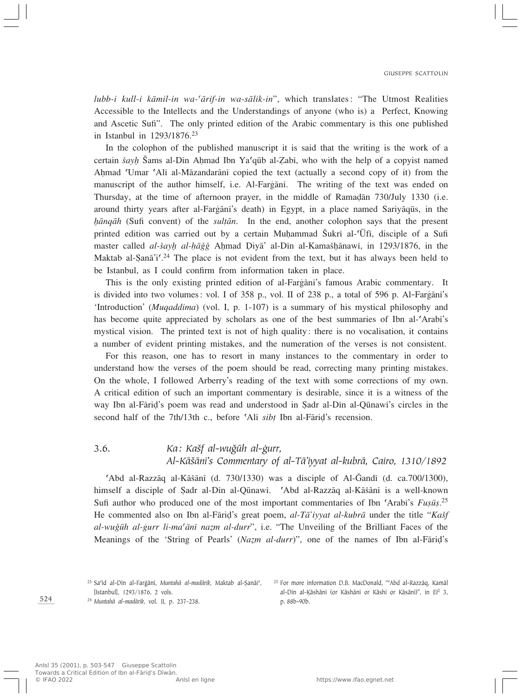*lubb-i kull-i kæmil-in wa-©ærif-in wa-sælik-in*", which translates: "The Utmost Realities Accessible to the Intellects and the Understandings of anyone (who is) a Perfect, Knowing and Ascetic Sufi". The only printed edition of the Arabic commentary is this one published in Istanbul in 1293/1876.23

In the colophon of the published manuscript it is said that the writing is the work of a certain *šayl* Sams al-Din Ahmad Ibn Ya<sup>c</sup>qūb al-Zabī, who with the help of a copyist named Ahmad 'Umar 'Alī al-Māzandarānī copied the text (actually a second copy of it) from the manuscript of the author himself, i.e. Al-Fargani. The writing of the text was ended on Thursday, at the time of afternoon prayer, in the middle of Ramadān 730/July 1330 (i.e. around thirty years after al-Fargānī's death) in Egypt, in a place named Sariyāqūs, in the *h* $\bar{a}$ *n* $\bar{a}$ *n* $\bar{a}$ *h* (Sufi convent) of the *sultan*. In the end, another colophon says that the present printed edition was carried out by a certain Muhammad Šukrī al-<sup>c</sup>Ūfī, disciple of a Sufi master called *al-šayh al-hāǧǧ* Aḥmad Diyā' al-Dīn al-Kamašḫānawī, in 1293/1876, in the Maktab al-Şanā'i<sup> $\text{24}$ </sup> The place is not evident from the text, but it has always been held to be Istanbul, as I could confirm from information taken in place.

This is the only existing printed edition of al-Fargani's famous Arabic commentary. It is divided into two volumes: vol. I of  $358$  p., vol. II of  $238$  p., a total of  $596$  p. Al-Fargani's 'Introduction' (*Muqaddima*) (vol. I, p. 1-107) is a summary of his mystical philosophy and has become quite appreciated by scholars as one of the best summaries of Ibn al-'Arabi's mystical vision. The printed text is not of high quality: there is no vocalisation, it contains a number of evident printing mistakes, and the numeration of the verses is not consistent.

For this reason, one has to resort in many instances to the commentary in order to understand how the verses of the poem should be read, correcting many printing mistakes. On the whole, I followed Arberry's reading of the text with some corrections of my own. A critical edition of such an important commentary is desirable, since it is a witness of the way Ibn al-Fārid's poem was read and understood in Sadr al-Dīn al-Qūnawī's circles in the second half of the 7th/13th c., before 'Ali *sibt* Ibn al-Fārid's recension.

# 3.6. *Ka*: *Kašf al-wuǧūh al-ġurr, Al-Kæ‡ænî's Commentary of al-Tæ'iyyat al-kubræ, Cairo, 1310/1892*

 $'Abd$  al-Razzāq al-Kāšānī (d. 730/1330) was a disciple of Al-Ğandī (d. ca.700/1300), himself a disciple of Sadr al-Dīn al-Qūnawī. 
Gabd al-Razzāq al-Kāšānī is a well-known Sufi author who produced one of the most important commentaries of Ibn 'Arabi's Fușūș.<sup>25</sup> He commented also on Ibn al-Fārid's great poem, *al-Tā'iyyat al-kubrā* under the title "*Kašf al-wuğūh al-gurr li-ma'ānī nazm al-durr*", i.e. "The Unveiling of the Brilliant Faces of the Meanings of the 'String of Pearls' (*Nazm al-durr*)", one of the names of Ibn al-Fāriḍ's

<sup>23</sup> Sa'īd al-Dīn al-Farģānī, *Muntahā al-madārik*, Maktab al-Şanāi', [Istanbul], 1293/1876, 2 vols.

<sup>24</sup> *Muntahæ al-madærik*, vol. II, p. 237-238.

<sup>25</sup> For more information D.B. MacDonald, "Abd al-Razzāq, Kamāl al-Dîn al-Ëæshænî (or Kæshænî or Kæshî or Kæsænî)", in *EI*<sup>2</sup> 3, p. 88b-90b.

AnIsl 35 (2001), p. 503-547 Giuseppe Scattolin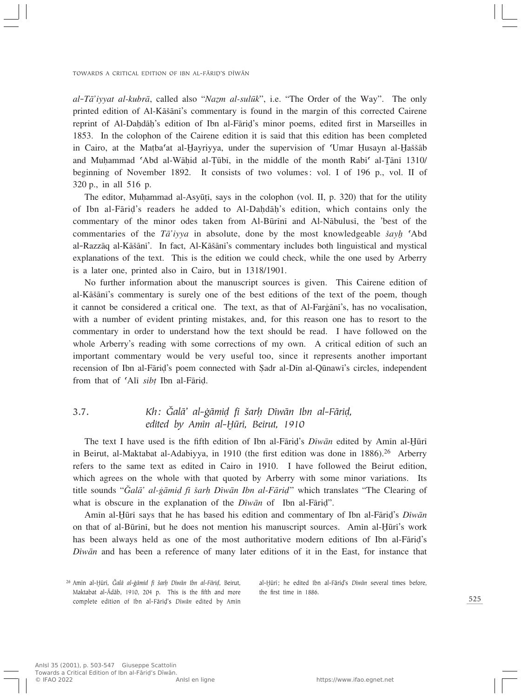*al*-*T* $\bar{a}$ 'iyyat al-kubr $\bar{a}$ , called also "*Nazm al-sulūk*", i.e. "The Order of the Way". The only printed edition of Al-Kāšānī's commentary is found in the margin of this corrected Cairene reprint of Al-Dahdāh's edition of Ibn al-Fārid's minor poems, edited first in Marseilles in 1853. In the colophon of the Cairene edition it is said that this edition has been completed in Cairo, at the Matba<sup>c</sup>at al-Hayriyya, under the supervision of 'Umar Husayn al-Haššāb and Muhammad 'Abd al-Wāhid al-Tūbī, in the middle of the month Rabī<sup>c</sup> al-Tānī 1310/ beginning of November 1892. It consists of two volumes: vol. I of 196 p., vol. II of 320 p., in all 516 p.

The editor, Muhammad al-Asyūți, says in the colophon (vol. II, p. 320) that for the utility of Ibn al-Fāriḍ's readers he added to Al-Daḥdāḥ's edition, which contains only the commentary of the minor odes taken from Al-Būrīnī and Al-Nābulusī, the 'best of the commentaries of the *Ta'iyya* in absolute, done by the most knowledgeable *šayl* <sup>o</sup>Abd al-Razzāq al-Kāšānī'. In fact, Al-Kāšānī's commentary includes both linguistical and mystical explanations of the text. This is the edition we could check, while the one used by Arberry is a later one, printed also in Cairo, but in 1318/1901.

No further information about the manuscript sources is given. This Cairene edition of al-Kāšānī's commentary is surely one of the best editions of the text of the poem, though it cannot be considered a critical one. The text, as that of Al-Fargani's, has no vocalisation, with a number of evident printing mistakes, and, for this reason one has to resort to the commentary in order to understand how the text should be read. I have followed on the whole Arberry's reading with some corrections of my own. A critical edition of such an important commentary would be very useful too, since it represents another important recension of Ibn al-Fāriḍ's poem connected with Şadr al-Dīn al-Qūnawī's circles, independent from that of 'Alī *sibt* Ibn al-Fārid.

# 3.7. *Kh: Íalæ' al-fiæmi∂ fî ‡arÌ Dîwæn Ibn al-Færi∂, edited by Amīn al-Ḥūrī, Beirut, 1910*

The text I have used is the fifth edition of Ibn al-Fārid's *Dīwān* edited by Amīn al-Ḥūrī in Beirut, al-Maktabat al-Adabiyya, in 1910 (the first edition was done in  $1886$ ).<sup>26</sup> Arberry refers to the same text as edited in Cairo in 1910. I have followed the Beirut edition, which agrees on the whole with that quoted by Arberry with some minor variations. Its title sounds "*Íalæ' al-fiæmi∂ fî ‡arÌ Dîwæn Ibn al-Færi∂*" which translates "The Clearing of what is obscure in the explanation of the *Diwān* of Ibn al-Fāriḍ".

Amin al-Hūrī says that he has based his edition and commentary of Ibn al-Fārid's *Dīwān* on that of al-Būrīnī, but he does not mention his manuscript sources. Amīn al-Hūrī's work has been always held as one of the most authoritative modern editions of Ibn al-Fāriḍ's *Dîwæn* and has been a reference of many later editions of it in the East, for instance that

al-Hūrī; he edited Ibn al-Fāriḍ's *Dīwān* several times before, the first time in 1886.

<sup>&</sup>lt;sup>26</sup> Amīn al-Hūrī, *Čalā al-ġāmid fī šarḥ Dīwān Ibn al-Fāriḍ*, Beirut, Maktabat al-Ādāb, 1910, 204 p. This is the fifth and more complete edition of Ibn al-Færi∂'s *Dîwæn* edited by Amîn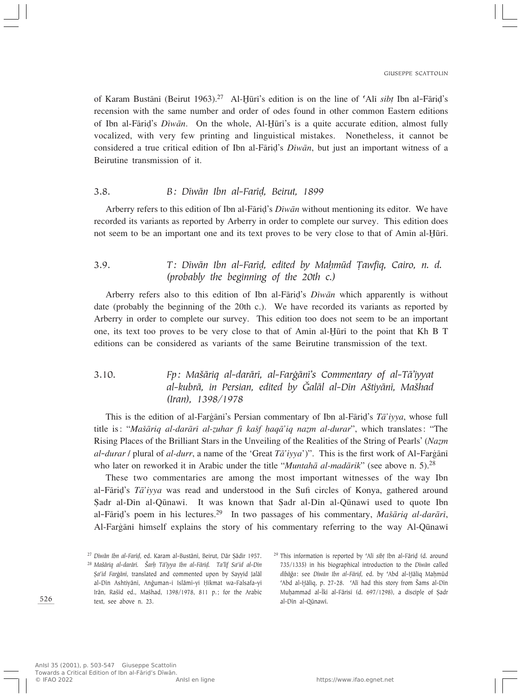of Karam Bustānī (Beirut 1963).<sup>27</sup> Al-Hūrī's edition is on the line of 'Alī *sibt* Ibn al-Fārid's recension with the same number and order of odes found in other common Eastern editions of Ibn al-Fārid's *Dīwān*. On the whole, Al-Hūrī's is a quite accurate edition, almost fully vocalized, with very few printing and linguistical mistakes. Nonetheless, it cannot be considered a true critical edition of Ibn al-Færi∂'s *Dîwæn*, but just an important witness of a Beirutine transmission of it.

#### 3.8. *B: Dîwæn Ibn al-Farî∂, Beirut, 1899*

Arberry refers to this edition of Ibn al-Færi∂'s *Dîwæn* without mentioning its editor. We have recorded its variants as reported by Arberry in order to complete our survey. This edition does not seem to be an important one and its text proves to be very close to that of Amin al-Hūrī.

# 3.9. *T: Dīwān Ibn al-Farīḍ, edited by Maḥmūd Ṭawfīq, Cairo, n. d. (probably the beginning of the 20th c.)*

Arberry refers also to this edition of Ibn al-Færi∂'s *Dîwæn* which apparently is without date (probably the beginning of the 20th c.). We have recorded its variants as reported by Arberry in order to complete our survey. This edition too does not seem to be an important one, its text too proves to be very close to that of Amin al-Hūrī to the point that Kh B T editions can be considered as variants of the same Beirutine transmission of the text.

# 3.10. *Fp: Ma‡æriq al-darærî, al-Farfiænî's Commentary of al-Tæ'iyyat al-kubræ, in Persian, edited by Íalæl al-Dîn A‡tiyænî, Ma‡had (Iran), 1398/1978*

This is the edition of al-Fargānī's Persian commentary of Ibn al-Fārid's *Ta'iyya*, whose full title is: "*Mašāriq al-darārī al-zuhar fī kašf haqā'iq nazm al-durar*", which translates: "The Rising Places of the Brilliant Stars in the Unveiling of the Realities of the String of Pearls' (*Nazm al-durar* / plural of *al-durr*, a name of the 'Great *Ta'iyya'*)". This is the first work of Al-Fargani who later on reworked it in Arabic under the title "*Muntahā al-madārik*" (see above n. 5).<sup>28</sup>

These two commentaries are among the most important witnesses of the way Ibn al-Færi∂'s *Tæ'iyya* was read and understood in the Sufi circles of Konya, gathered around Sadr al-Dīn al-Qūnawī. It was known that Sadr al-Dīn al-Qūnawī used to quote Ibn al-Færi∂'s poem in his lectures.29 In two passages of his commentary, *Ma‡æriq al-darærî*, Al-Fargani himself explains the story of his commentary referring to the way Al-Quinawi

<sup>&</sup>lt;sup>27</sup> Dīwān Ibn al-Farīd, ed. Karam al-Bustānī, Beirut, Dār Şādir 1957.

<sup>28</sup> *Ma‡æriq al-darærî. ΩarÌ Tæ'iyya Ibn al-Færi∂. Ta'lîf Sa©îd al-Dîn Şa<sup>c</sup>id Farġānī*, translated and commented upon by Sayyid Jalāl al-Dīn Ashtiyānī, Anğuman-i Islāmī-yi Ḥikmat wa-Falsafa-yi Irān, Rašīd ed., Mašhad, 1398/1978, 811 p.; for the Arabic text, see above n. 23.

<sup>&</sup>lt;sup>29</sup> This information is reported by 'Alī *sib*† Ibn al-Fāriḍ (d. around 735/1335) in his biographical introduction to the *Dîwæn* called *dībāğa*: see *Dīwān Ibn al-Fāriḍ*, ed. by 'Abd al-Hāliq Maḥmūd 'Abd al-Hāliq, p. 27-28. 'Alī had this story from Šams al-Dīn MuÌammad al-ïkî al-Færisî (d. 697/1298), a disciple of ∑adr al-Dîn al-Qūnawī.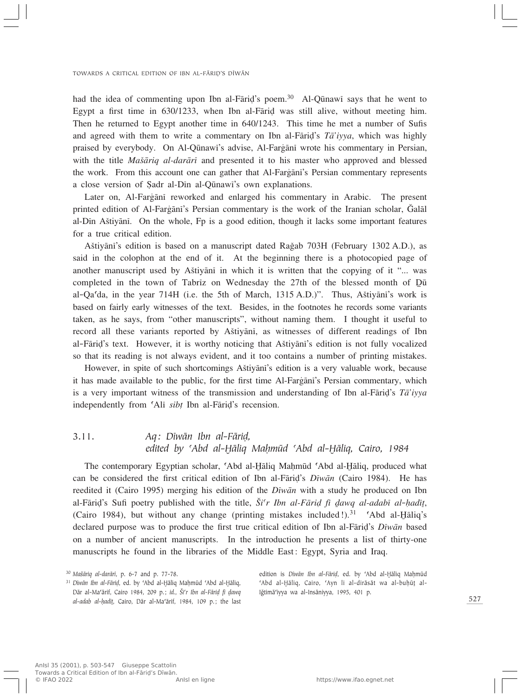had the idea of commenting upon Ibn al-Fāriḍ's poem.<sup>30</sup> Al-Qūnawī says that he went to Egypt a first time in 630/1233, when Ibn al-Færi∂ was still alive, without meeting him. Then he returned to Egypt another time in 640/1243. This time he met a number of Sufis and agreed with them to write a commentary on Ibn al-Færi∂'s *Tæ'iyya*, which was highly praised by everybody. On Al-Qūnawī's advise, Al-Fargānī wrote his commentary in Persian, with the title *Ma‡æriq al-darærî* and presented it to his master who approved and blessed the work. From this account one can gather that Al-Fargani's Persian commentary represents a close version of Şadr al-Din al-Qūnawi's own explanations.

Later on, Al-Fargani reworked and enlarged his commentary in Arabic. The present printed edition of Al-Fargāni's Persian commentary is the work of the Iranian scholar, Galal al-Dîn A‡tiyænî. On the whole, Fp is a good edition, though it lacks some important features for a true critical edition.

Aštiyānī's edition is based on a manuscript dated Rağab 703H (February 1302 A.D.), as said in the colophon at the end of it. At the beginning there is a photocopied page of another manuscript used by Aštiyani in which it is written that the copying of it "... was completed in the town of Tabriz on Wednesday the  $27th$  of the blessed month of  $D\bar{u}$ al-Qa©da, in the year 714H (i.e. the 5th of March, 1315 A.D.)". Thus, A‡tiyænî's work is based on fairly early witnesses of the text. Besides, in the footnotes he records some variants taken, as he says, from "other manuscripts", without naming them. I thought it useful to record all these variants reported by Aštiyani, as witnesses of different readings of Ibn al-Færi∂'s text. However, it is worthy noticing that A‡tiyænî's edition is not fully vocalized so that its reading is not always evident, and it too contains a number of printing mistakes.

However, in spite of such shortcomings A‡tiyænî's edition is a very valuable work, because it has made available to the public, for the first time Al-Fargani's Persian commentary, which is a very important witness of the transmission and understanding of Ibn al-Færi∂'s *Tæ'iyya* independently from ©Alî *sib†* Ibn al-Færi∂'s recension.

# 3.11. *Aq: Dîwæn Ibn al-Færi∂, edited by ©Abd al-⁄æliq MaÌmºd ©Abd al-⁄æliq, Cairo, 1984*

The contemporary Egyptian scholar, 'Abd al-Hāliq Maḥmūd 'Abd al-Hāliq, produced what can be considered the first critical edition of Ibn al-Færi∂'s *Dîwæn* (Cairo 1984). He has reedited it (Cairo 1995) merging his edition of the *Dîwæn* with a study he produced on Ibn al-Fāriḍ's Sufi poetry published with the title, Ši'r Ibn al-Fāriḍ fī dawq al-adabī al-hadīt, (Cairo 1984), but without any change (printing mistakes included!).<sup>31</sup>  $\Delta$ bd al-Haliq's declared purpose was to produce the first true critical edition of Ibn al-Færi∂'s *Dîwæn* based on a number of ancient manuscripts. In the introduction he presents a list of thirty-one manuscripts he found in the libraries of the Middle East: Egypt, Syria and Iraq.

edition is *Dīwān Ibn al-Fārid*, ed. by 'Abd al-Hāliq Mahmūd 'Abd al-Hāliq, Cairo, 'Ayn li al-dirāsāt wa al-buhūt al-Iğtimā'iyya wa al-Insāniyya, 1995, 401 p.

<sup>30</sup> *Ma‡æriq al-darærî*, p. 6-7 and p. 77-78.

<sup>&</sup>lt;sup>31</sup> Dīwān Ibn al-Fārid, ed. by 'Abd al-Hāliq Mahmūd 'Abd al-Hāliq, Dār al-Ma<sup>c</sup>ārif, Cairo 1984, 209 p.; id., Ši'r Ibn al-Fāriḍ fī dawq *al-adab al-ÌadîÚ*, Cairo, Dær al-Ma©ærif, 1984, 109 p.; the last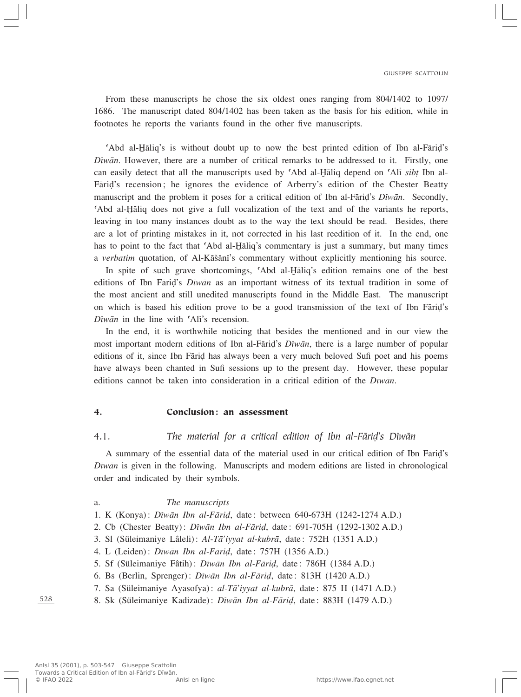From these manuscripts he chose the six oldest ones ranging from 804/1402 to 1097/ 1686. The manuscript dated 804/1402 has been taken as the basis for his edition, while in footnotes he reports the variants found in the other five manuscripts.

©Abd al-⁄æliq's is without doubt up to now the best printed edition of Ibn al-Færi∂'s *Dîwæn*. However, there are a number of critical remarks to be addressed to it. Firstly, one can easily detect that all the manuscripts used by 'Abd al-Haliq depend on 'Ali *sibt* Ibn al-Fāriḍ's recension; he ignores the evidence of Arberry's edition of the Chester Beatty manuscript and the problem it poses for a critical edition of Ibn al-Færi∂'s *Dîwæn*. Secondly, Abd al-*H*aliq does not give a full vocalization of the text and of the variants he reports, leaving in too many instances doubt as to the way the text should be read. Besides, there are a lot of printing mistakes in it, not corrected in his last reedition of it. In the end, one has to point to the fact that 'Abd al-Haliq's commentary is just a summary, but many times a *verbatim* quotation, of Al-Kāšānī's commentary without explicitly mentioning his source.

In spite of such grave shortcomings, 'Abd al-Haliq's edition remains one of the best editions of Ibn Farid's *Diwan* as an important witness of its textual tradition in some of the most ancient and still unedited manuscripts found in the Middle East. The manuscript on which is based his edition prove to be a good transmission of the text of Ibn Færi∂'s *Dīwān* in the line with 'Alī's recension.

In the end, it is worthwhile noticing that besides the mentioned and in our view the most important modern editions of Ibn al-Færi∂'s *Dîwæn*, there is a large number of popular editions of it, since Ibn Fārid has always been a very much beloved Sufi poet and his poems have always been chanted in Sufi sessions up to the present day. However, these popular editions cannot be taken into consideration in a critical edition of the *Dîwæn*.

#### 4. Conclusion: an assessment

#### 4.1. *The material for a critical edition of Ibn al-Færi∂'s Dîwæn*

A summary of the essential data of the material used in our critical edition of Ibn Færi∂'s *Dîwæn* is given in the following. Manuscripts and modern editions are listed in chronological order and indicated by their symbols.

#### a. *The manuscripts*

- 1. K (Konya): *Dîwæn Ibn al-Færi∂*, date: between 640-673H (1242-1274 A.D.)
- 2. Cb (Chester Beatty): *Dîwæn Ibn al-Færi∂*, date: 691-705H (1292-1302 A.D.)
- 3. Sl (Süleimaniye Lâleli): *Al-Tæ'iyyat al-kubræ*, date: 752H (1351 A.D.)
- 4. L (Leiden): *Dîwæn Ibn al-Færi∂*, date: 757H (1356 A.D.)
- 5. Sf (Süleimaniye Fâtih): *Dîwæn Ibn al-Færi∂*, date: 786H (1384 A.D.)
- 6. Bs (Berlin, Sprenger): *Dîwæn Ibn al-Færi∂*, date: 813H (1420 A.D.)
- 7. Sa (Süleimaniye Ayasofya): *al-Tæ'iyyat al-kubræ*, date: 875 H (1471 A.D.)
- 8. Sk (Süleimaniye Kadizade): *Dîwæn Ibn al-Færi∂*, date: 883H (1479 A.D.)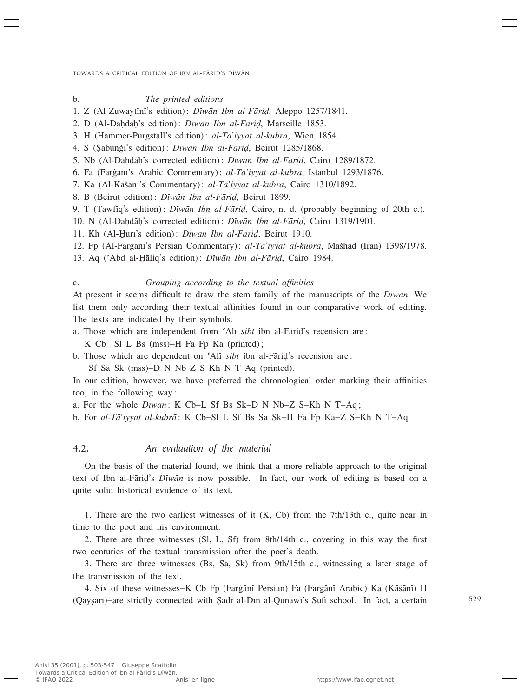#### b. *The printed editions*

- 1. Z (Al-Zuwaytînî's edition): *Dîwæn Ibn al-Færi∂*, Aleppo 1257/1841.
- 2. D (Al-Dahdāḥ's edition): *Dīwān Ibn al-Fārid*, Marseille 1853.
- 3. H (Hammer-Purgstall's edition): *al-Tæ'iyyat al-kubræ*, Wien 1854.
- 4. S (∑æbunÏî's edition): *Dîwæn Ibn al-Færi∂*, Beirut 1285/1868.
- 5. Nb (Al-DaÌdæÌ's corrected edition): *Dîwæn Ibn al-Færi∂*, Cairo 1289/1872.
- 6. Fa (Farfiænî's Arabic Commentary): *al-Tæ'iyyat al-kubræ*, Istanbul 1293/1876.
- 7. Ka (Al-Kāšānī's Commentary): *al-Tā'iyyat al-kubrā*, Cairo 1310/1892.
- 8. B (Beirut edition): *Dîwæn Ibn al-Færi∂*, Beirut 1899.
- 9. T (Tawfîq's edition): *Dîwæn Ibn al-Færi∂*, Cairo, n. d. (probably beginning of 20th c.).
- 10. N (Al-DaÌdæÌ's corrected edition): *Dîwæn Ibn al-Færi∂*, Cairo 1319/1901.
- 11. Kh (Al-Hūrī's edition): *Dīwān Ibn al-Fāriḍ*, Beirut 1910.
- 12. Fp (Al-Fargānī's Persian Commentary): *al-Tā'iyyat al-kubrā*, Mašhad (Iran) 1398/1978.
- 13. Aq ('Abd al-Hāliq's edition): *Dīwān Ibn al-Fārid*, Cairo 1984.
- 

### c. *Grouping according to the textual affinities*

At present it seems difficult to draw the stem family of the manuscripts of the *Dîwæn*. We list them only according their textual affinities found in our comparative work of editing. The texts are indicated by their symbols.

a. Those which are independent from ©Alî *sib†* ibn al-Færi∂'s recension are:

K Cb Sl L Bs (mss)–H Fa Fp Ka (printed);

b. Those which are dependent on ©Alî *sib†* îbn al-Færi∂'s recension are:

Sf Sa Sk (mss)–D N Nb Z S Kh N T Aq (printed).

In our edition, however, we have preferred the chronological order marking their affinities too, in the following way:

a. For the whole *Dîwæn*: K Cb–L Sf Bs Sk–D N Nb–Z S–Kh N T–Aq;

b. For *al-Tæ'iyyat al-kubræ*: K Cb–Sl L Sf Bs Sa Sk–H Fa Fp Ka–Z S–Kh N T–Aq.

### 4.2. *An evaluation of the material*

On the basis of the material found, we think that a more reliable approach to the original text of Ibn al-Færi∂'s *Dîwæn* is now possible. In fact, our work of editing is based on a quite solid historical evidence of its text.

1. There are the two earliest witnesses of it  $(K, Cb)$  from the 7th/13th c., quite near in time to the poet and his environment.

2. There are three witnesses (Sl, L, Sf) from 8th/14th c., covering in this way the first two centuries of the textual transmission after the poet's death.

3. There are three witnesses (Bs, Sa, Sk) from 9th/15th c., witnessing a later stage of the transmission of the text.

4. Six of these witnesses–K Cb Fp (Fargānī Persian) Fa (Fargānī Arabic) Ka (Kāšānī) H (Qaysarī)–are strictly connected with Şadr al-Dīn al-Qūnawī's Sufi school. In fact, a certain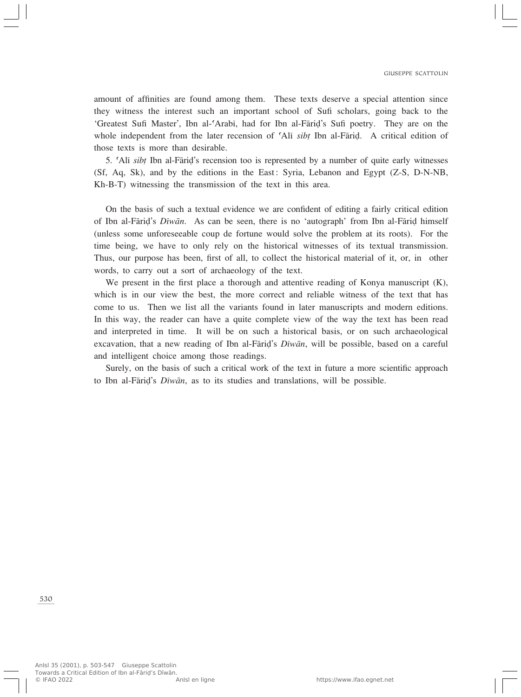amount of affinities are found among them. These texts deserve a special attention since they witness the interest such an important school of Sufi scholars, going back to the 'Greatest Sufi Master', Ibn al-©Arabî, had for Ibn al-Færi∂'s Sufi poetry. They are on the whole independent from the later recension of 'Ali *sibt* Ibn al-Fāriḍ. A critical edition of those texts is more than desirable.

5. Ali *sibt* Ibn al-Fāriḍ's recension too is represented by a number of quite early witnesses (Sf, Aq, Sk), and by the editions in the East: Syria, Lebanon and Egypt (Z-S, D-N-NB, Kh-B-T) witnessing the transmission of the text in this area.

On the basis of such a textual evidence we are confident of editing a fairly critical edition of Ibn al-Fāriḍ's *Dīwān*. As can be seen, there is no 'autograph' from Ibn al-Fāriḍ himself (unless some unforeseeable coup de fortune would solve the problem at its roots). For the time being, we have to only rely on the historical witnesses of its textual transmission. Thus, our purpose has been, first of all, to collect the historical material of it, or, in other words, to carry out a sort of archaeology of the text.

We present in the first place a thorough and attentive reading of Konya manuscript (K), which is in our view the best, the more correct and reliable witness of the text that has come to us. Then we list all the variants found in later manuscripts and modern editions. In this way, the reader can have a quite complete view of the way the text has been read and interpreted in time. It will be on such a historical basis, or on such archaeological excavation, that a new reading of Ibn al-Færi∂'s *Dîwæn*, will be possible, based on a careful and intelligent choice among those readings.

Surely, on the basis of such a critical work of the text in future a more scientific approach to Ibn al-Færi∂'s *Dîwæn*, as to its studies and translations, will be possible.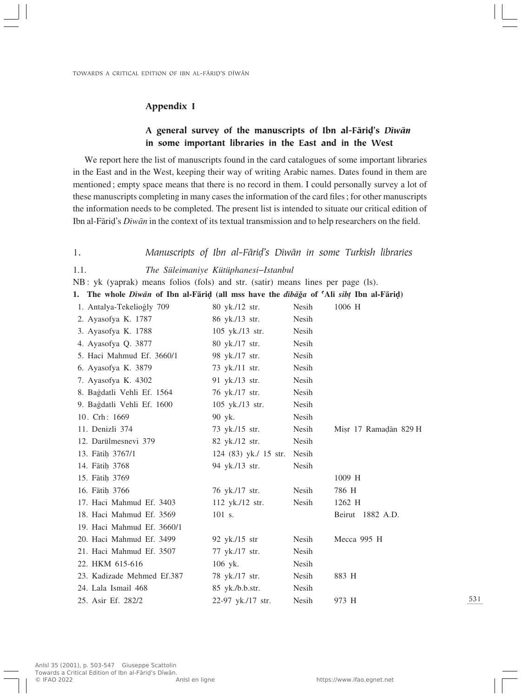### Appendix I

# A general survey of the manuscripts of Ibn al-Færi∂'s *Dîwæn* in some important libraries in the East and in the West

We report here the list of manuscripts found in the card catalogues of some important libraries in the East and in the West, keeping their way of writing Arabic names. Dates found in them are mentioned; empty space means that there is no record in them. I could personally survey a lot of these manuscripts completing in many cases the information of the card files; for other manuscripts the information needs to be completed. The present list is intended to situate our critical edition of Ibn al-Færi∂'s *Dîwæn* in the context of its textual transmission and to help researchers on the field.

1. *Manuscripts of Ibn al-Færi∂'s Dîwæn in some Turkish libraries*

1.1. *The Süleimaniye Kütüphanesi–Istanbul*

NB: yk (yaprak) means folios (fols) and str. (satir) means lines per page (ls).

1. The whole *Diwan* of Ibn al-Farid (all mss have the *dibaga* of 'Ali *sibt* Ibn al-Farid)

| 1. Antalya-Tekelioğly 709  | 80 yk./12 str.          | Nesih | 1006 H                |
|----------------------------|-------------------------|-------|-----------------------|
| 2. Ayasofya K. 1787        | 86 yk./13 str.          | Nesih |                       |
| 3. Ayasofya K. 1788        | 105 yk./13 str.         | Nesih |                       |
| 4. Ayasofya Q. 3877        | 80 yk./17 str.          | Nesih |                       |
| 5. Haci Mahmud Ef. 3660/1  | 98 yk./17 str.          | Nesih |                       |
| 6. Ayasofya K. 3879        | 73 yk./11 str.          | Nesih |                       |
| 7. Ayasofya K. 4302        | 91 yk./13 str.          | Nesih |                       |
| 8. Bağdatli Vehli Ef. 1564 | 76 yk./17 str.          | Nesih |                       |
| 9. Bağdatli Vehli Ef. 1600 | $105$ yk./13 str.       | Nesih |                       |
| 10. Crh: 1669              | 90 yk.                  | Nesih |                       |
| 11. Denizli 374            | 73 yk./15 str.          | Nesih | Misr 17 Ramadān 829 H |
| 12. Darülmesnevi 379       | 82 yk./12 str.          | Nesih |                       |
| 13. Fātih 3767/1           | 124 $(83)$ yk./ 15 str. | Nesih |                       |
| 14. Fātih 3768             | 94 yk./13 str.          | Nesih |                       |
| 15. Fātih 3769             |                         |       | 1009 H                |
| 16. Fātih 3766             | 76 yk./17 str.          | Nesih | 786 H                 |
| 17. Haci Mahmud Ef. 3403   | $112$ yk./12 str.       | Nesih | 1262 H                |
| 18. Haci Mahmud Ef. 3569   | 101 s.                  |       | Beirut 1882 A.D.      |
| 19. Haci Mahmud Ef. 3660/1 |                         |       |                       |
| 20. Haci Mahmud Ef. 3499   | 92 yk./15 str           | Nesih | Mecca 995 H           |
| 21. Haci Mahmud Ef. 3507   | 77 yk./17 str.          | Nesih |                       |
| 22. HKM 615-616            | 106 yk.                 | Nesih |                       |
| 23. Kadizade Mehmed Ef.387 | 78 yk./17 str.          | Nesih | 883 H                 |
| 24. Lala Ismail 468        | 85 yk./b.b.str.         | Nesih |                       |
| 25. Asir Ef. 282/2         | 22-97 yk./17 str.       | Nesih | 973 H                 |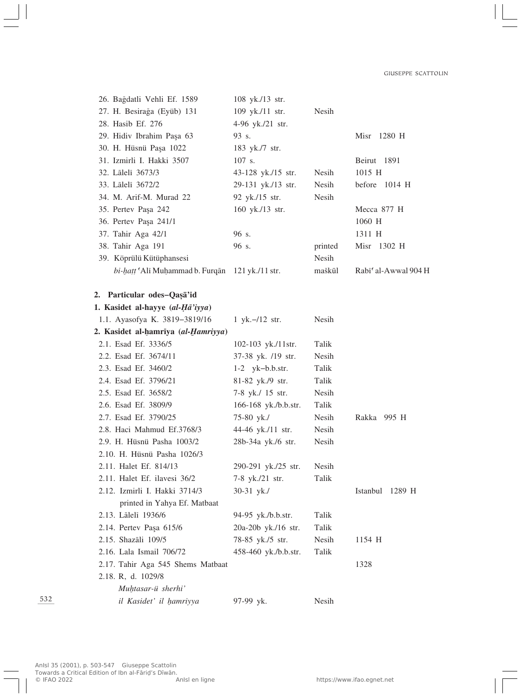| 26. Bağdatli Vehli Ef. 1589                     | 108 yk./13 str.      |              |                      |
|-------------------------------------------------|----------------------|--------------|----------------------|
| 27. H. Besirağa (Eyüb) 131                      | 109 yk./11 str.      | Nesih        |                      |
| 28. Hasib Ef. 276                               | 4-96 yk./21 str.     |              |                      |
| 29. Hidiv Ibrahim Paşa 63                       | 93 s.                |              | Misr<br>1280 H       |
| 30. H. Hüsnü Paşa 1022                          | 183 yk./7 str.       |              |                      |
| 31. Izmirli I. Hakki 3507                       | 107 s.               |              | Beirut 1891          |
| 32. Lālelī 3673/3                               | 43-128 yk./15 str.   | Nesih        | 1015 H               |
| 33. Lālelī 3672/2                               | 29-131 yk./13 str.   | Nesih        | before 1014 H        |
| 34. M. Arif-M. Murad 22                         | 92 yk./15 str.       | Nesih        |                      |
| 35. Pertev Paşa 242                             | 160 yk./13 str.      |              | Mecca 877 H          |
| 36. Pertev Paşa 241/1                           |                      |              | 1060 H               |
| 37. Tahir Aga 42/1                              | 96 s.                |              | 1311 H               |
| 38. Tahir Aga 191                               | 96 s.                | printed      | Misr 1302 H          |
| 39. Köprülü Kütüphansesi                        |                      | Nesih        |                      |
| bi-hatt 'Ali Muḥammad b. Furqān 121 yk./11 str. |                      | maškūl       | Rabi' al-Awwal 904 H |
| 2. Particular odes-Qașa'id                      |                      |              |                      |
| 1. Kasidet al-hayye (al-Hā'iyya)                |                      |              |                      |
| 1.1. Ayasofya K. 3819–3819/16                   | 1 yk. $-12$ str.     | Nesih        |                      |
| 2. Kasidet al-hamriya (al-Hamriyya)             |                      |              |                      |
| 2.1. Esad Ef. 3336/5                            | 102-103 yk./11str.   | Talik        |                      |
| 2.2. Esad Ef. 3674/11                           | 37-38 yk. /19 str.   | Nesih        |                      |
| 2.3. Esad Ef. 3460/2                            | $1-2$ yk-b.b.str.    | Talik        |                      |
| 2.4. Esad Ef. 3796/21                           | 81-82 yk./9 str.     | Talik        |                      |
| 2.5. Esad Ef. 3658/2                            | 7-8 yk./ 15 str.     | Nesih        |                      |
| 2.6. Esad Ef. 3809/9                            | 166-168 yk./b.b.str. | Talik        |                      |
| 2.7. Esad Ef. 3790/25                           | 75-80 yk./           | Nesih        | Rakka 995 H          |
| 2.8. Haci Mahmud Ef.3768/3                      | 44-46 yk./11 str.    | <b>Nesih</b> |                      |
| 2.9. H. Hüsnü Pasha 1003/2                      | 28b-34a yk./6 str.   | Nesih        |                      |
| 2.10. H. Hüsnü Pasha 1026/3                     |                      |              |                      |
| 2.11. Halet Ef. 814/13                          | 290-291 yk./25 str.  | Nesih        |                      |
| 2.11. Halet Ef. ilavesi 36/2                    | 7-8 yk./21 str.      | Talik        |                      |
| 2.12. Izmirli I. Hakki 3714/3                   | $30-31$ yk./         |              | Istanbul 1289 H      |
| printed in Yahya Ef. Matbaat                    |                      |              |                      |
| 2.13. Lālelī 1936/6                             | 94-95 yk./b.b.str.   | Talik        |                      |
| 2.14. Pertev Paşa 615/6                         | 20a-20b yk./16 str.  | Talik        |                      |
| 2.15. Shazāli 109/5                             | 78-85 yk./5 str.     | Nesih        | 1154 H               |
| 2.16. Lala Ismail 706/72                        | 458-460 yk./b.b.str. | Talik        |                      |
| 2.17. Tahir Aga 545 Shems Matbaat               |                      |              | 1328                 |
| 2.18. R, d. 1029/8                              |                      |              |                      |
| Muhtasar-ü sherhi'                              |                      |              |                      |
| il Kasidet' il hamriyya                         | 97-99 yk.            | Nesih        |                      |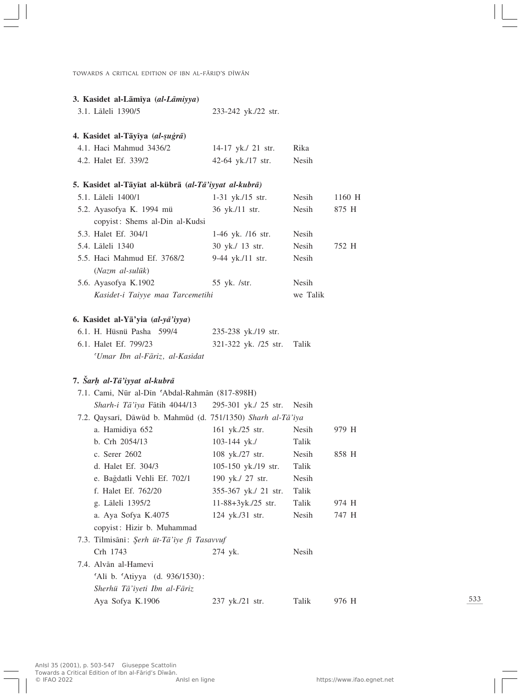TOWARDS A CRITICAL EDITION OF IBN AL-FĀRIŅ'S DĪWĀN

| 3. Kasidet al-Lāmīya (al-Lāmiyya)                           |                      |              |        |
|-------------------------------------------------------------|----------------------|--------------|--------|
| 3.1. Lāleli 1390/5                                          | 233-242 yk./22 str.  |              |        |
| 4. Kasidet al-Tāyīya (al-suģrā)                             |                      |              |        |
| 4.1. Haci Mahmud 3436/2                                     | 14-17 yk./ 21 str.   | Rika         |        |
| 4.2. Halet Ef. 339/2                                        | 42-64 yk./17 str.    | Nesih        |        |
| 5. Kasidet al-Tāyīat al-kübrā (al-Tā'iyyat al-kubrā)        |                      |              |        |
| 5.1. Lāleli 1400/1                                          | 1-31 yk./15 str.     | Nesih        | 1160 H |
| 5.2. Ayasofya K. 1994 mü                                    | 36 yk./11 str.       | Nesih        | 875 H  |
| copyist: Shems al-Din al-Kudsi                              |                      |              |        |
| 5.3. Halet Ef. 304/1                                        | 1-46 yk. /16 str.    | Nesih        |        |
| 5.4. Lāleli 1340                                            | 30 yk./ 13 str.      | <b>Nesih</b> | 752 H  |
| 5.5. Haci Mahmud Ef. 3768/2<br>(Nazm al-sulūk)              | 9-44 yk./11 str.     | Nesih        |        |
| 5.6. Ayasofya K.1902                                        | 55 yk. /str.         | Nesih        |        |
| Kasidet-i Taiyye maa Tarcemetihi                            |                      | we Talik     |        |
| 6. Kasidet al-Yā'yia (al-yā'iyya)                           |                      |              |        |
| 6.1. H. Hüsnü Pasha 599/4                                   | 235-238 yk./19 str.  |              |        |
| 6.1. Halet Ef. 799/23                                       | 321-322 yk. /25 str. | Talik        |        |
| 'Umar Ibn al-Fāriz, al-Kasīdat                              |                      |              |        |
| 7. Šarh al-Tā'iyyat al-kubrā                                |                      |              |        |
| 7.1. Cami, Nūr al-Dīn 'Abdal-Rahmān (817-898H)              |                      |              |        |
| Sharh-i Tā'iya Fātih 4044/13                                | 295-301 yk./ 25 str. | Nesih        |        |
| 7.2. Qaysarī, Dāwūd b. Mahmūd (d. 751/1350) Sharh al-Tā'īya |                      |              |        |
| a. Hamidiya 652                                             | 161 yk./25 str.      | Nesih        | 979 H  |
| b. Crh 2054/13                                              | 103-144 yk./         | Talik        |        |
| c. Serer 2602                                               | 108 yk./27 str.      | Nesih        | 858 H  |
| d. Halet Ef. 304/3                                          | 105-150 yk./19 str.  | Talik        |        |
| e. Bağdatli Vehli Ef. 702/1                                 | 190 yk./ 27 str.     | Nesih        |        |
| f. Halet Ef. 762/20                                         | 355-367 yk./ 21 str. | Talik        |        |
| g. Lāleli 1395/2                                            | $11-88+3yk./25$ str. | Talik        | 974 H  |
| a. Aya Sofya K.4075                                         | 124 yk./31 str.      | Nesih        | 747 H  |
| copyist: Hizir b. Muhammad                                  |                      |              |        |
| 7.3. Tilmisānī: Şerh üt-Tā'īye fī Tasavvuf                  |                      |              |        |
| Crh 1743                                                    | 274 yk.              | Nesih        |        |
| 7.4. Alvān al-Hamevi                                        |                      |              |        |
| 'Ali b. 'Atiyya (d. 936/1530):                              |                      |              |        |
| Sherhü Tā'iyeti Ibn al-Fāriz                                |                      |              |        |
| Aya Sofya K.1906                                            |                      | Talik        | 976 H  |
|                                                             | 237 yk./21 str.      |              |        |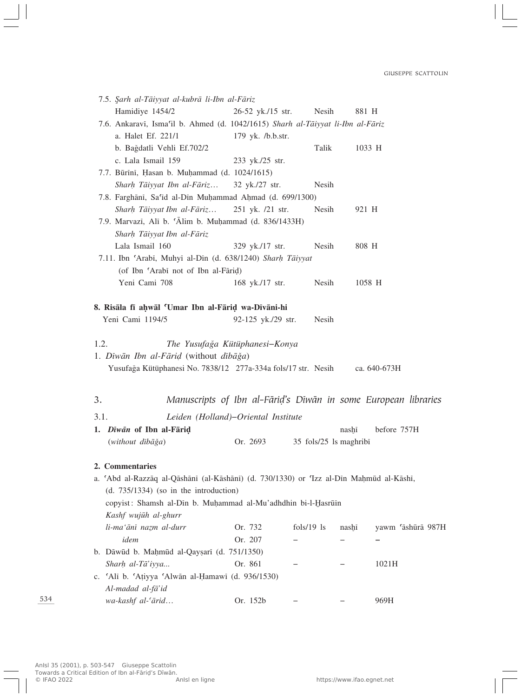| 7.5. Şarh al-Tāiyyat al-kubrā li-Ibn al-Fāriz     |              |                                                                                                                                                                                                                                                                                                                                                                                                                                                                               |                                                                                                                                                                                                                                                                                                                                                                                                                                                                         |
|---------------------------------------------------|--------------|-------------------------------------------------------------------------------------------------------------------------------------------------------------------------------------------------------------------------------------------------------------------------------------------------------------------------------------------------------------------------------------------------------------------------------------------------------------------------------|-------------------------------------------------------------------------------------------------------------------------------------------------------------------------------------------------------------------------------------------------------------------------------------------------------------------------------------------------------------------------------------------------------------------------------------------------------------------------|
|                                                   |              | 881 H                                                                                                                                                                                                                                                                                                                                                                                                                                                                         |                                                                                                                                                                                                                                                                                                                                                                                                                                                                         |
|                                                   |              |                                                                                                                                                                                                                                                                                                                                                                                                                                                                               |                                                                                                                                                                                                                                                                                                                                                                                                                                                                         |
|                                                   |              |                                                                                                                                                                                                                                                                                                                                                                                                                                                                               |                                                                                                                                                                                                                                                                                                                                                                                                                                                                         |
| b. Bağdatli Vehli Ef.702/2                        |              |                                                                                                                                                                                                                                                                                                                                                                                                                                                                               | 1033 H                                                                                                                                                                                                                                                                                                                                                                                                                                                                  |
|                                                   |              |                                                                                                                                                                                                                                                                                                                                                                                                                                                                               |                                                                                                                                                                                                                                                                                                                                                                                                                                                                         |
| 7.7. Būrīnī, Hasan b. Muḥammad (d. 1024/1615)     |              |                                                                                                                                                                                                                                                                                                                                                                                                                                                                               |                                                                                                                                                                                                                                                                                                                                                                                                                                                                         |
| Sharh Tāiyyat Ibn al-Fāriz                        |              |                                                                                                                                                                                                                                                                                                                                                                                                                                                                               |                                                                                                                                                                                                                                                                                                                                                                                                                                                                         |
|                                                   |              |                                                                                                                                                                                                                                                                                                                                                                                                                                                                               |                                                                                                                                                                                                                                                                                                                                                                                                                                                                         |
| Sharh Tāiyyat Ibn al-Fāriz                        |              | 921 H                                                                                                                                                                                                                                                                                                                                                                                                                                                                         |                                                                                                                                                                                                                                                                                                                                                                                                                                                                         |
|                                                   |              |                                                                                                                                                                                                                                                                                                                                                                                                                                                                               |                                                                                                                                                                                                                                                                                                                                                                                                                                                                         |
| Sharh Tāiyyat Ibn al-Fāriz                        |              |                                                                                                                                                                                                                                                                                                                                                                                                                                                                               |                                                                                                                                                                                                                                                                                                                                                                                                                                                                         |
|                                                   |              | 808 H                                                                                                                                                                                                                                                                                                                                                                                                                                                                         |                                                                                                                                                                                                                                                                                                                                                                                                                                                                         |
|                                                   |              |                                                                                                                                                                                                                                                                                                                                                                                                                                                                               |                                                                                                                                                                                                                                                                                                                                                                                                                                                                         |
| (of Ibn 'Arabi not of Ibn al-Fārid)               |              |                                                                                                                                                                                                                                                                                                                                                                                                                                                                               |                                                                                                                                                                                                                                                                                                                                                                                                                                                                         |
|                                                   |              |                                                                                                                                                                                                                                                                                                                                                                                                                                                                               | 1058 H                                                                                                                                                                                                                                                                                                                                                                                                                                                                  |
|                                                   |              |                                                                                                                                                                                                                                                                                                                                                                                                                                                                               |                                                                                                                                                                                                                                                                                                                                                                                                                                                                         |
|                                                   |              |                                                                                                                                                                                                                                                                                                                                                                                                                                                                               |                                                                                                                                                                                                                                                                                                                                                                                                                                                                         |
| 1. Dīwān Ibn al-Fārid (without dībāģa)            |              |                                                                                                                                                                                                                                                                                                                                                                                                                                                                               |                                                                                                                                                                                                                                                                                                                                                                                                                                                                         |
|                                                   |              |                                                                                                                                                                                                                                                                                                                                                                                                                                                                               | ca. 640-673H                                                                                                                                                                                                                                                                                                                                                                                                                                                            |
|                                                   |              |                                                                                                                                                                                                                                                                                                                                                                                                                                                                               |                                                                                                                                                                                                                                                                                                                                                                                                                                                                         |
|                                                   |              |                                                                                                                                                                                                                                                                                                                                                                                                                                                                               |                                                                                                                                                                                                                                                                                                                                                                                                                                                                         |
|                                                   |              |                                                                                                                                                                                                                                                                                                                                                                                                                                                                               |                                                                                                                                                                                                                                                                                                                                                                                                                                                                         |
| 1. Dīwān of Ibn al-Fāriḍ                          |              | nashī                                                                                                                                                                                                                                                                                                                                                                                                                                                                         | before 757H                                                                                                                                                                                                                                                                                                                                                                                                                                                             |
|                                                   |              |                                                                                                                                                                                                                                                                                                                                                                                                                                                                               |                                                                                                                                                                                                                                                                                                                                                                                                                                                                         |
|                                                   |              |                                                                                                                                                                                                                                                                                                                                                                                                                                                                               |                                                                                                                                                                                                                                                                                                                                                                                                                                                                         |
|                                                   |              |                                                                                                                                                                                                                                                                                                                                                                                                                                                                               |                                                                                                                                                                                                                                                                                                                                                                                                                                                                         |
|                                                   |              |                                                                                                                                                                                                                                                                                                                                                                                                                                                                               |                                                                                                                                                                                                                                                                                                                                                                                                                                                                         |
| $(d. 735/1334)$ (so in the introduction)          |              |                                                                                                                                                                                                                                                                                                                                                                                                                                                                               |                                                                                                                                                                                                                                                                                                                                                                                                                                                                         |
|                                                   |              |                                                                                                                                                                                                                                                                                                                                                                                                                                                                               |                                                                                                                                                                                                                                                                                                                                                                                                                                                                         |
|                                                   |              |                                                                                                                                                                                                                                                                                                                                                                                                                                                                               |                                                                                                                                                                                                                                                                                                                                                                                                                                                                         |
| Or. 732                                           | $fols/19$ ls | nashī                                                                                                                                                                                                                                                                                                                                                                                                                                                                         | yawm 'āshūrā 987H                                                                                                                                                                                                                                                                                                                                                                                                                                                       |
| Or. 207                                           |              |                                                                                                                                                                                                                                                                                                                                                                                                                                                                               |                                                                                                                                                                                                                                                                                                                                                                                                                                                                         |
| b. Dāwūd b. Mahmūd al-Qayṣarī (d. 751/1350)       |              |                                                                                                                                                                                                                                                                                                                                                                                                                                                                               |                                                                                                                                                                                                                                                                                                                                                                                                                                                                         |
| Or. 861                                           |              |                                                                                                                                                                                                                                                                                                                                                                                                                                                                               | 1021H                                                                                                                                                                                                                                                                                                                                                                                                                                                                   |
| c. 'Ali b. 'Atiyya 'Alwān al-Ḥamawī (d. 936/1530) |              |                                                                                                                                                                                                                                                                                                                                                                                                                                                                               |                                                                                                                                                                                                                                                                                                                                                                                                                                                                         |
|                                                   |              |                                                                                                                                                                                                                                                                                                                                                                                                                                                                               |                                                                                                                                                                                                                                                                                                                                                                                                                                                                         |
| Or. 152b                                          |              |                                                                                                                                                                                                                                                                                                                                                                                                                                                                               | 969H                                                                                                                                                                                                                                                                                                                                                                                                                                                                    |
|                                                   | Or. 2693     | 26-52 yk./15 str.<br>179 yk. /b.b.str.<br>233 yk./25 str.<br>32 yk./27 str.<br>7.8. Farghānī, Sa'id al-Din Muhammad Ahmad (d. 699/1300)<br>251 yk. /21 str.<br>7.9. Marvazi, Ali b. 'Alim b. Muhammad (d. 836/1433H)<br>329 yk./17 str.<br>7.11. Ibn 'Arabi, Muhyi al-Din (d. 638/1240) Sharh Tāiyyat<br>168 yk./17 str.<br>8. Risāla fī aḥwāl 'Umar Ibn al-Fāriḍ wa-Dīvāni-hi<br>92-125 yk./29 str.<br>The Yusufağa Kütüphanesi-Konya<br>Leiden (Holland)–Oriental Institute | Nesih<br>7.6. Ankaravi, Isma'il b. Ahmed (d. 1042/1615) Sharh al-Tāiyyat li-Ibn al-Fāriz<br>Talik<br>Nesih<br>Nesih<br>Nesih<br>Nesih<br>Nesih<br>Yusufağa Kütüphanesi No. 7838/12 277a-334a fols/17 str. Nesih<br>Manuscripts of Ibn al-Fāriḍ's Dīwān in some European libraries<br>35 fols/25 ls maghribi<br>a. 'Abd al-Razzāq al-Qāshāni (al-Kāshāni) (d. 730/1330) or 'Izz al-Din Mahmūd al-Kāshi,<br>copyist: Shamsh al-Din b. Muhammad al-Mu'adhdhin bi-l-Hasrūin |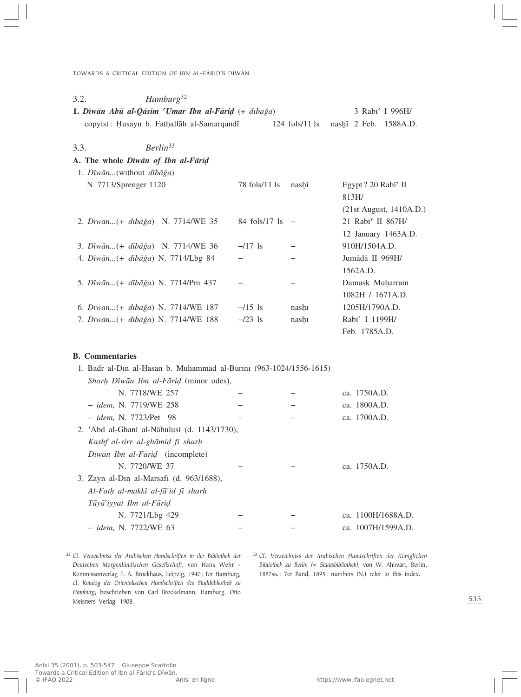TOWARDS A CRITICAL EDITION OF IBN AL-FĀRIŅ'S DĪWĀN

| 3.2. | Hamburg <sup>32</sup>                                              |                    |                  |                                                                     |
|------|--------------------------------------------------------------------|--------------------|------------------|---------------------------------------------------------------------|
|      | 1. Dīwān Abū al-Qāsim 'Umar Ibn al-Fārid (+ dībāğa)                |                    |                  | 3 Rabi' I 996H/                                                     |
|      | copyist: Husayn b. Fathallāh al-Samarqandī                         |                    | $124$ fols/11 ls | nashi 2 Feb. 1588A.D.                                               |
| 3.3. | Berlin <sup>33</sup>                                               |                    |                  |                                                                     |
|      | A. The whole Diwan of Ibn al-Farid                                 |                    |                  |                                                                     |
|      | 1. Dīwān(without dībāğa)                                           |                    |                  |                                                                     |
|      | N. 7713/Sprenger 1120                                              | 78 fols/11 ls      | nashi            | Egypt? 20 Rabi' II<br>813H/                                         |
|      | 2. Dīwān (+ dībāğa) N. 7714/WE 35                                  | 84 fols/17 ls      |                  | (21st August, 1410A.D.)<br>21 Rabi' II 867H/<br>12 January 1463A.D. |
|      | 3. Dīwān (+ dībāğa) N. 7714/WE 36                                  | $-117$ ls          |                  | 910H/1504A.D.                                                       |
|      | 4. Dīwān (+ dībāğa) N. 7714/Lbg 84                                 |                    |                  | Jumādā II 969H/<br>1562A.D.                                         |
|      | 5. Dīwān (+ dībāğa) N. 7714/Pm 437                                 |                    |                  | Damask Muharram<br>1082H / 1671A.D.                                 |
|      | 6. Dīwān (+ dībāğa) N. 7714/WE 187                                 | $-15$ ls           | nashi            | 1205H/1790A.D.                                                      |
|      | 7. Dīwān (+ dībāğa) N. 7714/WE 188                                 | $-\frac{23}{1}$ ls | nashī            | Rabi' I 1199H/<br>Feb. 1785A.D.                                     |
|      | <b>B.</b> Commentaries                                             |                    |                  |                                                                     |
|      | 1. Badr al-Din al-Hasan b. Muhammad al-Būrini (963-1024/1556-1615) |                    |                  |                                                                     |
|      | Sharh Diwān Ibn al-Fārid (minor odes),                             |                    |                  |                                                                     |
|      | N. 7718/WE 257                                                     |                    |                  | ca. 1750A.D.                                                        |
|      | - idem, N. 7719/WE 258                                             |                    |                  | ca. 1800A.D.                                                        |
|      | - idem, N. 7723/Pet 98                                             |                    |                  | ca. 1700A.D.                                                        |
|      | 2. 'Abd al-Ghani al-Nābulusi (d. 1143/1730),                       |                    |                  |                                                                     |
|      | Kashf al-sirr al-ghāmid fī sharh                                   |                    |                  |                                                                     |
|      | Dīwān Ibn al-Fārid (incomplete)                                    |                    |                  |                                                                     |
|      | N. 7720/WE 37                                                      |                    |                  | ca. 1750A.D.                                                        |
|      | 3. Zayn al-Din al-Marșafi (d. 963/1688),                           |                    |                  |                                                                     |
|      | Al-Fath al-makkī al-fā'id fī sharh                                 |                    |                  |                                                                     |
|      | Tāyā'iyyat Ibn al-Fārid                                            |                    |                  |                                                                     |
|      | N. 7721/Lbg 429                                                    |                    |                  | ca. 1100H/1688A.D.                                                  |
|      | - idem, N. 7722/WE 63                                              |                    |                  | ca. 1007H/1599A.D.                                                  |

<sup>32</sup> Cf. *Verzeichniss der Arabischen Handschriften in der Bibliothek der Deutschen Morgenländischen Gesellschaft*, von Hans Wehr - Kommissonverlag F. A. Brockhaus, Leipzig, 1940; for Hamburg, cf. *Katalog der Orientalischen Handschriften des Stadtbibliothek zu Hamburg*, beschrieben von Carl Brockelmann, Hamburg, Otto Meisners Verlag, 1908.

<sup>33</sup> Cf. *Verzeichniss der Arabischen Handschriften der Königlichen Bibliothek zu Berlin (= Staatsbibliothek)*, von W. Ahlwart, Berlin, 1887ss.: 7er Band, 1895; numbers (N.) refer to this index.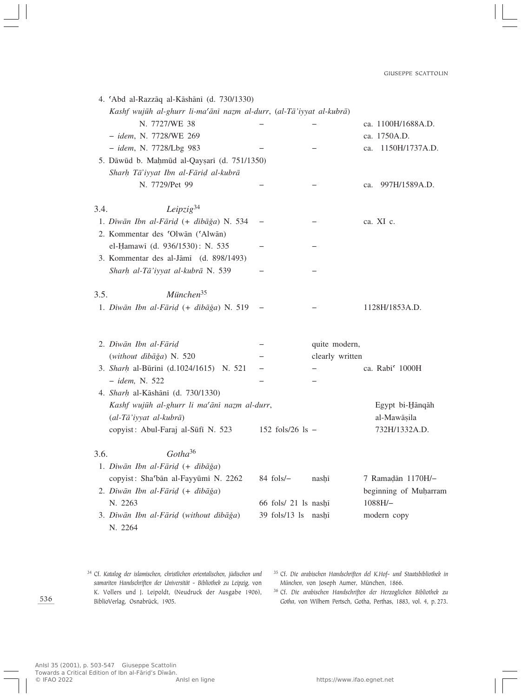|      | 4. 'Abd al-Razzāq al-Kāshānī (d. 730/1330)                          |                      |                 |                             |
|------|---------------------------------------------------------------------|----------------------|-----------------|-----------------------------|
|      | Kashf wujūh al-ghurr li-ma'ānī nazm al-durr, (al-Tā'iyyat al-kubrā) |                      |                 |                             |
|      | N. 7727/WE 38                                                       |                      |                 | ca. 1100H/1688A.D.          |
|      | - idem, N. 7728/WE 269                                              |                      |                 | ca. 1750A.D.                |
|      | - idem, N. 7728/Lbg 983                                             |                      |                 | 1150H/1737A.D.<br>ca.       |
|      | 5. Dāwūd b. Mahmūd al-Qayṣarī (d. 751/1350)                         |                      |                 |                             |
|      | Sharh Tā'iyyat Ibn al-Fārid al-kubrā                                |                      |                 |                             |
|      | N. 7729/Pet 99                                                      |                      |                 | 997H/1589A.D.<br>ca.        |
| 3.4. | Leipzig <sup>34</sup>                                               |                      |                 |                             |
|      | 1. Dīwān Ibn al-Fārid (+ dībāğa) N. 534                             |                      |                 | ca. XI c.                   |
|      | 2. Kommentar des 'Olwān ('Alwān)                                    |                      |                 |                             |
|      | el-Hamawi (d. 936/1530): N. 535                                     |                      |                 |                             |
|      | 3. Kommentar des al-Jāmī (d. 898/1493)                              |                      |                 |                             |
|      | Sharh al-Tā'iyyat al-kubrā N. 539                                   |                      |                 |                             |
| 3.5. | $M$ <i>ünchen</i> <sup>35</sup>                                     |                      |                 |                             |
|      | 1. Dīwān Ibn al-Fārid (+ dībāğa) N. 519                             |                      |                 | 1128H/1853A.D.              |
|      |                                                                     |                      |                 |                             |
|      | 2. Dīwān Ibn al-Fārid                                               |                      | quite modern,   |                             |
|      | (without dībāğa) N. 520<br>3. Sharh al-Būrīnī (d.1024/1615) N. 521  |                      | clearly written | ca. Rabi <sup>c</sup> 1000H |
|      | - idem, N. 522                                                      |                      |                 |                             |
|      | 4. Sharh al-Kāshānī (d. 730/1330)                                   |                      |                 |                             |
|      | Kashf wujūh al-ghurr li ma'ānī nazm al-durr,                        |                      |                 | Egypt bi-Hānqāh             |
|      | (al-Tā'iyyat al-kubrā)                                              |                      |                 | al-Mawāṣila                 |
|      | copyist: Abul-Faraj al-Sūfī N. 523                                  | 152 fols/26 ls $-$   |                 | 732H/1332A.D.               |
| 3.6. | Gotha <sup>36</sup>                                                 |                      |                 |                             |
|      | 1. Dīwān Ibn al-Fārid (+ dībāğa)                                    |                      |                 |                             |
|      | copyist: Sha'bān al-Fayyūmī N. 2262                                 | $84$ fols/ $-$       | nashi           | 7 Ramadān 1170H/-           |
|      | 2. Dīwān Ibn al-Fārid (+ dībāğa)                                    |                      |                 | beginning of Muharram       |
|      | N. 2263                                                             | 66 fols/ 21 ls nashi |                 | 1088H/-                     |
|      | 3. Dīwān Ibn al-Fārid (without dībāğa)<br>N. 2264                   | 39 fols/13 ls        | nasḫī           | modern copy                 |
|      |                                                                     |                      |                 |                             |

<sup>34</sup> Cf. *Katalog der islamischen, christlichen orientalischen, jüdischen und samariten Handschriften der Universität - Bibliothek zu Leipzig*, von K. Vollers und J. Leipoldt, (Neudruck der Ausgabe 1906), BiblioVerlag, Osnabrück, 1905.

<sup>35</sup> Cf. *Die arabischen Handschriften del K.Hof- und Staatsbibliothek in München*, von Joseph Aumer, München, 1866.

<sup>36</sup> Cf. *Die arabischen Handschriften der Herzoglichen Bibliothek zu Gotha*, von Wilhem Pertsch, Gotha, Perthas, 1883, vol. 4, p. 273.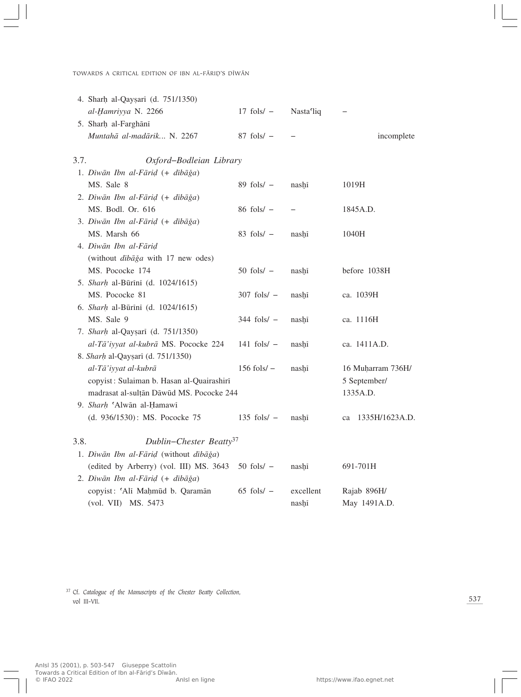|      | 4. Sharh al-Qayṣarī (d. 751/1350)         |                 |           |                   |
|------|-------------------------------------------|-----------------|-----------|-------------------|
|      | al-Hamriyya N. 2266                       | $17$ fols/ $-$  | Nasta'liq | —                 |
|      | 5. Sharh al-Farghānī                      |                 |           |                   |
|      | Muntahā al-madārik N. 2267                | $87$ fols/ $-$  |           | incomplete        |
| 3.7. | Oxford-Bodleian Library                   |                 |           |                   |
|      | 1. Dīwān Ibn al-Fārid (+ dībāğa)          |                 |           |                   |
|      | MS. Sale 8                                | $89$ fols/ $-$  | nashi     | 1019H             |
|      | 2. Dīwān Ibn al-Fārid (+ dībāğa)          |                 |           |                   |
|      | MS. Bodl. Or. 616                         | $86$ fols/ $-$  |           | 1845A.D.          |
|      | 3. Dīwān Ibn al-Fārid (+ dībāğa)          |                 |           |                   |
|      | MS. Marsh 66                              | $83$ fols/ $-$  | nashi     | 1040H             |
|      | 4. Dīwān Ibn al-Fārid                     |                 |           |                   |
|      | (without dibaga with 17 new odes)         |                 |           |                   |
|      | MS. Pococke 174                           | $50$ fols/ $-$  | nashī     | before 1038H      |
|      | 5. Sharh al-Būrini (d. 1024/1615)         |                 |           |                   |
|      | MS. Pococke 81                            | $307$ fols/ $-$ | nashi     | ca. 1039H         |
|      | 6. Sharh al-Būrīnī (d. 1024/1615)         |                 |           |                   |
|      | MS. Sale 9                                | $344$ fols/ $-$ | nashi     | ca. 1116H         |
|      | 7. Sharh al-Qayşarı (d. 751/1350)         |                 |           |                   |
|      | al-Tā'iyyat al-kubrā MS. Pococke 224      | $141$ fols/ $-$ | nashi     | ca. 1411A.D.      |
|      | 8. Sharh al-Qaysarī (d. 751/1350)         |                 |           |                   |
|      | al-Tā'iyyat al-kubrā                      | $156$ fols/ $-$ | nashī     | 16 Muḥarram 736H/ |
|      | copyist: Sulaiman b. Hasan al-Quairashiri |                 |           | 5 September/      |
|      | madrasat al-sulțān Dāwūd MS. Pococke 244  |                 |           | 1335A.D.          |
|      | 9. Sharh 'Alwān al-Hamawī                 |                 |           |                   |
|      | (d. 936/1530): MS. Pococke 75             | $135$ fols/ $-$ | nashi     | ca 1335H/1623A.D. |
| 3.8. | Dublin-Chester Beatty <sup>37</sup>       |                 |           |                   |
|      | 1. Dīwān Ibn al-Fārid (without dībāğa)    |                 |           |                   |
|      | (edited by Arberry) (vol. III) MS. 3643   | $50$ fols/ $-$  | nashī     | 691-701H          |
|      | 2. Dīwān Ibn al-Fārid (+ dībāğa)          |                 |           |                   |
|      | copyist: 'Alī Maḥmūd b. Qaramān           | $65$ fols/ $-$  | excellent | Rajab 896H/       |
|      | (vol. VII) MS. 5473                       |                 | nashi     | May 1491A.D.      |

<sup>37</sup> Cf. *Catalogue of the Manuscripts of the Chester Beatty Collection*, vol III-VII.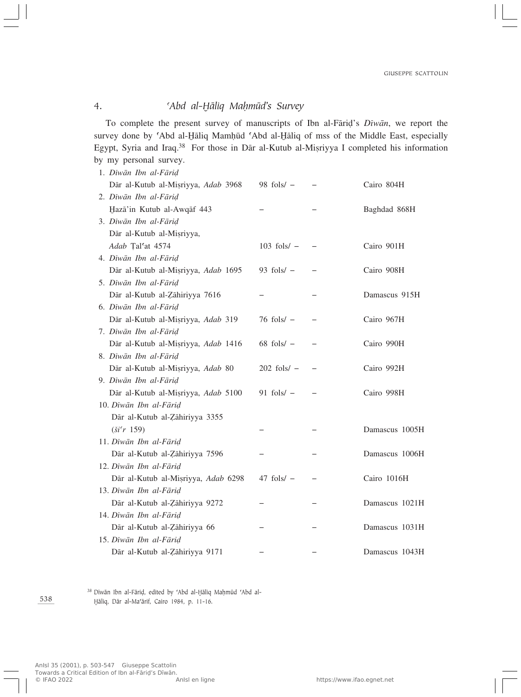# 4. *CAbd al-Hāliq Mahmūd's Survey*

To complete the present survey of manuscripts of Ibn al-Færi∂'s *Dîwæn*, we report the survey done by 'Abd al-Hāliq Mamhūd 'Abd al-Hāliq of mss of the Middle East, especially Egypt, Syria and Iraq.<sup>38</sup> For those in Dār al-Kutub al-Miṣriyya I completed his information by my personal survey.

| 1. Dīwān Ibn al-Fārid               |                 |                |
|-------------------------------------|-----------------|----------------|
| Dār al-Kutub al-Mișriyya, Adab 3968 | 98 fols/ $-$    | Cairo 804H     |
| 2. Dīwān Ibn al-Fārid               |                 |                |
| Hazā'in Kutub al-Awqāf 443          |                 | Baghdad 868H   |
| 3. Dīwān Ibn al-Fārid               |                 |                |
| Dār al-Kutub al-Misriyya,           |                 |                |
| Adab Tal'at 4574                    | $103$ fols/ $-$ | Cairo 901H     |
| 4. Dīwān Ibn al-Fārid               |                 |                |
| Dār al-Kutub al-Misriyya, Adab 1695 | 93 fols/ $-$    | Cairo 908H     |
| 5. Dīwān Ibn al-Fārid               |                 |                |
| Dār al-Kutub al-Zāhiriyya 7616      |                 | Damascus 915H  |
| 6. Dīwān Ibn al-Fārid               |                 |                |
| Dār al-Kutub al-Mișriyya, Adab 319  | $76$ fols/ $-$  | Cairo 967H     |
| 7. Dīwān Ibn al-Fārid               |                 |                |
| Dār al-Kutub al-Misriyya, Adab 1416 | $68$ fols/ $-$  | Cairo 990H     |
| 8. Dīwān Ibn al-Fārid               |                 |                |
| Dār al-Kutub al-Misriyya, Adab 80   | $202$ fols/ $-$ | Cairo 992H     |
| 9. Dīwān Ibn al-Fārid               |                 |                |
| Dār al-Kutub al-Mișriyya, Adab 5100 | 91 fols/ $-$    | Cairo 998H     |
| 10. Dīwān Ibn al-Fārid              |                 |                |
| Dār al-Kutub al-Zāhiriyya 3355      |                 |                |
| $({\rm i}i'$ r 159)                 |                 | Damascus 1005H |
| 11. Dīwān Ibn al-Fārid              |                 |                |
| Dār al-Kutub al-Zāhiriyya 7596      |                 | Damascus 1006H |
| 12. Diwān Ibn al-Fārid              |                 |                |
| Dār al-Kutub al-Misriyya, Adab 6298 | $47$ fols/ $-$  | Cairo 1016H    |
| 13. Dīwān Ibn al-Fārid              |                 |                |
| Dār al-Kutub al-Zāhiriyya 9272      |                 | Damascus 1021H |
| 14. Dīwān Ibn al-Fārid              |                 |                |
| Dār al-Kutub al-Zāhiriyya 66        |                 | Damascus 1031H |
| 15. Dīwān Ibn al-Fārid              |                 |                |
| Dār al-Kutub al-Zāhiriyya 9171      |                 | Damascus 1043H |

38 Dīwān Ibn al-Fāriḍ, edited by 'Abd al-Hāliq Maḥmūd 'Abd al-ھliq, Dær al-Ma©ærif, Cairo 1984, p. 11-16.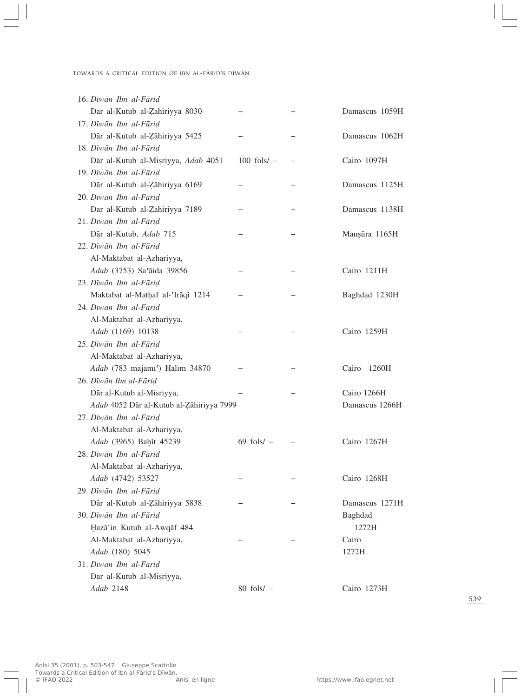| 16. Dīwān Ibn al-Fārid                   |                 |                |
|------------------------------------------|-----------------|----------------|
| Dār al-Kutub al-Zāhiriyya 8030           |                 | Damascus 1059H |
| 17. Dīwān Ibn al-Fārid                   |                 |                |
| Dār al-Kutub al-Zāhiriyya 5425           |                 | Damascus 1062H |
| 18. Dīwān Ibn al-Fārid                   |                 |                |
| Dār al-Kutub al-Misriyya, Adab 4051      | $100$ fols/ $-$ | Cairo 1097H    |
| 19. Dīwān Ibn al-Fārid                   |                 |                |
| Dār al-Kutub al-Zāhiriyya 6169           |                 | Damascus 1125H |
| 20. Dīwān Ibn al-Fārid                   |                 |                |
| Dār al-Kutub al-Zāhiriyya 7189           |                 | Damascus 1138H |
| 21. Dīwān Ibn al-Fārid                   |                 |                |
| Dār al-Kutub, Adab 715                   |                 | Manșūra 1165H  |
| 22. Dīwān Ibn al-Fārid                   |                 |                |
| Al-Maktabat al-Azhariyya,                |                 |                |
| Adab (3753) Sa'aida 39856                |                 | Cairo 1211H    |
| 23. Dīwān Ibn al-Fārid                   |                 |                |
| Maktabat al-Mathaf al-Trāqī 1214         |                 | Baghdad 1230H  |
| 24. Dīwān Ibn al-Fārid                   |                 |                |
| Al-Maktabat al-Azhariyya,                |                 |                |
| Adab (1169) 10138                        |                 | Cairo 1259H    |
| 25. Dīwān Ibn al-Fārid                   |                 |                |
| Al-Maktabat al-Azhariyya,                |                 |                |
| Adab (783 majāmī') Ḥalīm 34870           |                 | Cairo<br>1260H |
| 26. Dīwān Ibn al-Fārid                   |                 |                |
| Dār al-Kutub al-Misriyya,                |                 | Cairo 1266H    |
| Adab 4052 Dār al-Kutub al-Zāhiriyya 7999 |                 | Damascus 1266H |
| 27. Dīwān Ibn al-Fārid                   |                 |                |
| Al-Maktabat al-Azhariyya,                |                 |                |
| Adab (3965) Bahīt 45239                  | $69$ fols/ $-$  | Cairo 1267H    |
| 28. Dīwān Ibn al-Fārid                   |                 |                |
| Al-Maktabat al-Azhariyya,                |                 |                |
| Adab (4742) 53527                        |                 | Cairo 1268H    |
| 29. Diwān Ibn al-Fārid                   |                 |                |
| Dār al-Kutub al-Zāhiriyya 5838           |                 | Damascus 1271H |
| 30. Dīwān Ibn al-Fārid                   |                 | Baghdad        |
| Hazā'in Kutub al-Awqāf 484               |                 | 1272H          |
| Al-Maktabat al-Azhariyya,                |                 | Cairo          |
| Adab (180) 5045                          |                 | 1272H          |
| 31. Diwān Ibn al-Fārid                   |                 |                |
| Dār al-Kutub al-Misriyya,                |                 |                |
| Adab 2148                                | $80$ fols/ $-$  | Cairo 1273H    |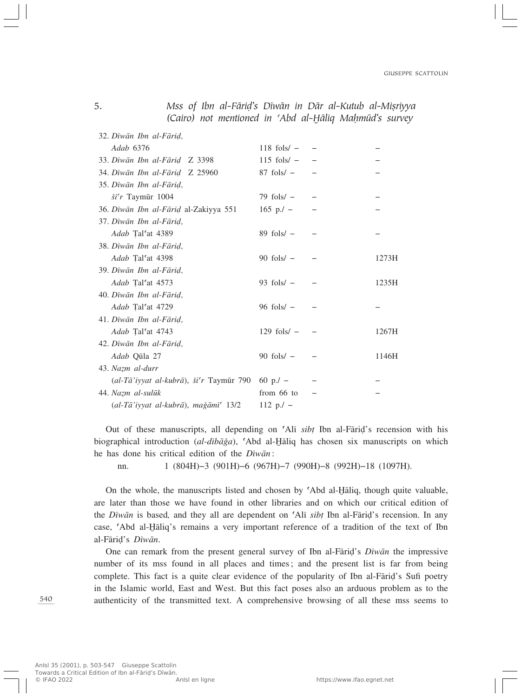| (Cairo) not mentioned in 'Abd al-Ḥāliq Maḥmūd's survey |                 |       |
|--------------------------------------------------------|-----------------|-------|
| 32. Dīwān Ibn al-Fārid,                                |                 |       |
| Adab 6376                                              | $118$ fols/ $-$ |       |
| 33. Dīwān Ibn al-Fārid Z 3398                          | $115$ fols/ $-$ |       |
| 34. Dīwān Ibn al-Fārid Z 25960                         | $87$ fols/ $-$  |       |
| 35. Dīwān Ibn al-Fārid,                                |                 |       |
| $\check{si}$ 'r Taymūr 1004                            | $79$ fols/ $-$  |       |
| 36. Dīwān Ibn al-Fārid al-Zakiyya 551                  | $165$ p./ $-$   |       |
| 37. Dīwān Ibn al-Fārid,                                |                 |       |
| Adab Tal'at 4389                                       | $89$ fols/ $-$  |       |
| 38. Dīwān Ibn al-Fārid,                                |                 |       |
| Adab Tal'at 4398                                       | $90$ fols/ $-$  | 1273H |
| 39. Dīwān Ibn al-Fārid,                                |                 |       |
| Adab Tal'at 4573                                       | 93 fols/ $-$    | 1235H |
| 40. Dīwān Ibn al-Fārid,                                |                 |       |
| Adab Tal'at 4729                                       | $96$ fols/ $-$  |       |
| 41. Dīwān Ibn al-Fārid,                                |                 |       |
| Adab Tal'at 4743                                       | $129$ fols/ $-$ | 1267H |
| 42. Dīwān Ibn al-Fārid,                                |                 |       |
| Adab Qula 27                                           | 90 fols/ $-$    | 1146H |
| 43. Nazm al-durr                                       |                 |       |
| (al-Tā'iyyat al-kubrā), ši'r Taymūr 790                | 60 p./ $-$      |       |
| 44. Nazm al-sulūk                                      | from 66 to      |       |
| (al-Tā'iyyat al-kubrā), mağāmī <sup>c</sup> 13/2       | $112 p/-$       |       |

5. *Mss of Ibn al-Fārid's Dīwān in Dār al-Kutub al-Misriyya* 

Out of these manuscripts, all depending on ©Alî *sib†* Ibn al-Færi∂'s recension with his biographical introduction (*al-dibāğa*), 'Abd al-Hāliq has chosen six manuscripts on which he has done his critical edition of the *Dîwæn*:

nn. 1 (804H)–3 (901H)–6 (967H)–7 (990H)–8 (992H)–18 (1097H).

On the whole, the manuscripts listed and chosen by 'Abd al-Haliq, though quite valuable, are later than those we have found in other libraries and on which our critical edition of the *Dîwæn* is based*,* and they all are dependent on ©Alî *sib†* Ibn al-Færi∂'s recension. In any case, 'Abd al-Hāliq's remains a very important reference of a tradition of the text of Ibn al-Færi∂'s *Dîwæn*.

One can remark from the present general survey of Ibn al-Færi∂'s *Dîwæn* the impressive number of its mss found in all places and times; and the present list is far from being complete. This fact is a quite clear evidence of the popularity of Ibn al-Fāriḍ's Sufi poetry in the Islamic world, East and West. But this fact poses also an arduous problem as to the authenticity of the transmitted text. A comprehensive browsing of all these mss seems to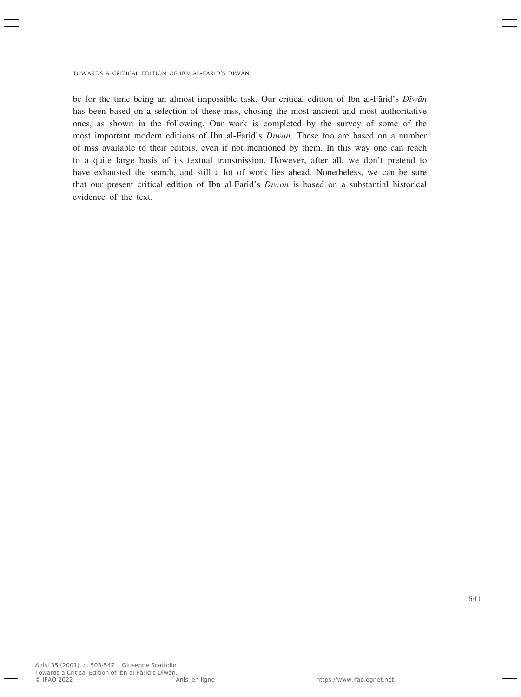be for the time being an almost impossible task. Our critical edition of Ibn al-Færi∂'s *Dîwæn* has been based on a selection of these mss, chosing the most ancient and most authoritative ones, as shown in the following. Our work is completed by the survey of some of the most important modern editions of Ibn al-Færi∂'s *Dîwæn*. These too are based on a number of mss available to their editors, even if not mentioned by them. In this way one can reach to a quite large basis of its textual transmission. However, after all, we don't pretend to have exhausted the search, and still a lot of work lies ahead. Nonetheless, we can be sure that our present critical edition of Ibn al-Færi∂'s *Dîwæn* is based on a substantial historical evidence of the text.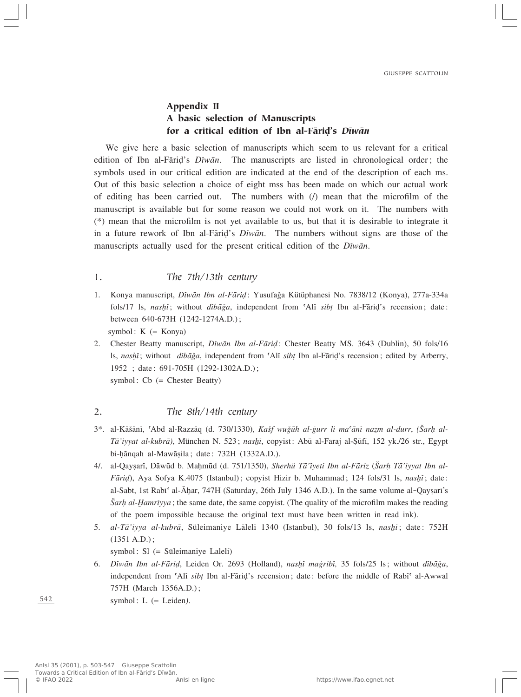# Appendix II A basic selection of Manuscripts for a critical edition of Ibn al-Færi∂'s *Dîwæn*

We give here a basic selection of manuscripts which seem to us relevant for a critical edition of Ibn al-Færi∂'s *Dîwæn*. The manuscripts are listed in chronological order; the symbols used in our critical edition are indicated at the end of the description of each ms. Out of this basic selection a choice of eight mss has been made on which our actual work of editing has been carried out. The numbers with (/) mean that the microfilm of the manuscript is available but for some reason we could not work on it. The numbers with (\*) mean that the microfilm is not yet available to us, but that it is desirable to integrate it in a future rework of Ibn al-Færi∂'s *Dîwæn*. The numbers without signs are those of the manuscripts actually used for the present critical edition of the *Dîwæn*.

#### 1. *The 7th/13th century*

- 1. Konya manuscript, *Dîwæn Ibn al-Færi∂*: Yusufa…a Kütüphanesi No. 7838/12 (Konya), 277a-334a fols/17 ls, *nasŔ*; without *dîbæÏa*, independent from ©Alî *sib†* Ibn al-Færi∂'s recension; date: between 640-673H (1242-1274A.D.); symbol:  $K$  (= Konya)
- 2. Chester Beatty manuscript, *Dîwæn Ibn al-Færi∂*: Chester Beatty MS. 3643 (Dublin), 50 fols/16 ls, *nasŔ*; without *dîbæÏa*, independent from ©Alî *sib†* Ibn al-Færi∂'s recension; edited by Arberry, 1952 ; date: 691-705H (1292-1302A.D.);

symbol: Cb (= Chester Beatty)

### 2. *The 8th/14th century*

- 3\*. al-Kāšānī, <sup>*CAbd al-Razzāq (d. 730/1330), Kašf wuğūh al-gurr li ma<sup>c</sup>ānī nazm al-durr, (<i>Šarh al-*</sup> *Tæ'iyyat al-kubræ)*, München N. 523; *nasŔ*, copyist: Abº al-Faraj al-∑ºfî, 152 yk./26 str., Egypt bi-bānqah al-Mawāṣila; date: 732H (1332A.D.).
- 4/. al-Qayşarî, Dāwūd b. Mahmūd (d. 751/1350), *Sherhü Tā'iyeti Ibn al-Fāriz* (*Šarh Tā'iyyat Ibn al-Færi∂*), Aya Sofya K.4075 (Istanbul); copyist Hizir b. Muhammad; 124 fols/31 ls, *nasŔ*; date: al-Sabt, 1st Rabī<sup>c</sup> al-Āḫar, 747H (Saturday, 26th July 1346 A.D.). In the same volume al-Qayṣarī's *<u><i>Δ*arh al-Hamrīyya; the same date, the same copyist. (The quality of the microfilm makes the reading</u> of the poem impossible because the original text must have been written in read ink).
- 5. *al-Tæ'iyya al-kubræ*, Süleimaniye Læleli 1340 (Istanbul), 30 fols/13 ls, *nasŔ*; date: 752H (1351 A.D.);

symbol:  $SI$  (= Süleimaniye Lāleli)

6. Dīwān Ibn al-Fārid, Leiden Or. 2693 (Holland), nashī maģribī, 35 fols/25 ls; without dībāğa, independent from 'Alī *sibt* Ibn al-Fārid's recension; date: before the middle of Rabī<sup>c</sup> al-Awwal 757H (March 1356A.D.);

symbol: L (= Leiden*)*.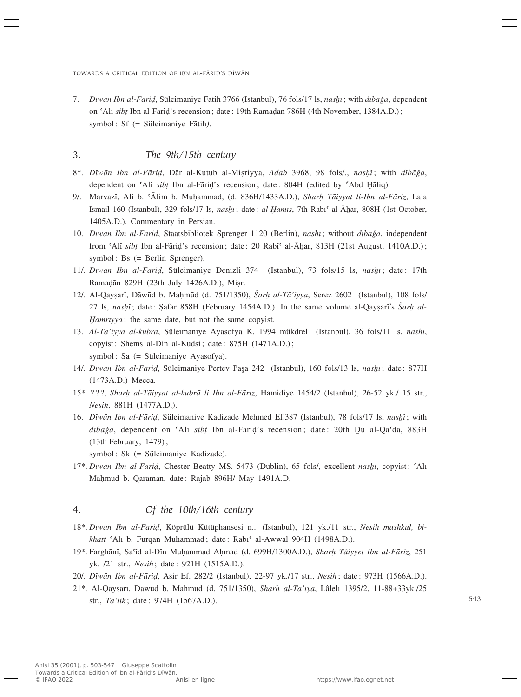7. *Dîwæn Ibn al-Færi∂*, Süleimaniye Fætih 3766 (Istanbul), 76 fols/17 ls, *nasŔ*; with *dîbæÏa*, dependent on ©Alî *sib†* Ibn al-Færi∂'s recension; date: 19th Rama∂æn 786H (4th November, 1384A.D.); symbol: Sf (= Süleimaniye Fātih).

### 3. *The 9th/15th century*

- 8\*. *Dīwān Ibn al-Fārid*, Dār al-Kutub al-Mişriyya, Adab 3968, 98 fols/., *nashī*; with dībāğa, dependent on ©Alî *sib†* Ibn al-Færi∂'s recension; date: 804H (edited by ¢Abd ھliq).
- 9/. Marvazî, Alî b. ©Ælim b. MuÌammad, (d. 836H/1433A.D.), *SharÌ Tæiyyat li-Ibn al-Færiz*, Lala Ismail 160 (Istanbul), 329 fols/17 ls, *nashi*; date: *al-Hamis*, 7th Rabi<sup>c</sup> al-Āḥar, 808H (1st October, 1405A.D.). Commentary in Persian.
- 10. *Dīwān Ibn al-Fāriḍ*, Staatsbibliotek Sprenger 1120 (Berlin), *nashī*; without *dībāğa*, independent from 'Ali *sibt* Ibn al-Fāriḍ's recension; date: 20 Rabī' al-Āhar, 813H (21st August, 1410A.D.); symbol: Bs (= Berlin Sprenger).
- 11/. *Dîwæn Ibn al-Færi∂*, Süleimaniye Denizli 374 (Istanbul), 73 fols/15 ls, *nasŔ*; date: 17th Ramadān 829H (23th July 1426A.D.), Mişr.
- 12/. Al-Qayşarî, Dāwūd b. Mahmūd (d. 751/1350), *Šarh al-Tā*'*iyya*, Serez 2602 (Istanbul), 108 fols/ 27 ls, *nashī*; date: Safar 858H (February 1454A.D.). In the same volume al-Qaysarī's *Šarh al-⁄amrîyya*; the same date, but not the same copyist.
- 13. *Al-Tæ'iyya al-kubræ*, Süleimaniye Ayasofya K. 1994 mükdrel (Istanbul), 36 fols/11 ls, *nasŔ*, copyist: Shems al-Din al-Kudsi; date: 875H (1471A.D.); symbol: Sa (= Süleimaniye Ayasofya).
- 14/. *Dîwæn Ibn al-Færi∂*, Süleimaniye Pertev Pa'a 242 (Istanbul), 160 fols/13 ls, *nasŔ*; date: 877H (1473A.D.) Mecca.
- 15\* ???, *SharÌ al-Tæiyyat al-kubræ li Ibn al-Færiz*, Hamidiye 1454/2 (Istanbul), 26-52 yk./ 15 str., *Nesih*, 881H (1477A.D.).
- 16. *Dîwæn Ibn al-Færi∂*, Süleimaniye Kadizade Mehmed Ef.387 (Istanbul), 78 fols/17 ls, *nasŔ*; with *dībāğa*, dependent on 'Alī *sibț* Ibn al-Fāriḍ's recension; date: 20th Dū al-Qa'da, 883H (13th February, 1479);

symbol: Sk (= Süleimaniye Kadizade).

17\*. *Dīwān Ibn al-Fāriḍ*, Chester Beatty MS. 5473 (Dublin), 65 fols/, excellent *nashī*, copyist: 'Alī Mahmūd b. Qaramān, date: Rajab 896H/ May 1491A.D.

#### 4. *Of the 10th/16th century*

- 18\*. *Dîwæn Ibn al-Færi∂*, Köprülü Kütüphansesi n... (Istanbul), 121 yk./11 str., *Nesih mashkºl, bikhatt* 'Alī b. Furqān Muhammad; date: Rabī' al-Awwal 904H (1498A.D.).
- 19\*. Farghænî, Sa©îd al-Dîn MuÌammad AÌmad (d. 699H/1300A.D.), *SharÌ Tâiyyet Ibn al-Færiz*, 251 yk. /21 str., *Nesih*; date: 921H (1515A.D.).
- 20/. *Dîwæn Ibn al-Færi∂*, Asir Ef. 282/2 (Istanbul), 22-97 yk./17 str., *Nesih*; date: 973H (1566A.D.).
- 21\*. Al-QayÒarî, Dæwºd b. MaÌmºd (d. 751/1350), *SharÌ al-Tæ'îya*, Lâlelî 1395/2, 11-88+33yk./25 str., *Ta'lik*; date: 974H (1567A.D.).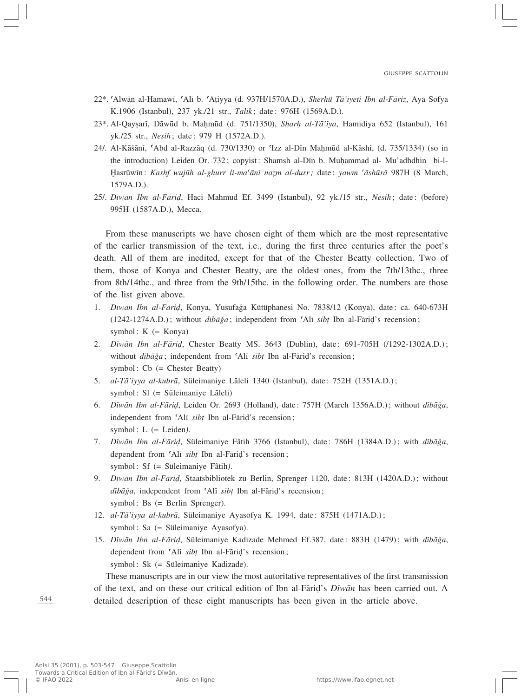- 22\*. ©Alwæn al-Îamawî, ©Alî b. ©A†iyya (d. 937H/1570A.D.), *Sherhü Tæ'îyeti Ibn al-Færiz*, Aya Sofya K.1906 (Istanbul), 237 yk./21 str., *Talik*; date: 976H (1569A.D.).
- 23\*. Al-Qaysarī, Dāwūd b. Mahmūd (d. 751/1350), *Sharh al-Tā* '*îya*, Hamidiya 652 (Istanbul), 161 yk./25 str., *Nesih*; date: 979 H (1572A.D.).
- 24/. Al-Kāšānī, 'Abd al-Razzāq (d. 730/1330) or 'Izz al-Dīn Mahmūd al-Kāshī, (d. 735/1334) (so in the introduction) Leiden Or. 732; copyist: Shamsh al-Dîn b. MuÌammad al- Mu'adhdhin bi-l- ⁄asrºwîn: *Kashf wujºh al-ghurr li-ma©ænî naÂm al-durr;* date: *yawm ©æshºræ* 987H (8 March, 1579A.D.).
- 25/. *Dîwæn Ibn al-Færi∂*, Haci Mahmud Ef. 3499 (Istanbul), 92 yk./15 str., *Nesih*; date: (before) 995H (1587A.D.), Mecca.

From these manuscripts we have chosen eight of them which are the most representative of the earlier transmission of the text, i.e., during the first three centuries after the poet's death. All of them are inedited, except for that of the Chester Beatty collection. Two of them, those of Konya and Chester Beatty, are the oldest ones, from the 7th/13thc., three from 8th/14thc., and three from the 9th/15thc. in the following order. The numbers are those of the list given above.

- 1. *Dîwæn Ibn al-Færi∂*, Konya, Yusufa…a Kütüphanesi No. 7838/12 (Konya), date: ca. 640-673H (1242-1274A.D.); without *dîbæÏa*; independent from ©Alî *sib†* Ibn al-Færi∂'s recension; symbol:  $K$  (= Konya)
- 2. *Dîwæn Ibn al-Færi∂*, Chester Beatty MS. 3643 (Dublin), date: 691-705H (/1292-1302A.D.); without *dib* $\bar{a}$ *ğa*; independent from 'Alī *sibț* Ibn al-Fārid's recension; symbol: Cb (= Chester Beatty)
- 5. *al-Tæ'iyya al-kubræ*, Süleimaniye Læleli 1340 (Istanbul), date: 752H (1351A.D.); symbol:  $SI$  (= Süleimaniye Laleli)
- 6. *Dîwæn Ibn al-Færi∂*, Leiden Or. 2693 (Holland), date: 757H (March 1356A.D.); without *dîbæÏa*, independent from 'Alī *sibt* Ibn al-Fāriḍ's recension; symbol: L (= Leiden*)*.
- 7. *Dîwæn Ibn al-Færi∂*, Süleimaniye Fâtih 3766 (Istanbul), date: 786H (1384A.D.); with *dîbæÏa*, dependent from 'Alī *sibt* Ibn al-Fārid's recension; symbol: Sf (= Süleimaniye Fâtih*)*.
- 9. *Dîwæn Ibn al-Færi∂*, Staatsbibliotek zu Berlin, Sprenger 1120, date: 813H (1420A.D.); without *dib* $\bar{a}$ *ğa*, independent from 'Alī *sibț* Ibn al-Fāriḍ's recension; symbol: Bs (= Berlin Sprenger).
- 12. *al-Tæ'iyya al-kubræ*, Süleimaniye Ayasofya K. 1994, date: 875H (1471A.D.); symbol: Sa (= Süleimaniye Ayasofya).
- 15. *Dîwæn Ibn al-Færi∂*, Süleimaniye Kadizade Mehmed Ef.387, date: 883H (1479); with *dîbæÏa*, dependent from 'Alī *sibt* Ibn al-Fāriḍ's recension;

symbol: Sk (= Süleimaniye Kadizade).

These manuscripts are in our view the most autoritative representatives of the first transmission of the text, and on these our critical edition of Ibn al-Færi∂'s *Dîwæn* has been carried out. A detailed description of these eight manuscripts has been given in the article above.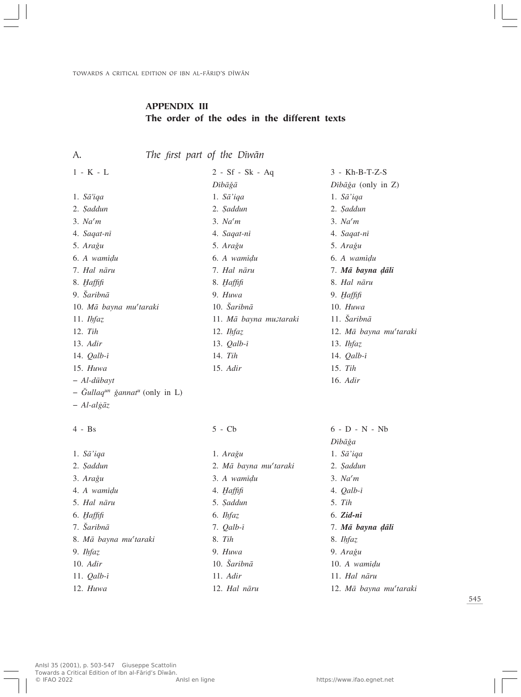# APPENDIX III The order of the odes in the different texts

A. *The first part of the Dîwæn*

| $1 - K - L$                                            | $2 - Sf - Sk - Aq$          | $3 - Kh-B-T-Z-S$              |
|--------------------------------------------------------|-----------------------------|-------------------------------|
|                                                        | Dībāğā                      | $Dib\bar{a}\xi a$ (only in Z) |
| 1. $Sā'iqa$                                            | 1. $S\bar{a}'iqa$           | 1. $S\bar{a}'iqa$             |
| 2. Saddun                                              | 2. Şaddun                   | 2. Saddun                     |
| 3. Na <sup>6</sup> m                                   | 3. Na <sup>6</sup> m        | 3. Na <sup>6</sup> m          |
| 4. Saqat-nī                                            | 4. Saqat-nī                 | 4. Saqat-nī                   |
| 5. Arağu                                               | 5. Arağu                    | 5. Arağu                      |
| 6. A wamidu                                            | 6. A wamidu                 | 6. A wamidu                   |
| 7. Hal nāru                                            | 7. Hal nāru                 | 7. Mā bayna dāli              |
| 8. Haffifi                                             | 8. Haffifi                  | 8. Hal nāru                   |
| 9. Šaribnā                                             | 9. Huwa                     | 9. Haffifi                    |
| 10. Mā bayna mu'taraki                                 | 10. $\check{S}aribn\bar{a}$ | $10.$ Huwa                    |
| 11. <i>Ihfaz</i>                                       | 11. Mā bayna mustaraki      | 11. Šaribnā                   |
| $12.$ Tih                                              | 12. <i>Ihfaz</i>            | 12. Mā bayna mu'taraki        |
| $13.$ Adir                                             | 13. $Qalb-i$                | 13. <i>Ihfaz</i>              |
| 14. $Qalb-i$                                           | 14. Tih                     | 14. $Qalb-i$                  |
| $15.$ Huwa                                             | 15. Adir                    | 15. Tih                       |
| $-$ Al-dūbayt                                          |                             | 16. Adir                      |
| - Gullaq <sup>un</sup> ğannat <sup>u</sup> (only in L) |                             |                               |

– *Al-alfiæz*

#### 4 - Bs 5 - Cb 6 - D - N - Nb

- 1. *Sæ'iqa* 1. *AraÏu* 1. *Sæ'iqa* 2. *∑addun* 2. *Mæ bayna mu©taraki* 2. *∑addun* 4. *A wamî∂u* 4. *⁄affifi* 4. *Qalb-î* 5. *Hal næru* 5. *∑addun* 5. *Tih* 6. *⁄affifi* 6. *IÌfaÂ* 6. *Zid-nî* 7. *Ωaribnæ* 7. *Qalb-î* 7. *Mæ bayna ∂æli* 8. *Mā bayna mu<sup>c</sup>taraki* 8. 11. *Qalb-i* 1
- 

| 1. $S\bar{a}'iqa$                  | 1. Arağu                    | 1. $S\bar{a}'$ iqa     |
|------------------------------------|-----------------------------|------------------------|
| 2. Saddun                          | 2. Mā bayna mu'taraki       | 2. Saddun              |
| 3. Arağu                           | 3. A wamidu                 | 3. Na <sup>6</sup> m   |
| 4. A wamīdu                        | 4. Haffifi                  | 4. $Qalb-i$            |
| 5. Hal nāru                        | 5. Saddun                   | 5. Tih                 |
| 6. <i>Haffifi</i>                  | 6. Ihfaz                    | $6. Zid-ni$            |
| 7. Šaribnā                         | 7. $Qalb-i$                 | 7. Mā bayna dāli       |
| 8. Mā bayna mu <sup>c</sup> taraki | 8. Tih                      | 8. Ihfaz               |
| 9. Ihfaz                           | 9. Huwa                     | 9. Arağu               |
| 10. Adir                           | 10. $\check{S}aribn\bar{a}$ | 10. A wamidu           |
| 11. $Qalb-i$                       | 11. $Adir$                  | 11. Hal nāru           |
| $12.$ Huwa                         | 12. Hal nāru                | 12. Mā bayna mu'taraki |

 $D$ *<i><i>j* $b$  $\bar{a}$  $\check{g}$ *a*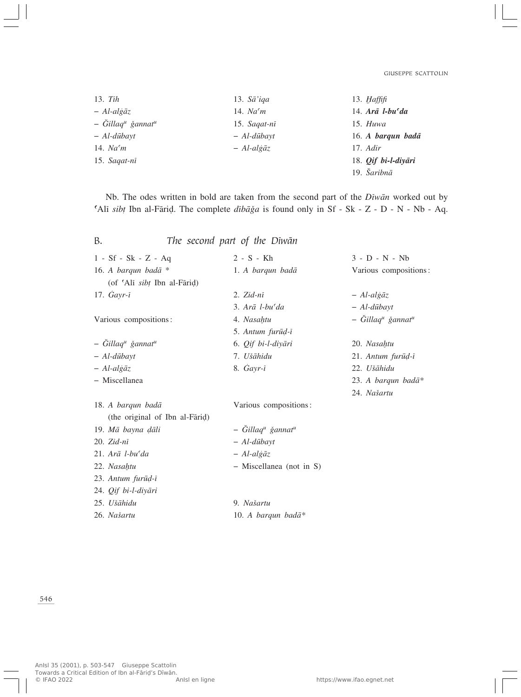| $13.$ Tih                                   | 13. $S\bar{a}'iqa$                    | 13. $H\alpha$ ffifi                                                |
|---------------------------------------------|---------------------------------------|--------------------------------------------------------------------|
| $-$ Al-alg $\bar{a}z$                       | 14. $Na6m$                            | 14. $A r \bar{a}$ <i>l</i> -bu <sup><math>\epsilon</math></sup> da |
| $-$ Gillaq <sup>u</sup> ğannat <sup>u</sup> | 15. $S \alpha q a t - n \overline{i}$ | 15. $Huwa$                                                         |
| $-$ Al-dūbayt                               | $-$ Al-dūbayt                         | 16. A barqun badā                                                  |
| 14. $Na6m$                                  | $-$ Al-algāz                          | 17. Adir                                                           |
| 15. Sagat-nī                                |                                       | 18. <i>Qif bi-l-diyāri</i>                                         |
|                                             |                                       | 19. Šaribnā                                                        |

Nb. The odes written in bold are taken from the second part of the *Dîwæn* worked out by ¢Alî *sib†* Ibn al-Færi∂. The complete *dîbæÏa* is found only in Sf - Sk - Z - D - N - Nb - Aq.

| В.                                        | The second part of the Diwān              |                                           |
|-------------------------------------------|-------------------------------------------|-------------------------------------------|
| $1 - Sf - Sk - Z - Aq$                    | $2 - S - Kh$                              | $3 - D - N - Nb$                          |
| 16. A barqun badā $*$                     | 1. A barqun badā                          | Various compositions:                     |
| (of 'Ali sibt Ibn al-Fārid)               |                                           |                                           |
| 17. $\dot{G}$ ayr- $\overline{i}$         | $2. Zid-ni$                               | $-$ Al-algāz                              |
|                                           | $3. Ar\bar{a}$ l-bu'da                    | $-$ Al-dūbayt                             |
| Various compositions:                     | 4. Nasahtu                                | - Ğillaq <sup>u</sup> ğannat <sup>u</sup> |
|                                           | 5. Antum furūd-ī                          |                                           |
| - Gillaq <sup>u</sup> ğannat <sup>u</sup> | 6. Qif bi-l-diyāri                        | 20. Nasahtu                               |
| $-$ Al-dūbayt                             | 7. Ušāhidu                                | 21. Antum furūd-ī                         |
| $-$ Al-algāz                              | 8. $Gayr-i$                               | 22. Ušāhidu                               |
| - Miscellanea                             |                                           | 23. A barqun badā*                        |
|                                           |                                           | 24. Našartu                               |
| 18. A barqun badā                         | Various compositions:                     |                                           |
| (the original of Ibn al-Farid)            |                                           |                                           |
| 19. Mā bayna dāli                         | - Ğillaq <sup>u</sup> ğannat <sup>u</sup> |                                           |
| $20. Zid-ni$                              | $-$ Al-dūbayt                             |                                           |
| $21. Ar\bar{a}$ l-bu'da                   | $-$ Al-algāz                              |                                           |
| 22. Nasahtu                               | - Miscellanea (not in S)                  |                                           |
| 23. Antum furūd-ī                         |                                           |                                           |
| 24. Qif bi-l-diyāri                       |                                           |                                           |
| 25. Ušāhidu                               | 9. Našartu                                |                                           |
| 26. Našartu                               | 10. A barqun badā*                        |                                           |
|                                           |                                           |                                           |